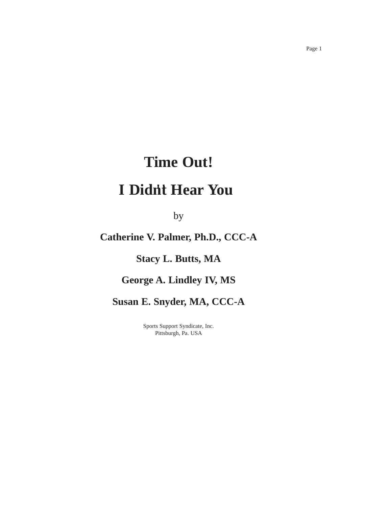# **Time Out! I Didn't Hear You** by

# **Catherine V. Palmer, Ph.D., CCC-A Stacy L. Butts, MA**

# **George A. Lindley IV, MS**

# **Susan E. Snyder, MA, CCC-A**

Sports Support Syndicate, Inc. Pittsburgh, Pa. USA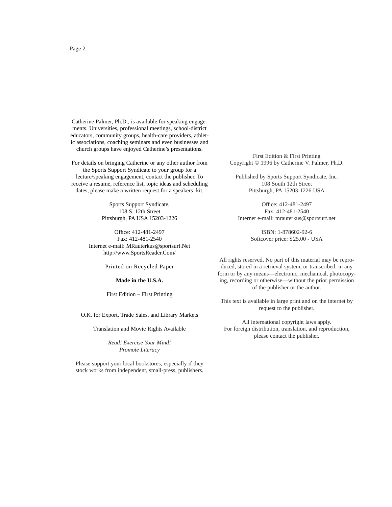Catherine Palmer, Ph.D., is available for speaking engagements. Universities, professional meetings, school-district educators, community groups, health-care providers, athletic associations, coaching seminars and even businesses and church groups have enjoyed CatherineÕs presentations.

For details on bringing Catherine or any other author from the Sports Support Syndicate to your group for a lecture/speaking engagement, contact the publisher. To receive a resume, reference list, topic ideas and scheduling dates, please make a written request for a speakersÕ kit.

> Sports Support Syndicate, 108 S. 12th Street Pittsburgh, PA USA 15203-1226

Of Dce: 412-481-2497 Fax: 412-481-2540 Internet e-mail: MRauterkus@sportsurf.Net http://www.SportsReader.Com/

Printed on Recycled Paper

### **Made in the U.S.A.**

First Edition — First Printing

O.K. for Export, Trade Sales, and Library Markets

Translation and Movie Rights Available

*Read! Exercise Your Mind! Promote Literacy*

Please support your local bookstores, especially if they stock works from independent, small-press, publishers.

First Edition & First Printing Copyright ' 1996 by Catherine V. Palmer, Ph.D.

Published by Sports Support Syndicate, Inc. 108 South 12th Street Pittsburgh, PA 15203-1226 USA

 $Of$ <sub>ce</sub> $.412 - 481 - 2497$ Fax: 412-481-2540 Internet e-mail: mrauterkus@sportsurf.net

> ISBN: 1-878602-92-6 Softcover price: \$25.00 - USA

All rights reserved. No part of this material may be reproduced, stored in a retrieval system, or transcribed, in any form or by any means Ñelectronic, mechanical, photocopying, recording or otherwise  $\tilde{N}$  without the prior permission of the publisher or the author.

This text is available in large print and on the internet by request to the publisher.

All international copyright laws apply. For foreign distribution, translation, and reproduction, please contact the publisher.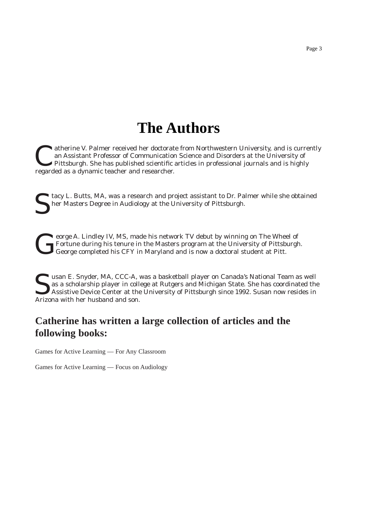# **The Authors**

The V. Palmer received her doctorate from Northwestern University, and is currently an Assistant Professor of Communication Science and Disorders at the University of Pittsburgh. She has published scienti<code>Dc</code> articles in p an Assistant Professor of Communication Science and Disorders at the University of regarded as a dynamic teacher and researcher.

**Stack** L. Butts, MA, was a research and project assistant to Dr. Palmer while she obtained her Masters Degree in Audiology at the University of Pittsburgh.

eorge A. Lindley IV, MS, made his network TV debut by winning on The Wheel of Fortune during his tenure in the Masters program at the University of Pittsburght George completed his CFY in Maryland and is now a doctoral stu Fortune during his tenure in the Masters program at the University of Pittsburgh. George completed his CFY in Maryland and is now a doctoral student at Pitt.

Usan E. Snyder, MA, CCC-A, was a basketball player on Canada is National Team as well as a scholarship player in college at Rutgers and Michigan State. She has coordinated the Assistive Device Center at the University of Pittsburgh since 1992. Susan now resides in Arizona with her husband and son.

## **Catherine has written a large collection of articles and the following books:**

Games for Active Learning Ñ For Any Classroom

Games for Active Learning Ñ Focus on Audiology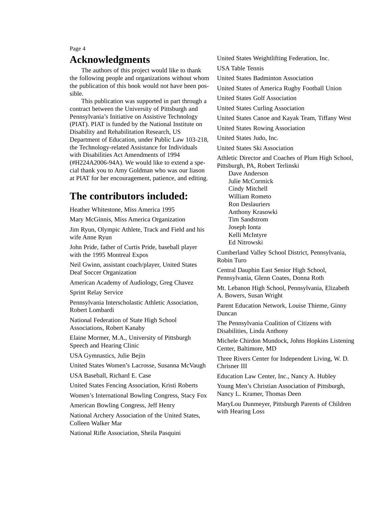### **Acknowledgments** Page 4

The authors of this project would like to thank the following people and organizations without whom the publication of this book would not have been possible.

This publication was supported in part through a contract between the University of Pittsburgh and PennsylvaniaÕs Initiative on Assistive Technology (PIAT). PIAT is funded by the National Institute on Disability and Rehabilitation Research, US Department of Education, under Public Law 103-218, the Technology-related Assistance for Individuals with Disabilities Act Amendments of 1994 (#H224A2006-94A). We would like to extend a special thank you to Amy Goldman who was our liason at PIAT for her encouragement, patience, and editing.

# **The contributors included:**

Heather Whitestone, Miss America 1995 Mary McGinnis, Miss America Organization Jim Ryun, Olympic Athlete, Track and Field and his wife Anne Ryun John Pride, father of Curtis Pride, baseball player with the 1995 Montreal Expos Neil Gwinn, assistant coach/player, United States Deaf Soccer Organization American Academy of Audiology, Greg Chavez Sprint Relay Service Pennsylvania Interscholastic Athletic Association, Robert Lombardi National Federation of State High School Associations, Robert Kanaby Elaine Mormer, M.A., University of Pittsburgh Speech and Hearing Clinic USA Gymnastics, Julie Bejin United States WomenÕs Lacrosse, Susanna McVaugh USA Baseball, Richard E. Case United States Fencing Association, Kristi Roberts WomenÕs International Bowling Congress, Stacy Fox American Bowling Congress, Jeff Henry National Archery Association of the United States, Colleen Walker Mar National Riße Association, Sheila Pasquini

United States Weightlifting Federation, Inc.

USA Table Tennis

United States Badminton Association

United States of America Rugby Football Union

United States Golf Association

United States Curling Association

United States Canoe and Kayak Team, Tiffany West

United States Rowing Association

United States Judo, Inc.

United States Ski Association

Athletic Director and Coaches of Plum High School,

Pittsburgh, PA, Robert Terlinski

Dave Anderson Julie McCormick Cindy Mitchell William Rometo Ron Deslauriers Anthony Krasowki Tim Sandstrom Joseph Ionta Kelli McIntyre Ed Nitrowski

Cumberland Valley School District, Pennsylvania, Robin Turo

Central Dauphin East Senior High School, Pennsylvania, Glenn Coates, Donna Roth

Mt. Lebanon High School, Pennsylvania, Elizabeth A. Bowers, Susan Wright

Parent Education Network, Louise Thieme, Ginny Duncan

The Pennsylvania Coalition of Citizens with Disabilities, Linda Anthony

Michele Chirdon Mundock, Johns Hopkins Listening Center, Baltimore, MD

Three Rivers Center for Independent Living, W. D. Chrisner III

Education Law Center, Inc., Nancy A. Hubley

Young MenÕs Christian Association of Pittsburgh, Nancy L. Kramer, Thomas Deen

MaryLou Dunmeyer, Pittsburgh Parents of Children with Hearing Loss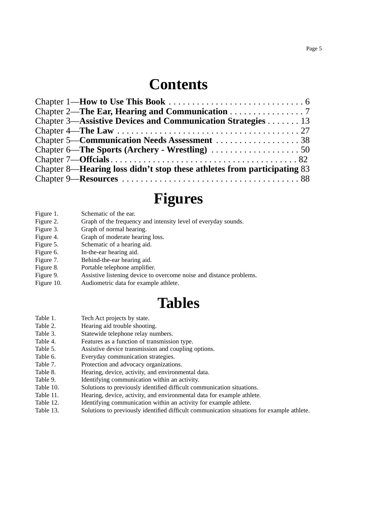# **Contents**

<span id="page-4-0"></span>

| Chapter 2 N The Ear, Hearing and Communication 7                          |  |
|---------------------------------------------------------------------------|--|
| Chapter 3 N Assistive Devices and Communication Strategies 13             |  |
|                                                                           |  |
| Chapter 5 N Communication Needs Assessment 38                             |  |
|                                                                           |  |
|                                                                           |  |
| Chapter 8 N Hearing loss didn0t stop these athletes from participating 83 |  |
|                                                                           |  |

# **Figures**

| Figure 1. | Schematic of the ear. |  |  |
|-----------|-----------------------|--|--|
|           |                       |  |  |

- Figure 2. Graph of the frequency and intensity level of everyday sounds.
- Figure 3. Graph of normal hearing.
- Figure 4. Graph of moderate hearing loss.
- Figure 5. Schematic of a hearing aid.
- Figure 6. In-the-ear hearing aid.
- Figure 7. Behind-the-ear hearing aid.
- Figure 8. Portable telephone ampliÞer.
- Figure 9. Assistive listening device to overcome noise and distance problems.
- Figure 10. Audiometric data for example athlete.

# **Tables**

- Table 1. Tech Act projects by state.
- Table 2. Hearing aid trouble shooting.
- Table 3. Statewide telephone relay numbers.
- Table 4. Features as a function of transmission type.
- Table 5. Assistive device transmission and coupling options.
- Table 6. Everyday communication strategies.
- Table 7. Protection and advocacy organizations.
- Table 8. **Hearth** Hearing, device, activity, and environmental data.
- Table 9. Identifying communication within an activity.
- Table 10. Solutions to previously identiÞed difÞcult communication situations.
- Table 11. Hearing, device, activity, and environmental data for example athlete.
- Table 12. Identifying communication within an activity for example athlete.
- Table 13. Solutions to previously identiÞed difÞcult communication situations for example athlete.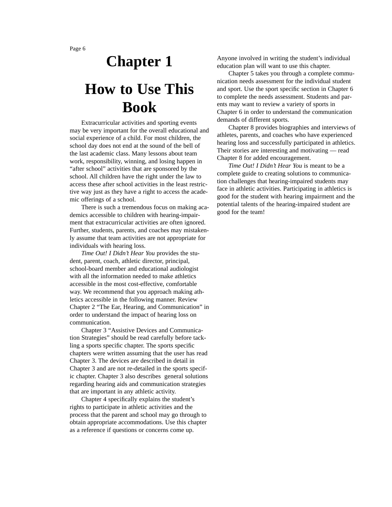# <span id="page-5-0"></span>**Chapter 1 How to Use This Book**

Extracurricular activities and sporting events may be very important for the overall educational and social experience of a child. For most children, the school day does not end at the sound of the bell of the last academic class. Many lessons about team work, responsibility, winning, and losing happen in Òafter schoolÓ activities that are sponsored by the school. All children have the right under the law to access these after school activities in the least restrictive way just as they have a right to access the academic offerings of a school.

There is such a tremendous focus on making academics accessible to children with hearing-impairment that extracurricular activities are often ignored. Further, students, parents, and coaches may mistakenly assume that team activities are not appropriate for individuals with hearing loss.

*Time Out! I DidnÕt Hear You* provides the student, parent, coach, athletic director, principal, school-board member and educational audiologist with all the information needed to make athletics accessible in the most cost-effective, comfortable way. We recommend that you approach making athletics accessible in the following manner. Review Chapter 2 ÒThe Ear, Hearing, and CommunicationÓ in order to understand the impact of hearing loss on communication.

Chapter 3 ÒAssistive Devices and Communication StrategiesÓ should be read carefully before tackling a sports speciÞc chapter. The sports speciÞc chapters were written assuming that the user has read Chapter 3. The devices are described in detail in Chapter 3 and are not re-detailed in the sports specific chapter. Chapter 3 also describes general solutions regarding hearing aids and communication strategies that are important in any athletic activity.

Chapter 4 speciÞcally explains the studentÕs rights to participate in athletic activities and the process that the parent and school may go through to obtain appropriate accommodations. Use this chapter as a reference if questions or concerns come up.

Anyone involved in writing the studentÕs individual education plan will want to use this chapter.

Chapter 5 takes you through a complete communication needs assessment for the individual student and sport. Use the sport speciÞc section in Chapter 6 to complete the needs assessment. Students and parents may want to review a variety of sports in Chapter 6 in order to understand the communication demands of different sports.

Chapter 8 provides biographies and interviews of athletes, parents, and coaches who have experienced hearing loss and successfully participated in athletics. Their stories are interesting and motivating  $\tilde{N}$  read Chapter 8 for added encouragement.

*Time Out! I DidnÕt Hear You* is meant to be a complete guide to creating solutions to communication challenges that hearing-impaired students may face in athletic activities. Participating in athletics is good for the student with hearing impairment and the potential talents of the hearing-impaired student are good for the team!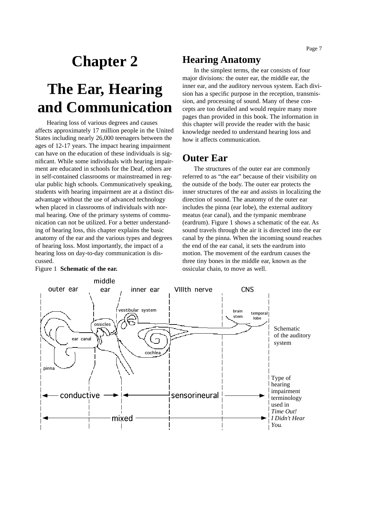# <span id="page-6-0"></span>**Chapter 2**

# **The Ear, Hearing and Communication**

Hearing loss of various degrees and causes affects approximately 17 million people in the United States including nearly 26,000 teenagers between the ages of 12-17 years. The impact hearing impairment can have on the education of these individuals is signiÞcant. While some individuals with hearing impairment are educated in schools for the Deaf, others are in self-contained classrooms or mainstreamed in regular public high schools. Communicatively speaking, students with hearing impairment are at a distinct disadvantage without the use of advanced technology when placed in classrooms of individuals with normal hearing. One of the primary systems of communication can not be utilized. For a better understanding of hearing loss, this chapter explains the basic anatomy of the ear and the various types and degrees of hearing loss. Most importantly, the impact of a hearing loss on day-to-day communication is discussed.

Figure 1 **Schematic of the ear.**

## **Hearing Anatomy**

In the simplest terms, the ear consists of four major divisions: the outer ear, the middle ear, the inner ear, and the auditory nervous system. Each division has a speciÞc purpose in the reception, transmission, and processing of sound. Many of these concepts are too detailed and would require many more pages than provided in this book. The information in this chapter will provide the reader with the basic knowledge needed to understand hearing loss and how it affects communication.

## **Outer Ear**

The structures of the outer ear are commonly referred to as Òthe earÓ because of their visibility on the outside of the body. The outer ear protects the inner structures of the ear and assists in localizing the direction of sound. The anatomy of the outer ear includes the pinna (ear lobe), the external auditory meatus (ear canal), and the tympanic membrane (eardrum). Figure 1 shows a schematic of the ear. As sound travels through the air it is directed into the ear canal by the pinna. When the incoming sound reaches the end of the ear canal, it sets the eardrum into motion. The movement of the eardrum causes the three tiny bones in the middle ear, known as the ossicular chain, to move as well.

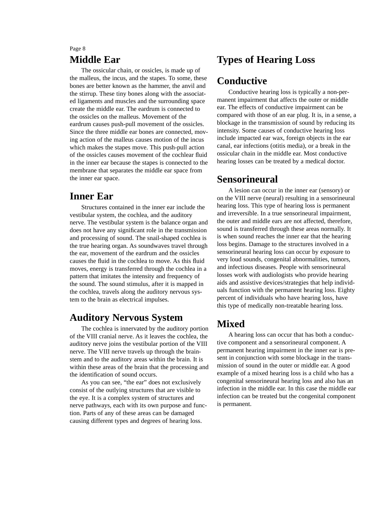### **Middle Ear** Page 8

The ossicular chain, or ossicles, is made up of the malleus, the incus, and the stapes. To some, these bones are better known as the hammer, the anvil and the stirrup. These tiny bones along with the associated ligaments and muscles and the surrounding space create the middle ear. The eardrum is connected to the ossicles on the malleus. Movement of the eardrum causes push-pull movement of the ossicles. Since the three middle ear bones are connected, moving action of the malleus causes motion of the incus which makes the stapes move. This push-pull action of the ossicles causes movement of the cochlear ßuid in the inner ear because the stapes is connected to the membrane that separates the middle ear space from the inner ear space.

### **Inner Ear**

Structures contained in the inner ear include the vestibular system, the cochlea, and the auditory nerve. The vestibular system is the balance organ and does not have any signiÞcant role in the transmission and processing of sound. The snail-shaped cochlea is the true hearing organ. As soundwaves travel through the ear, movement of the eardrum and the ossicles causes the ßuid in the cochlea to move. As this ßuid moves, energy is transferred through the cochlea in a pattern that imitates the intensity and frequency of the sound. The sound stimulus, after it is mapped in the cochlea, travels along the auditory nervous system to the brain as electrical impulses.

## **Auditory Nervous System**

The cochlea is innervated by the auditory portion of the VIII cranial nerve. As it leaves the cochlea, the auditory nerve joins the vestibular portion of the VIII nerve. The VIII nerve travels up through the brainstem and to the auditory areas within the brain. It is within these areas of the brain that the processing and the identiÞcation of sound occurs.

As you can see, Òthe earÓ does not exclusively consist of the outlying structures that are visible to the eye. It is a complex system of structures and nerve pathways, each with its own purpose and function. Parts of any of these areas can be damaged causing different types and degrees of hearing loss.

# **Types of Hearing Loss**

## **Conductive**

Conductive hearing loss is typically a non-permanent impairment that affects the outer or middle ear. The effects of conductive impairment can be compared with those of an ear plug. It is, in a sense, a blockage in the transmission of sound by reducing its intensity. Some causes of conductive hearing loss include impacted ear wax, foreign objects in the ear canal, ear infections (otitis media), or a break in the ossicular chain in the middle ear. Most conductive hearing losses can be treated by a medical doctor.

### **Sensorineural**

A lesion can occur in the inner ear (sensory) or on the VIII nerve (neural) resulting in a sensorineural hearing loss. This type of hearing loss is permanent and irreversible. In a true sensorineural impairment, the outer and middle ears are not affected, therefore, sound is transferred through these areas normally. It is when sound reaches the inner ear that the hearing loss begins. Damage to the structures involved in a sensorineural hearing loss can occur by exposure to very loud sounds, congenital abnormalities, tumors, and infectious diseases. People with sensorineural losses work with audiologists who provide hearing aids and assistive devices/strategies that help individuals function with the permanent hearing loss. Eighty percent of individuals who have hearing loss, have this type of medically non-treatable hearing loss.

## **Mixed**

A hearing loss can occur that has both a conductive component and a sensorineural component. A permanent hearing impairment in the inner ear is present in conjunction with some blockage in the transmission of sound in the outer or middle ear. A good example of a mixed hearing loss is a child who has a congenital sensorineural hearing loss and also has an infection in the middle ear. In this case the middle ear infection can be treated but the congenital component is permanent.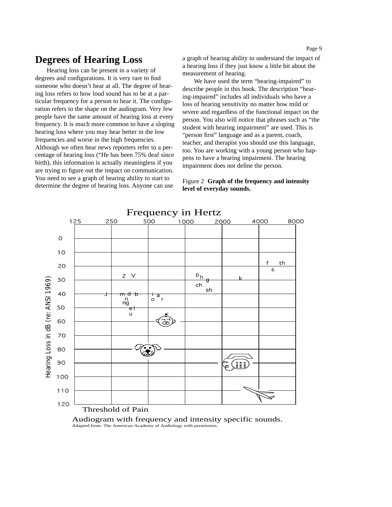### **Degrees of Hearing Loss**

Hearing loss can be present in a variety of degrees and conÞgurations. It is very rare to Þnd someone who doesnÕt hear at all. The degree of hearing loss refers to how loud sound has to be at a particular frequency for a person to hear it. The conÞguration refers to the shape on the audiogram. Very few people have the same amount of hearing loss at every frequency. It is much more common to have a sloping hearing loss where you may hear better in the low frequencies and worse in the high frequencies. Although we often hear news reporters refer to a percentage of hearing loss (ÒHe has been 75% deaf since birth), this information is actually meaningless if you are trying to Þgure out the impact on communication. You need to see a graph of hearing ability to start to determine the degree of hearing loss. Anyone can use

a graph of hearing ability to understand the impact of a hearing loss if they just know a little bit about the measurement of hearing.

We have used the term Òhearing-impairedÓ to describe people in this book. The description Òhearing-impairedÓ includes all individuals who have a loss of hearing sensitivity no matter how mild or severe and regardless of the functional impact on the person. You also will notice that phrases such as Òthe student with hearing impairmentÔ are used. This is Òperson ÞrstÓ language and as a parent, coach, teacher, and therapist you should use this language, too. You are working with a young person who happens to have a hearing impairment. The hearing impairment does not deÞne the person.

Figure 2 **Graph of the frequency and intensity level of everyday sounds.**



Audiogram with frequency and intensity specific sounds. Adapted from: The American Academy of Audiology with permission.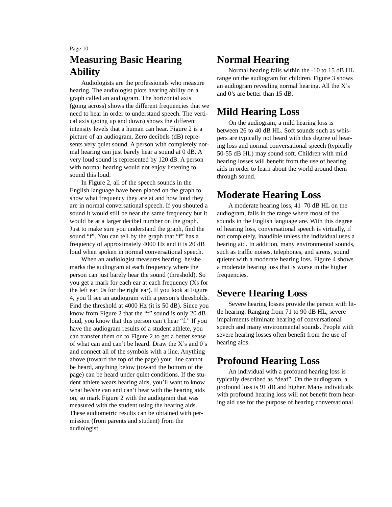# **Measuring Basic Hearing Ability**

Audiologists are the professionals who measure hearing. The audiologist plots hearing ability on a graph called an audiogram. The horizontal axis (going across) shows the different frequencies that we need to hear in order to understand speech. The vertical axis (going up and down) shows the different intensity levels that a human can hear. Figure 2 is a picture of an audiogram. Zero decibels (dB) represents very quiet sound. A person with completely normal hearing can just barely hear a sound at 0 dB. A very loud sound is represented by 120 dB. A person with normal hearing would not enjoy listening to sound this loud.

In Figure 2, all of the speech sounds in the English language have been placed on the graph to show what frequency they are at and how loud they are in normal conversational speech. If you shouted a sound it would still be near the same frequency but it would be at a larger decibel number on the graph. Just to make sure you understand the graph, Þnd the sound ÒfÓ. You can tell by the graph that ÒfÓ has a frequency of approximately 4000 Hz and it is 20 dB loud when spoken in normal conversational speech.

When an audiologist measures hearing, he/she marks the audiogram at each frequency where the person can just barely hear the sound (threshold). So you get a mark for each ear at each frequency (Xs for the left ear, 0s for the right ear). If you look at Figure 4, youÕll see an audiogram with a personÕs thresholds. Find the threshold at 4000 Hz (it is 50 dB). Since you know from Figure 2 that the ÒfÓ sound is only 20 dB loud, you know that this person canÕt hear Òf.Ó If you have the audiogram results of a student athlete, you can transfer them on to Figure 2 to get a better sense of what can and canÕt be heard. Draw the XÕs and 0Õs and connect all of the symbols with a line. Anything above (toward the top of the page) your line cannot be heard, anything below (toward the bottom of the page) can be heard under quiet conditions. If the student athlete wears hearing aids, youÕll want to know what he/she can and canÕt hear with the hearing aids on, so mark Figure 2 with the audiogram that was measured with the student using the hearing aids. These audiometric results can be obtained with permission (from parents and student) from the audiologist.

# **Normal Hearing**

Normal hearing falls within the -10 to 15 dB HL range on the audiogram for children. Figure 3 shows an audiogram revealing normal hearing. All the XÕs and 0Õs are better than 15 dB.

# **Mild Hearing Loss**

On the audiogram, a mild hearing loss is between 26 to 40 dB HL. Soft sounds such as whispers are typically not heard with this degree of hearing loss and normal conversational speech (typically 50-55 dB HL) may sound soft. Children with mild hearing losses will beneÞt from the use of hearing aids in order to learn about the world around them through sound.

# **Moderate Hearing Loss**

A moderate hearing loss, 41—70 dB HL on the audiogram, falls in the range where most of the sounds in the English language are. With this degree of hearing loss, conversational speech is virtually, if not completely, inaudible unless the individual uses a hearing aid. In addition, many environmental sounds, such as trafÞc noises, telephones, and sirens, sound quieter with a moderate hearing loss. Figure 4 shows a moderate hearing loss that is worse in the higher frequencies.

## **Severe Hearing Loss**

Severe hearing losses provide the person with little hearing. Ranging from 71 to 90 dB HL, severe impairments eliminate hearing of conversational speech and many environmental sounds. People with severe hearing losses often beneÞt from the use of hearing aids.

# **Profound Hearing Loss**

An individual with a profound hearing loss is typically described as ÒdeafÓ. On the audiogram, a profound loss is 91 dB and higher. Many individuals with profound hearing loss will not beneÞt from hearing aid use for the purpose of hearing conversational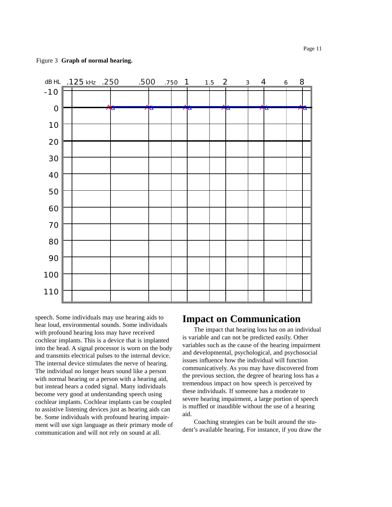speech. Some individuals may use hearing aids to hear loud, environmental sounds. Some individuals with profound hearing loss may have received cochlear implants. This is a device that is implanted into the head. A signal processor is worn on the body and transmits electrical pulses to the internal device. The internal device stimulates the nerve of hearing. The individual no longer hears sound like a person with normal hearing or a person with a hearing aid, but instead hears a coded signal. Many individuals become very good at understanding speech using cochlear implants. Cochlear implants can be coupled to assistive listening devices just as hearing aids can be. Some individuals with profound hearing impairment will use sign language as their primary mode of communication and will not rely on sound at all.

### **Impact on Communication**

The impact that hearing loss has on an individual is variable and can not be predicted easily. Other variables such as the cause of the hearing impairment and developmental, psychological, and psychosocial issues inßuence how the individual will function communicatively. As you may have discovered from the previous section, the degree of hearing loss has a tremendous impact on how speech is perceived by these individuals. If someone has a moderate to severe hearing impairment, a large portion of speech is muffsed or inaudible without the use of a hearing aid.

Coaching strategies can be built around the studentÕs available hearing. For instance, if you draw the



### Figure 3 **Graph of normal hearing.**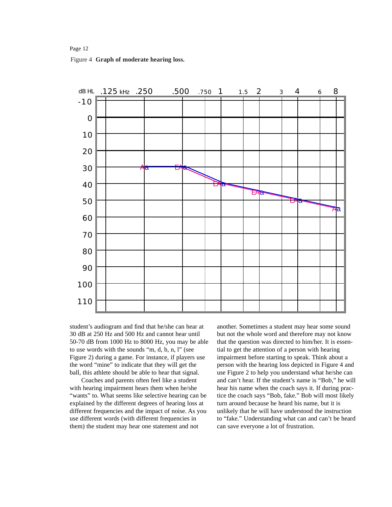



studentÕs audiogram and Þnd that he/she can hear at 30 dB at 250 Hz and 500 Hz and cannot hear until 50-70 dB from 1000 Hz to 8000 Hz, you may be able to use words with the sounds  $\hat{O}m$ , d, b, n,  $\hat{I}O$  (see Figure 2) during a game. For instance, if players use the word ÒmineÓ to indicate that they will get the ball, this athlete should be able to hear that signal.

Coaches and parents often feel like a student with hearing impairment hears them when he/she ÒwantsÓ to. What seems like selective hearing can be explained by the different degrees of hearing loss at different frequencies and the impact of noise. As you use different words (with different frequencies in them) the student may hear one statement and not

another. Sometimes a student may hear some sound but not the whole word and therefore may not know that the question was directed to him/her. It is essential to get the attention of a person with hearing impairment before starting to speak. Think about a person with the hearing loss depicted in Figure 4 and use Figure 2 to help you understand what he/she can and canÕt hear. If the studentÕs name is ÒBob,Ó he will hear his name when the coach says it. If during practice the coach says ÒBob, fake.Ó Bob will most likely turn around because he heard his name, but it is unlikely that he will have understood the instruction to Òfake.Ó Understanding what can and canÕt be heard can save everyone a lot of frustration.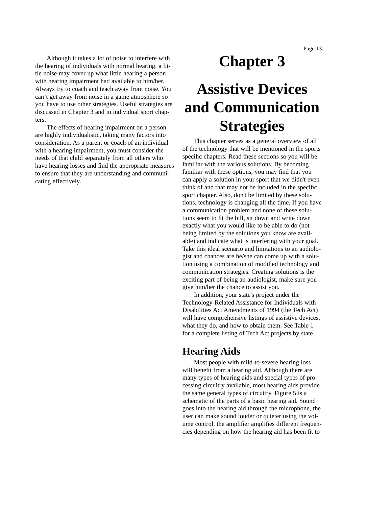<span id="page-12-0"></span>Although it takes a lot of noise to interfere with the hearing of individuals with normal hearing, a little noise may cover up what little hearing a person with hearing impairment had available to him/her. Always try to coach and teach away from noise. You canÕt get away from noise in a game atmosphere so you have to use other strategies. Useful strategies are discussed in Chapter 3 and in individual sport chapters.

The effects of hearing impairment on a person are highly individualistic, taking many factors into consideration. As a parent or coach of an individual with a hearing impairment, you must consider the needs of that child separately from all others who have hearing losses and Þnd the appropriate measures to ensure that they are understanding and communicating effectively.

# **Chapter 3**

# **Assistive Devices and Communication Strategies**

This chapter serves as a general overview of all of the technology that will be mentioned in the sports speciÞc chapters. Read these sections so you will be familiar with the various solutions. By becoming familiar with these options, you may Þnd that you can apply a solution in your sport that we didn't even think of and that may not be included in the speciÞc sport chapter. Also, don't be limited by these solutions, technology is changing all the time. If you have a communication problem and none of these solutions seem to Þt the bill, sit down and write down exactly what you would like to be able to do (not being limited by the solutions you know are available) and indicate what is interfering with your goal. Take this ideal scenario and limitations to an audiologist and chances are he/she can come up with a solution using a combination of modiÞed technology and communication strategies. Creating solutions is the exciting part of being an audiologist, make sure you give him/her the chance to assist you.

In addition, your state's project under the Technology-Related Assistance for Individuals with Disabilities Act Amendments of 1994 (the Tech Act) will have comprehensive listings of assistive devices, what they do, and how to obtain them. See Table 1 for a complete listing of Tech Act projects by state.

# **Hearing Aids**

Most people with mild-to-severe hearing loss will beneÞt from a hearing aid. Although there are many types of hearing aids and special types of processing circuitry available, most hearing aids provide the same general types of circuitry. Figure 5 is a schematic of the parts of a basic hearing aid. Sound goes into the hearing aid through the microphone, the user can make sound louder or quieter using the volume control, the ampliÞer ampliÞes different frequencies depending on how the hearing aid has been Þt to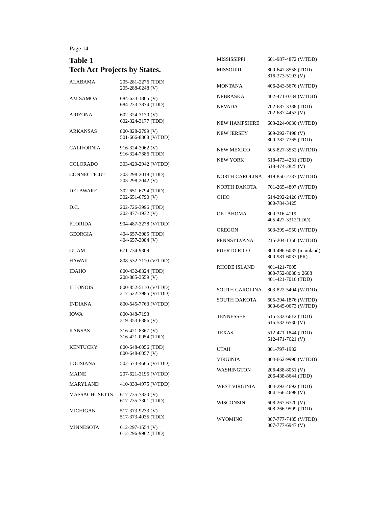### **Table 1 Tech Act Projects by States.**

| <b>ALABAMA</b>       | 205-281-2276 (TDD)<br>205-288-0248 (V)       |
|----------------------|----------------------------------------------|
| AM SAMOA             | 684-633-1805 (V)<br>684-233-7874 (TDD)       |
| <b>ARIZONA</b>       | 602-324-3170 (V)<br>602-324-3177 (TDD)       |
| <b>ARKANSAS</b>      | 800-828-2799 (V)<br>501-666-8868 (V/TDD)     |
| <b>CALIFORNIA</b>    | 916-324-3062 (V)<br>916-324-7386 (TDD)       |
| COLORADO             | 303-420-2942 (V/TDD)                         |
| CONNECTICUT          | 203-298-2018 (TDD)<br>203-298-2042 (V)       |
| <b>DELAWARE</b>      | 302-651-6794 (TDD)<br>302-651-6790 (V)       |
| D.C.                 | 202-726-3996 (TDD)<br>202-877-1932 (V)       |
| FLORIDA              | 904-487-3278 (V/TDD)                         |
| <b>GEORGIA</b>       | 404-657-3085 (TDD)<br>404-657-3084 (V)       |
| <b>GUAM</b>          | 671-734-9309                                 |
| HAWAII               | 808-532-7110 (V/TDD)                         |
| <b>IDAHO</b>         | 800-432-8324 (TDD)<br>208-885-3559 (V)       |
| <b>ILLONOIS</b>      | 800-852-5110 (V/TDD)<br>217-522-7985 (V/TDD) |
| <b>INDIANA</b>       | 800-545-7763 (V/TDD)                         |
| <b>IOWA</b>          | 800-348-7193<br>319-353-6386 (V)             |
| <b>KANSAS</b>        | $316-421-8367$ (V)<br>316-421-0954 (TDD)     |
| <b>KENTUCKY</b>      | 800-648-6056 (TDD)<br>800-648-6057 (V)       |
| <b>LOUSIANA</b>      | 502-573-4665 (V/TDD)                         |
| <b>MAINE</b>         | 207-621-3195 (V/TDD)                         |
| <b>MARYLAND</b>      | 410-333-4975 (V/TDD)                         |
| <b>MASSACHUSETTS</b> | 617-735-7820 (V)<br>617-735-7301 (TDD)       |
| <b>MICHIGAN</b>      | 517-373-9233 (V)<br>517-373-4035 (TDD)       |
| <b>MINNESOTA</b>     | 612-297-1554 (V)                             |

612-296-9962 (TDD)

| MISSISSIPPI         | 601-987-4872 (V/TDD)                                      |
|---------------------|-----------------------------------------------------------|
| MISSOURI            | 800-647-8558 (TDD)<br>816-373-5193 (V)                    |
| MONTANA             | 406-243-5676 (V/TDD)                                      |
| NEBRASKA            | 402-471-0734 (V/TDD)                                      |
| NEVADA              | 702-687-3388 (TDD)<br>702-687-4452 (V)                    |
| NEW HAMPSHIRE       | 603-224-0630 (V/TDD)                                      |
| NEW JERSEY          | 609-292-7498 (V)<br>800-382-7765 (TDD)                    |
| NEW MEXICO          | 505-827-3532 (V/TDD)                                      |
| NEW YORK            | 518-473-4231 (TDD)<br>518-474-2825 (V)                    |
| NORTH CAROLINA      | 919-850-2787 (V/TDD)                                      |
| NORTH DAKOTA        | 701-265-4807 (V/TDD)                                      |
| OHIO                | 614-292-2426 (V/TDD)<br>800-784-3425                      |
| OKLAHOMA            | 800-316-4119<br>405-427-3312(TDD)                         |
| OREGON              | 503-399-4950 (V/TDD)                                      |
| PENNSYLVANA         | 215-204-1356 (V/TDD)                                      |
| PUERTO RICO         | 800-496-6035 (mainland)<br>800-981-6033 (PR)              |
| RHODE ISLAND        | 401-421-7005<br>800-752-8038 x 2608<br>401-421-7016 (TDD) |
| SOUTH CAROLINA      | 803-822-5404 (V/TDD)                                      |
| <b>SOUTH DAKOTA</b> | 605-394-1876 (V/TDD)<br>800-645-0673 (V/TDD)              |
| TENNESSEE           | 615-532-6612 (TDD)<br>615-532-6530 (V)                    |
| TEXAS               | 512-471-1844 (TDD)<br>512-471-7621 (V)                    |
| UTAH                | 801-797-1982                                              |
| VIRGINIA            | 804-662-9990 (V/TDD)                                      |
| WASHINGTON          | 206-438-8051 (V)<br>206-438-8644 (TDD)                    |
| WEST VIRGINIA       | 304-293-4692 (TDD)<br>304-766-4698 (V)                    |
| WISCONSIN           | $608 - 267 - 6720$ (V)<br>608-266-9599 (TDD)              |
| WYOMING             | 307-777-7485 (V/TDD)<br>307-777-6947 (V)                  |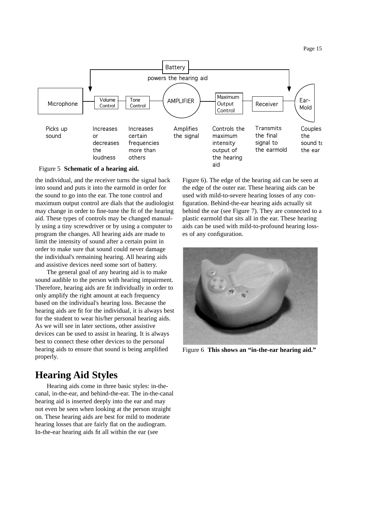



### Figure 5 **Schematic of a hearing aid.**

the individual, and the receiver turns the signal back into sound and puts it into the earmold in order for the sound to go into the ear. The tone control and maximum output control are dials that the audiologist may change in order to Þne-tune the Þt of the hearing aid. These types of controls may be changed manually using a tiny screwdriver or by using a computer to program the changes. All hearing aids are made to limit the intensity of sound after a certain point in order to make sure that sound could never damage the individual's remaining hearing. All hearing aids and assistive devices need some sort of battery.

The general goal of any hearing aid is to make sound audible to the person with hearing impairment. Therefore, hearing aids are Þt individually in order to only amplify the right amount at each frequency based on the individual's hearing loss. Because the hearing aids are Þt for the individual, it is always best for the student to wear his/her personal hearing aids. As we will see in later sections, other assistive devices can be used to assist in hearing. It is always best to connect these other devices to the personal hearing aids to ensure that sound is being ampliÞed properly.

### **Hearing Aid Styles**

Hearing aids come in three basic styles: in-thecanal, in-the-ear, and behind-the-ear. The in-the-canal hearing aid is inserted deeply into the ear and may not even be seen when looking at the person straight on. These hearing aids are best for mild to moderate hearing losses that are fairly ßat on the audiogram. In-the-ear hearing aids Þt all within the ear (see

Figure 6). The edge of the hearing aid can be seen at the edge of the outer ear. These hearing aids can be used with mild-to-severe hearing losses of any conguration. Behind-the-ear hearing aids actually sit behind the ear (see Figure 7). They are connected to a plastic earmold that sits all in the ear. These hearing aids can be used with mild-to-profound hearing losses of any conÞguration.



Figure 6 **This shows an Òin-the-ear hearing aid.Ó**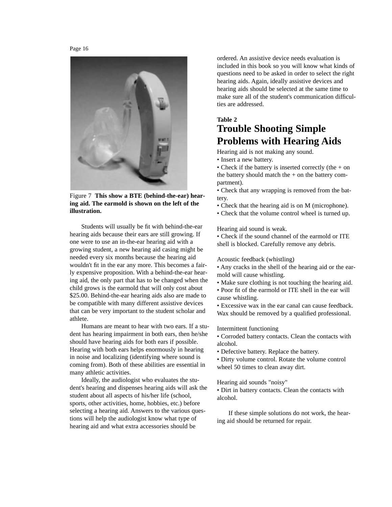

Figure 7 **This show a BTE (behind-the-ear) hearing aid. The earmold is shown on the left of the illustration.**

Students will usually be Þt with behind-the-ear hearing aids because their ears are still growing. If one were to use an in-the-ear hearing aid with a growing student, a new hearing aid casing might be needed every six months because the hearing aid wouldn't Þt in the ear any more. This becomes a fairly expensive proposition. With a behind-the-ear hearing aid, the only part that has to be changed when the child grows is the earmold that will only cost about \$25.00. Behind-the-ear hearing aids also are made to be compatible with many different assistive devices that can be very important to the student scholar and athlete.

Humans are meant to hear with two ears. If a student has hearing impairment in both ears, then he/she should have hearing aids for both ears if possible. Hearing with both ears helps enormously in hearing in noise and localizing (identifying where sound is coming from). Both of these abilities are essential in many athletic activities.

Ideally, the audiologist who evaluates the student's hearing and dispenses hearing aids will ask the student about all aspects of his/her life (school, sports, other activities, home, hobbies, etc.) before selecting a hearing aid. Answers to the various questions will help the audiologist know what type of hearing aid and what extra accessories should be

ordered. An assistive device needs evaluation is included in this book so you will know what kinds of questions need to be asked in order to select the right hearing aids. Again, ideally assistive devices and hearing aids should be selected at the same time to make sure all of the student's communication difpculties are addressed.

### **Table 2 Trouble Shooting Simple Problems with Hearing Aids**

Hearing aid is not making any sound. ¥ Insert a new battery.

 $\angle$  Echeck if the battery is inserted correctly (the + on the battery should match the + on the battery compartment).

¥ Check that any wrapping is removed from the battery.

¥ Check that the hearing aid is on M (microphone). ¥ Check that the volume control wheel is turned up.

Hearing aid sound is weak.

¥ Check if the sound channel of the earmold or ITE shell is blocked. Carefully remove any debris.

### Acoustic feedback (whistling)

¥ Any cracks in the shell of the hearing aid or the earmold will cause whistling.

¥ Make sure clothing is not touching the hearing aid. ¥ Poor Þt of the earmold or ITE shell in the ear will cause whistling.

¥ Excessive wax in the ear canal can cause feedback. Wax should be removed by a qualiÞed professional.

Intermittent functioning

¥ Corroded battery contacts. Clean the contacts with alcohol.

¥ Defective battery. Replace the battery.

¥ Dirty volume control. Rotate the volume control wheel 50 times to clean away dirt.

Hearing aid sounds "noisy"

¥ Dirt in battery contacts. Clean the contacts with alcohol.

If these simple solutions do not work, the hearing aid should be returned for repair.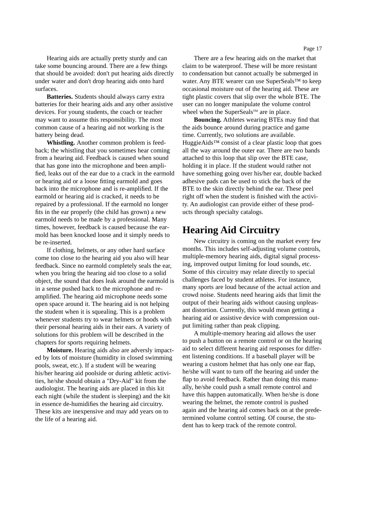Hearing aids are actually pretty sturdy and can take some bouncing around. There are a few things that should be avoided: don't put hearing aids directly under water and don't drop hearing aids onto hard surfaces.

**Batteries.** Students should always carry extra batteries for their hearing aids and any other assistive devices. For young students, the coach or teacher may want to assume this responsibility. The most common cause of a hearing aid not working is the battery being dead.

**Whistling.** Another common problem is feedback; the whistling that you sometimes hear coming from a hearing aid. Feedback is caused when sound that has gone into the microphone and been amplied, leaks out of the ear due to a crack in the earmold or hearing aid or a loose Þtting earmold and goes back into the microphone and is re-ampliÞed. If the earmold or hearing aid is cracked, it needs to be repaired by a professional. If the earmold no longer bts in the ear properly (the child has grown) a new earmold needs to be made by a professional. Many times, however, feedback is caused because the earmold has been knocked loose and it simply needs to be re-inserted.

If clothing, helmets, or any other hard surface come too close to the hearing aid you also will hear feedback. Since no earmold completely seals the ear, when you bring the hearing aid too close to a solid object, the sound that does leak around the earmold is in a sense pushed back to the microphone and reampliÞed. The hearing aid microphone needs some open space around it. The hearing aid is not helping the student when it is squealing. This is a problem whenever students try to wear helmets or hoods with their personal hearing aids in their ears. A variety of solutions for this problem will be described in the chapters for sports requiring helmets.

**Moisture.** Hearing aids also are adversly impacted by lots of moisture (humidity in closed swimming pools, sweat, etc.). If a student will be wearing his/her hearing aid poolside or during athletic activities, he/she should obtain a "Dry-Aid" kit from the audiologist. The hearing aids are placed in this kit each night (while the student is sleeping) and the kit in essence de-humidiÞes the hearing aid circuitry. These kits are inexpensive and may add years on to the life of a hearing aid.

There are a few hearing aids on the market that claim to be waterproof. These will be more resistant to condensation but cannot actually be submerged in water. Any BTE wearer can use SuperSeals" to keep occasional moisture out of the hearing aid. These are tight plastic covers that slip over the whole BTE. The user can no longer manipulate the volume control wheel when the SuperSeals™ are in place.

**Bouncing.** Athletes wearing BTEs may Þnd that the aids bounce around during practice and game time. Currently, two solutions are available. HuggieAids" consist of a clear plastic loop that goes all the way around the outer ear. There are two bands attached to this loop that slip over the BTE case, holding it in place. If the student would rather not have something going over his/her ear, double backed adhesive pads can be used to stick the back of the BTE to the skin directly behind the ear. These peel right off when the student is Þnished with the activity. An audiologist can provide either of these products through specialty catalogs.

### **Hearing Aid Circuitry**

New circuitry is coming on the market every few months. This includes self-adjusting volume controls, multiple-memory hearing aids, digital signal processing, improved output limitng for loud sounds, etc. Some of this circuitry may relate directly to special challenges faced by student athletes. For instance, many sports are loud because of the actual action and crowd noise. Students need hearing aids that limit the output of their hearing aids without causing unpleasant distortion. Currently, this would mean getting a hearing aid or assistive device with compression output limiting rather than peak clipping.

A multiple-memory hearing aid allows the user to push a button on a remote control or on the hearing aid to select different hearing aid responses for different listening conditions. If a baseball player will be wearing a custom helmet that has only one ear ßap, he/she will want to turn off the hearing aid under the ap to avoid feedback. Rather than doing this manually, he/she could push a small remote control and have this happen automatically. When he/she is done wearing the helmet, the remote control is pushed again and the hearing aid comes back on at the predetermined volume control setting. Of course, the student has to keep track of the remote control.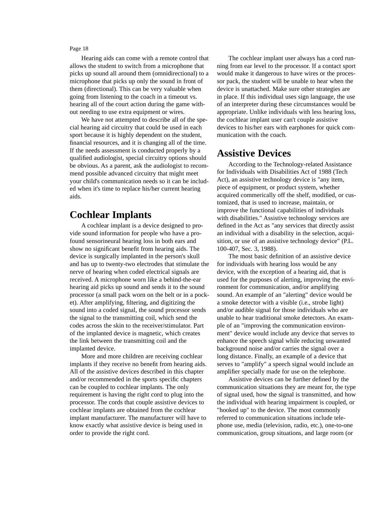Hearing aids can come with a remote control that allows the student to switch from a microphone that picks up sound all around them (omnidirectional) to a microphone that picks up only the sound in front of them (directional). This can be very valuable when going from listening to the coach in a timeout vs. hearing all of the court action during the game without needing to use extra equipment or wires.

We have not attempted to describe all of the special hearing aid circuitry that could be used in each sport because it is highly dependent on the student, nancial resources, and it is changing all of the time. If the needs assessment is conducted properly by a qualiÞed audiologist, special circuitry options should be obvious. As a parent, ask the audiologist to recommend possible advanced circuitry that might meet your child's communication needs so it can be included when it's time to replace his/her current hearing aids.

### **Cochlear Implants**

A cochlear implant is a device designed to provide sound information for people who have a profound sensorineural hearing loss in both ears and show no signiÞcant beneÞt from hearing aids. The device is surgically implanted in the person's skull and has up to twenty-two electrodes that stimulate the nerve of hearing when coded electrical signals are received. A microphone worn like a behind-the-ear hearing aid picks up sound and sends it to the sound processor (a small pack worn on the belt or in a pocket). After amplifying, Þltering, and digitizing the sound into a coded signal, the sound processor sends the signal to the transmitting coil, which send the codes across the skin to the receiver/stimulator. Part of the implanted device is magnetic, which creates the link between the transmitting coil and the implanted device.

More and more children are receiving cochlear implants if they receive no beneÞt from hearing aids. All of the assistive devices described in this chapter and/or recommended in the sports speciÞc chapters can be coupled to cochlear implants. The only requirement is having the right cord to plug into the processor. The cords that couple assistive devices to cochlear implants are obtained from the cochlear implant manufacturer. The manufacturer will have to know exactly what assistive device is being used in order to provide the right cord.

The cochlear implant user always has a cord running from ear level to the processor. If a contact sport would make it dangerous to have wires or the processor pack, the student will be unable to hear when the device is unattached. Make sure other strategies are in place. If this individual uses sign language, the use of an interpreter during these circumstances would be appropriate. Unlike individuals with less hearing loss, the cochlear implant user can't couple assistive devices to his/her ears with earphones for quick communication with the coach.

### **Assistive Devices**

According to the Technology-related Assistance for Individuals with Disabilities Act of 1988 (Tech Act), an assistive technology device is "any item, piece of equipment, or product system, whether acquired commerically off the shelf, modiÞed, or customized, that is used to increase, maintain, or improve the functional capabilities of individuals with disabilities." Assistive technology services are deÞned in the Act as "any services that directly assist an individual with a disability in the selection, acquisition, or use of an assistive technology device" (P.L. 100-407, Sec. 3, 1988).

The most basic deÞnition of an assistive device for individuals with hearing loss would be any device, with the exception of a hearing aid, that is used for the purposes of alerting, improving the environment for communication, and/or amplifying sound. An example of an "alerting" device would be a smoke detector with a visible (i.e., strobe light) and/or audible signal for those individuals who are unable to hear traditional smoke detectors. An example of an "improving the communication environment" device would include any device that serves to enhance the speech signal while reducing unwanted background noise and/or carries the signal over a long distance. Finally, an example of a device that serves to "amplify" a speech signal would include an ampliÞer specially made for use on the telephone.

Assistive devices can be further deÞned by the communication situations they are meant for, the type of signal used, how the signal is transmitted, and how the individual with hearing impairment is coupled, or "hooked up" to the device. The most commonly referred to communication situations include telephone use, media (television, radio, etc.), one-to-one communication, group situations, and large room (or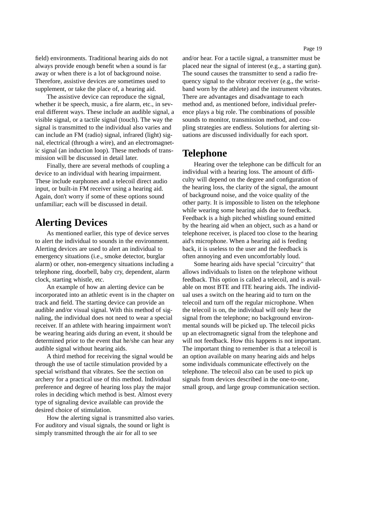eld) environments. Traditional hearing aids do not always provide enough beneÞt when a sound is far away or when there is a lot of background noise. Therefore, assistive devices are sometimes used to supplement, or take the place of, a hearing aid.

The assistive device can reproduce the signal, whether it be speech, music, a Þre alarm, etc., in several different ways. These include an audible signal, a visible signal, or a tactile signal (touch). The way the signal is transmitted to the individual also varies and can include an FM (radio) signal, infrared (light) signal, electrical (through a wire), and an electromagnetic signal (an induction loop). These methods of transmission will be discussed in detail later.

Finally, there are several methods of coupling a device to an individual with hearing impairment. These include earphones and a telecoil direct audio input, or built-in FM receiver using a hearing aid. Again, don't worry if some of these options sound unfamiliar; each will be discussed in detail.

### **Alerting Devices**

As mentioned earlier, this type of device serves to alert the individual to sounds in the environment. Alerting devices are used to alert an individual to emergency situations (i.e., smoke detector, burglar alarm) or other, non-emergency situations including a telephone ring, doorbell, baby cry, dependent, alarm clock, starting whistle, etc.

An example of how an alerting device can be incorporated into an athletic event is in the chapter on track and Þeld. The starting device can provide an audible and/or visual signal. With this method of signaling, the individual does not need to wear a special receiver. If an athlete with hearing impairment won't be wearing hearing aids during an event, it should be determined prior to the event that he/she can hear any audible signal without hearing aids.

A third method for receiving the signal would be through the use of tactile stimulation provided by a special wristband that vibrates. See the section on archery for a practical use of this method. Individual preference and degree of hearing loss play the major roles in deciding which method is best. Almost every type of signaling device available can provide the desired choice of stimulation.

How the alerting signal is transmitted also varies. For auditory and visual signals, the sound or light is simply transmitted through the air for all to see

and/or hear. For a tactile signal, a transmitter must be placed near the signal of interest (e.g., a starting gun). The sound causes the transmitter to send a radio frequency signal to the vibrator receiver (e.g., the wristband worn by the athlete) and the instrument vibrates. There are advantages and disadvantage to each method and, as mentioned before, individual preference plays a big role. The combinations of possible sounds to monitor, transmission method, and coupling strategies are endless. Solutions for alerting situations are discussed individually for each sport.

### **Telephone**

Hearing over the telephone can be difPcult for an individual with a hearing loss. The amount of difbculty will depend on the degree and conÞguration of the hearing loss, the clarity of the signal, the amount of background noise, and the voice quality of the other party. It is impossible to listen on the telephone while wearing some hearing aids due to feedback. Feedback is a high pitched whistling sound emitted by the hearing aid when an object, such as a hand or telephone receiver, is placed too close to the hearing aid's microphone. When a hearing aid is feeding back, it is useless to the user and the feedback is often annoying and even uncomfortably loud.

Some hearing aids have special "circuitry" that allows individuals to listen on the telephone without feedback. This option is called a telecoil, and is available on most BTE and ITE hearing aids. The individual uses a switch on the hearing aid to turn on the telecoil and turn off the regular microphone. When the telecoil is on, the individual will only hear the signal from the telephone; no background environmental sounds will be picked up. The telecoil picks up an electromagnetic signal from the telephone and will not feedback. How this happens is not important. The important thing to remember is that a telecoil is an option available on many hearing aids and helps some individuals communicate effectively on the telephone. The telecoil also can be used to pick up signals from devices described in the one-to-one, small group, and large group communication section.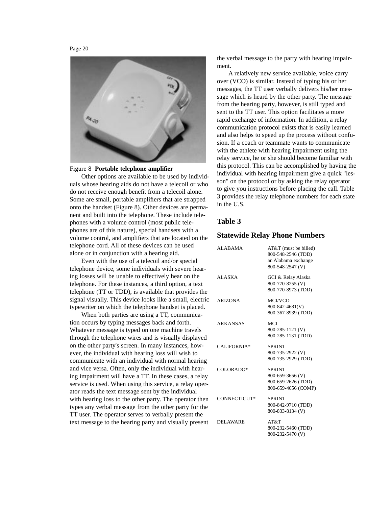

#### Figure 8 **Portable telephone ampliÞer**

Other options are available to be used by individuals whose hearing aids do not have a telecoil or who do not receive enough beneÞt from a telecoil alone. Some are small, portable ampliÞers that are strapped onto the handset (Figure 8). Other devices are permanent and built into the telephone. These include telephones with a volume control (most public telephones are of this nature), special handsets with a volume control, and ampliÞers that are located on the telephone cord. All of these devices can be used alone or in conjunction with a hearing aid.

Even with the use of a telecoil and/or special telephone device, some individuals with severe hearing losses will be unable to effectively hear on the telephone. For these instances, a third option, a text telephone (TT or TDD), is available that provides the signal visually. This device looks like a small, electric typewriter on which the telephone handset is placed.

When both parties are using a TT, communication occurs by typing messages back and forth. Whatever message is typed on one machine travels through the telephone wires and is visually displayed on the other party's screen. In many instances, however, the individual with hearing loss will wish to communicate with an individual with normal hearing and vice versa. Often, only the individual with hearing impairment will have a TT. In these cases, a relay service is used. When using this service, a relay operator reads the text message sent by the individual with hearing loss to the other party. The operator then types any verbal message from the other party for the TT user. The operator serves to verbally present the text message to the hearing party and visually present

the verbal message to the party with hearing impairment.

A relatively new service available, voice carry over (VCO) is similar. Instead of typing his or her messages, the TT user verbally delivers his/her message which is heard by the other party. The message from the hearing party, however, is still typed and sent to the TT user. This option facilitates a more rapid exchange of information. In addition, a relay communication protocol exists that is easily learned and also helps to speed up the process without confusion. If a coach or teammate wants to communicate with the athlete with hearing impairment using the relay service, he or she should become familiar with this protocol. This can be accomplished by having the individual with hearing impairment give a quick "lesson" on the protocol or by asking the relay operator to give you instructions before placing the call. Table 3 provides the relay telephone numbers for each state in the U.S.

### **Table 3**

### **Statewide Relay Phone Numbers**

| <b>ALABAMA</b>  | AT&T (must be billed)<br>800-548-2546 (TDD)<br>an Alabama exchange<br>800-548-2547 (V) |
|-----------------|----------------------------------------------------------------------------------------|
| <b>ALASKA</b>   | GCI & Relay Alaska<br>800-770-8255 (V)<br>800-770-8973 (TDD)                           |
| <b>ARIZONA</b>  | <b>MCI/VCD</b><br>800-842-4681(V)<br>800-367-8939 (TDD)                                |
| <b>ARKANSAS</b> | <b>MCI</b><br>800-285-1121 (V)<br>800-285-1131 (TDD)                                   |
| CALIFORNIA*     | <b>SPRINT</b><br>800-735-2922 (V)<br>800-735-2929 (TDD)                                |
| COLORADO*       | <b>SPRINT</b><br>800-659-3656 (V)<br>800-659-2626 (TDD)<br>800-659-4656 (COMP)         |
| CONNECTICUT*    | <b>SPRINT</b><br>800-842-9710 (TDD)<br>800-833-8134 (V)                                |
| <b>DELAWARE</b> | AT&T<br>800-232-5460 (TDD)<br>800-232-5470 (V)                                         |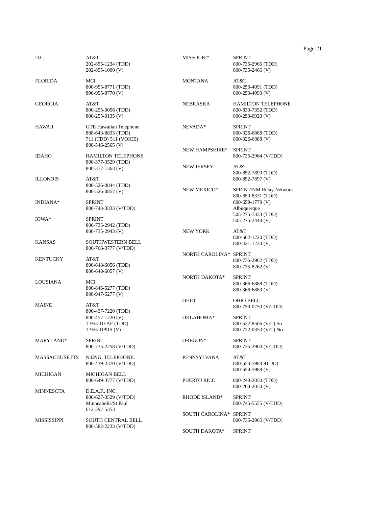| D.C.                 | AT&T<br>202-855-1234 (TDD)<br>$202 - 855 - 1000$ (V)                         | <b>MISSOURI*</b>       | <b>SPRINT</b><br>800-735-2966 (TDD)<br>$800 - 735 - 2466$ (V)             |
|----------------------|------------------------------------------------------------------------------|------------------------|---------------------------------------------------------------------------|
| <b>FLORIDA</b>       | MCI<br>800-955-8771 (TDD)<br>800-955-8770 (V)                                | <b>MONTANA</b>         | AT&T<br>800-253-4091 (TDD)<br>800-253-4093 (V)                            |
| GEORGIA              | AT&T<br>800-255-0056 (TDD)<br>800-255-0135 (V)                               | NEBRASKA               | <b>HAMILTON TELEPHONE</b><br>800-833-7352 (TDD)<br>$800 - 253 - 0920$ (V) |
| <b>HAWAII</b>        | <b>GTE Hawaiian Telephone</b><br>808-643-8833 (TDD)<br>711 (TDD) 511 (VOICE) | NEVADA*                | <b>SPRINT</b><br>800-326-6868 (TDD)<br>800-326-6888 (V)                   |
| <b>IDAHO</b>         | 808-546-2565 (V)<br><b>HAMILTON TELEPHONE</b><br>800-377-3529 (TDD)          | NEW HAMPSHIRE*         | <b>SPRINT</b><br>800-735-2964 (V/TDD)                                     |
| <b>ILLONOIS</b>      | 800-377-1363 (V)<br>AT&T                                                     | <b>NEW JERSEY</b>      | AT&T<br>800-852-7899 (TDD)<br>800-852-7897 (V)                            |
| INDIANA*             | 800-526-0844 (TDD)<br>800-526-0857 (V)<br><b>SPRINT</b>                      | NEW MEXICO*            | SPRINT/NM Relay Network<br>800-659-8331 (TDD)<br>800-659-1779 (V)         |
| IOWA*                | 800-743-3333 (V/TDD)<br><b>SPRINT</b>                                        |                        | Albuquerque<br>505-275-7333 (TDD)<br>505-275-2444 (V)                     |
| <b>KANSAS</b>        | 800-735-2942 (TDD)<br>$800 - 735 - 2943$ (V)<br><b>SOUTHWESTERN BELL</b>     | <b>NEW YORK</b>        | AT&T<br>800-662-1220 (TDD)<br>$800 - 421 - 1220$ (V)                      |
| KENTUCKY             | 800-766-3777 (V/TDD)<br>AT&T<br>800-648-6056 (TDD)                           | NORTH CAROLINA* SPRINT | 800-735-2962 (TDD)<br>$800 - 735 - 8262$ (V)                              |
| LOUSIANA             | $800 - 648 - 6057$ (V)<br>MCI<br>800-846-5277 (TDD)                          | NORTH DAKOTA*          | <b>SPRINT</b><br>800-366-6888 (TDD)<br>$800 - 366 - 6889$ (V)             |
| <b>MAINE</b>         | 800-947-5277 (V)<br>AT&T<br>800-437-7220 (TDD)                               | OHIO                   | <b>OHIO BELL</b><br>800-750-0750 (V/TDD)                                  |
|                      | $800 - 457 - 1220$ (V)<br>1-955-DEAF (TDD)<br>1-955-DPRS (V)                 | OKLAHOMA*              | <b>SPRINT</b><br>800-522-8506 (V/T) So<br>800-722-0353 (V/T) No           |
| MARYLAND*            | <b>SPRINT</b><br>800-735-2258 (V/TDD)                                        | OREGON*                | <b>SPRINT</b><br>800-735-2900 (V/TDD)                                     |
| <b>MASSACHUSETTS</b> | N.ENG. TELEPHONE.<br>800-439-2370 (V/TDD)                                    | PENNSYLVANA            | AT&T<br>800-654-5984 9TDD)                                                |
| <b>MICHIGAN</b>      | <b>MICHIGAN BELL</b><br>800-649-3777 (V/TDD)                                 | PUERTO RICO            | 800-654-5988 (V)<br>800-240-2050 (TDD)<br>800-260-2050 (V)                |
| <b>MINNESOTA</b>     | D.E.A.F., INC.<br>800-627-3529 (V/TDD)<br>Minneapolis/St.Paul                | <b>RHODE ISLAND*</b>   | <b>SPRINT</b><br>800-745-5555 (V/TDD)                                     |
| MISSISSIPPI          | 612-297-5353<br><b>SOUTH CENTRAL BELL</b>                                    | SOUTH CAROLINA* SPRINT | 800-735-2905 (V/TDD)                                                      |
|                      | 800-582-2233 (V/TDD)                                                         | SOUTH DAKOTA*          | <b>SPRINT</b>                                                             |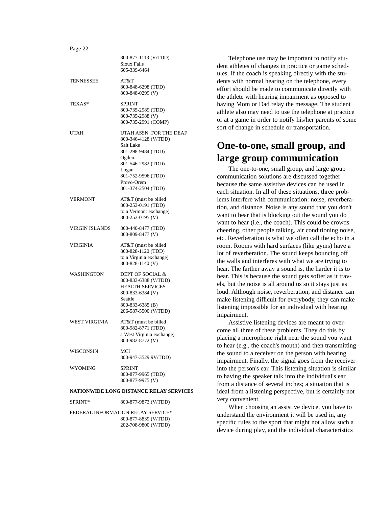|                       | 800-877-1113 (V/TDD)<br><b>Sioux Falls</b><br>605-339-6464                                                                                                                                  |
|-----------------------|---------------------------------------------------------------------------------------------------------------------------------------------------------------------------------------------|
| <b>TENNESSEE</b>      | AT&T<br>800-848-6298 (TDD)<br>800-848-0299 (V)                                                                                                                                              |
| TEXAS*                | <b>SPRINT</b><br>800-735-2989 (TDD)<br>800-735-2988 (V)<br>800-735-2991 (COMP)                                                                                                              |
| <b>UTAH</b>           | UTAH ASSN. FOR THE DEAF<br>800-346-4128 (V/TDD)<br><b>Salt Lake</b><br>801-298-9484 (TDD)<br>Ogden<br>801-546-2982 (TDD)<br>Logan<br>801-752-9596 (TDD)<br>Provo-Orem<br>801-374-2504 (TDD) |
| <b>VERMONT</b>        | AT&T (must be billed<br>800-253-0191 (TDD)<br>to a Vermont exchange)<br>800-253-0195 (V)                                                                                                    |
| <b>VIRGIN ISLANDS</b> | 800-440-8477 (TDD)<br>800-809-8477 (V)                                                                                                                                                      |
| <b>VIRGINIA</b>       | AT&T (must be billed<br>800-828-1120 (TDD)<br>to a Virginia exchange)<br>800-828-1140 (V)                                                                                                   |
| <b>WASHINGTON</b>     | <b>DEPT OF SOCIAL &amp;</b><br>800-833-6388 (V/TDD)<br><b>HEALTH SERVICES</b><br>800-833-6384 (V)<br>Seattle<br>800-833-6385 (B)<br>206-587-5500 (V/TDD)                                    |
| <b>WEST VIRGINIA</b>  | AT&T (must be billed<br>800-982-8771 (TDD)<br>a West Virginia exchange)<br>800-982-8772 (V)                                                                                                 |
| WISCONSIN             | MCI<br>800-947-3529 9V/TDD)                                                                                                                                                                 |
| WYOMING               | <b>SPRINT</b><br>800-877-9965 (TDD)<br>800-877-9975 (V)                                                                                                                                     |

#### **NATIONWIDE LONG DISTANCE RELAY SERVICES**

SPRINT\* 800-877-9873 (V/TDD)

FEDERAL INFORMATION RELAY SERVICE\* 800-877-8839 (V/TDD) 202-708-9800 (V/TDD)

Telephone use may be important to notify student athletes of changes in practice or game schedules. If the coach is speaking directly with the students with normal hearing on the telephone, every effort should be made to communicate directly with the athlete with hearing impairment as opposed to having Mom or Dad relay the message. The student athlete also may need to use the telephone at practice or at a game in order to notify his/her parents of some sort of change in schedule or transportation.

### **One-to-one, small group, and large group communication**

The one-to-one, small group, and large group communication solutions are discussed together because the same assistive devices can be used in each situation. In all of these situations, three problems interfere with communication: noise, reverberation, and distance. Noise is any sound that you don't want to hear that is blocking out the sound you do want to hear (i.e., the coach). This could be crowds cheering, other people talking, air conditioning noise, etc. Reverberation is what we often call the echo in a room. Rooms with hard surfaces (like gyms) have a lot of reverberation. The sound keeps bouncing off the walls and interferes with what we are trying to hear. The farther away a sound is, the harder it is to hear. This is because the sound gets softer as it travels, but the noise is all around us so it stays just as loud. Although noise, reverberation, and distance can make listening difÞcult for everybody, they can make listening impossible for an individual with hearing impairment.

Assistive listening devices are meant to overcome all three of these problems. They do this by placing a microphone right near the sound you want to hear (e.g., the coach's mouth) and then transmitting the sound to a receiver on the person with hearing impairment. Finally, the signal goes from the receiver into the person's ear. This listening situation is similar to having the speaker talk into the individual's ear from a distance of several inches; a situation that is ideal from a listening perspective, but is certainly not very convenient.

When choosing an assistive device, you have to understand the environment it will be used in, any speciÞc rules to the sport that might not allow such a device during play, and the individual characteristics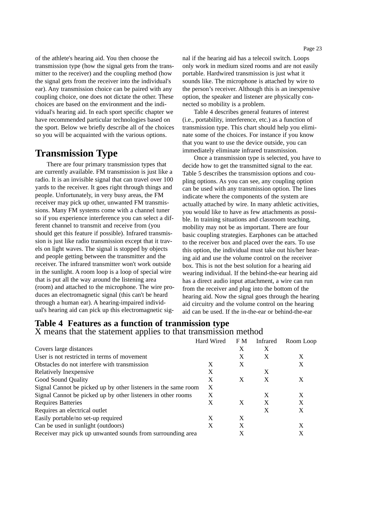of the athlete's hearing aid. You then choose the transmission type (how the signal gets from the transmitter to the receiver) and the coupling method (how the signal gets from the receiver into the individual's ear). Any transmission choice can be paired with any coupling choice, one does not dictate the other. These choices are based on the environment and the individual's hearing aid. In each sport speciÞc chapter we have recommended particular technologies based on the sport. Below we brießy describe all of the choices so you will be acquainted with the various options.

### **Transmission Type**

There are four primary transmission types that are currently available. FM transmission is just like a radio. It is an invisible signal that can travel over 100 yards to the receiver. It goes right through things and people. Unfortunately, in very busy areas, the FM receiver may pick up other, unwanted FM transmissions. Many FM systems come with a channel tuner so if you experience interference you can select a different channel to transmit and receive from (you should get this feature if possible). Infrared transmission is just like radio transmission except that it travels on light waves. The signal is stopped by objects and people getting between the transmitter and the receiver. The infrared transmitter won't work outside in the sunlight. A room loop is a loop of special wire that is put all the way around the listening area (room) and attached to the microphone. The wire produces an electromagnetic signal (this can't be heard through a human ear). A hearing-impaired individual's hearing aid can pick up this electromagnetic signal if the hearing aid has a telecoil switch. Loops only work in medium sized rooms and are not easily portable. Hardwired transmission is just what it sounds like. The microphone is attached by wire to the personÕs receiver. Although this is an inexpensive option, the speaker and listener are physically connected so mobility is a problem.

Table 4 describes general features of interest (i.e., portability, interference, etc.) as a function of transmission type. This chart should help you eliminate some of the choices. For instance if you know that you want to use the device outside, you can immediately eliminate infrared transmission.

Once a transmission type is selected, you have to decide how to get the transmitted signal to the ear. Table 5 describes the transmission options and coupling options. As you can see, any coupling option can be used with any transmission option. The lines indicate where the components of the system are actually attached by wire. In many athletic activities, you would like to have as few attachments as possible. In training situations and classroom teaching, mobility may not be as important. There are four basic coupling strategies. Earphones can be attached to the receiver box and placed over the ears. To use this option, the individual must take out his/her hearing aid and use the volume control on the receiver box. This is not the best solution for a hearing aid wearing individual. If the behind-the-ear hearing aid has a direct audio input attachment, a wire can run from the receiver and plug into the bottom of the hearing aid. Now the signal goes through the hearing aid circuitry and the volume control on the hearing aid can be used. If the in-the-ear or behind-the-ear

# **Table 4 Features as a function of tranmission type** X means that the statement applies to that transmission method

|                                                                | <b>Hard Wired</b> | F M | <b>Infrared</b> | Room Loop |
|----------------------------------------------------------------|-------------------|-----|-----------------|-----------|
| Covers large distances                                         |                   | X   | X               |           |
| User is not restricted in terms of movement                    |                   | X   | X               | X         |
| Obstacles do not interfere with transmission                   | X                 | X   |                 | X         |
| <b>Relatively Inexpensive</b>                                  | X                 |     | X               |           |
| <b>Good Sound Quality</b>                                      | X                 | X   | X               | X         |
| Signal Cannot be picked up by other listeners in the same room | X                 |     |                 |           |
| Signal Cannot be picked up by other listeners in other rooms   | X                 |     | X               | X         |
| <b>Requires Batteries</b>                                      | X                 | X   | X               | X         |
| Requires an electrical outlet                                  |                   |     | x               | X         |
| Easily portable/no set-up required                             | X                 | X   |                 |           |
| Can be used in sunlight (outdoors)                             | X                 | х   |                 | X         |
| Receiver may pick up unwanted sounds from surrounding area     |                   |     |                 | х         |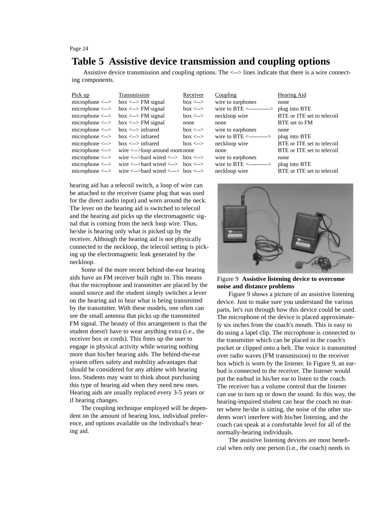# **Table 5 Assistive device transmission and coupling options**

Assistive device transmission and coupling options. The <--> lines indicate that there is a wire connecting components.

| Pick up                    | Transmission                                                                   | Receiver         |
|----------------------------|--------------------------------------------------------------------------------|------------------|
| $microbone < \rightarrow$  | $box \leftarrow$ FM signal                                                     | $box \leftarrow$ |
| microphone <-->            | $box \leftarrow$ FM signal                                                     | $box \leftarrow$ |
| $microphone < \rightarrow$ | $box \leftarrow$ FM signal                                                     | $box \leftarrow$ |
| microphone $\leftarrow$    | $box \leftarrow$ FM signal                                                     | none             |
| microphone $\leftarrow$    | $box \leftarrow > infrared$                                                    | $box \leftarrow$ |
| microphone $\leftarrow$    | $box \leftarrow > infrared$                                                    | $box \leftarrow$ |
| microphone <-->            | $box \leftarrow$ infrared                                                      | $box \leftarrow$ |
| microphone $\leftarrow$    | wire $\langle -2$ loop around room none                                        |                  |
| microphone $\leftarrow$    | wire $\leftarrow$ ->hard wired $\leftarrow$ -> box $\leftarrow$ ->             |                  |
| microphone <-->            | wire $\langle -\rangle$ ->hard wired $\langle -\rangle$ box $\langle -\rangle$ |                  |
| $microphone < \rightarrow$ | wire $\langle -\rangle$ ->hard wired $\langle -\rangle$ box $\langle -\rangle$ |                  |

hearing aid has a telecoil switch, a loop of wire can be attached to the receiver (same plug that was used for the direct audio input) and worn around the neck. The lever on the hearing aid is switched to telecoil and the hearing aid picks up the electromagnetic signal that is coming from the neck loop wire. Thus, he/she is hearing only what is picked up by the receiver. Although the hearing aid is not physically connected to the neckloop, the telecoil setting is picking up the electromagnetic leak generated by the neckloop.

Some of the more recent behind-the-ear hearing aids have an FM receiver built right in. This means that the microphone and transmitter are placed by the sound source and the student simply switches a lever on the hearing aid to hear what is being transmitted by the transmitter. With these models, one often can see the small antenna that picks up the transmitted FM signal. The beauty of this arrangement is that the student doesn't have to wear anything extra (i.e., the receiver box or cords). This frees up the user to engage in physical activity while wearing nothing more than his/her hearing aids. The behind-the-ear system offers safety and mobility advantages that should be considered for any athlete with hearing loss. Students may want to think about purchasing this type of hearing aid when they need new ones. Hearing aids are usually replaced every 3-5 years or if hearing changes.

The coupling technique employed will be dependent on the amount of hearing loss, individual preference, and options available on the individual's hearing aid.

Coupling Hearing Aid wire to earphones none wire to BTE <-----------> plug into BTE meckloop wire BTE or ITE set to telecoil none BTE set to FM wire to earphones none wire to BTE <----------> plug into BTE meckloop wire BTE or ITE set to telecoil mone BTE or ITE set to telecoil wire to earphones none wire to BTE <----------> plug into BTE meckloop wire BTE or ITE set to telecoil



### Figure 9 **Assistive listening device to overcome noise and distance problems**

Figure 9 shows a picture of an assistive listening device. Just to make sure you understand the various parts, let's run through how this device could be used. The microphone of the device is placed approximately six inches from the coach's mouth. This is easy to do using a lapel clip. The microphone is connected to the transmitter which can be placed in the coach's pocket or clipped onto a belt. The voice is transmitted over radio waves (FM transmission) to the receiver box which is worn by the listener. In Figure 9, an earbud is connected to the receiver. The listener would put the earbud in his/her ear to listen to the coach. The receiver has a volume control that the listener can use to turn up or down the sound. In this way, the hearing-impaired student can hear the coach no matter where he/she is sitting, the noise of the other students won't interfere with his/her listening, and the coach can speak at a comfortable level for all of the normally-hearing individuals.

The assistive listening devices are most beneÞcial when only one person (i.e., the coach) needs to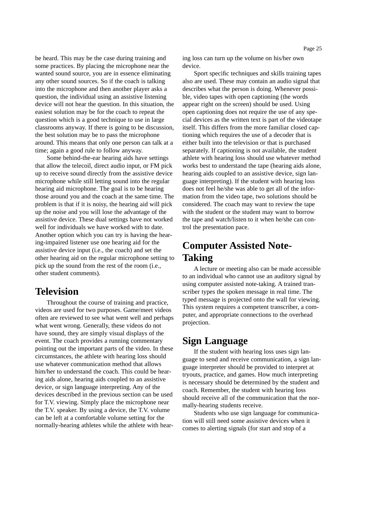be heard. This may be the case during training and some practices. By placing the microphone near the wanted sound source, you are in essence eliminating any other sound sources. So if the coach is talking into the microphone and then another player asks a question, the individual using an assistive listening device will not hear the question. In this situation, the easiest solution may be for the coach to repeat the question which is a good technique to use in large classrooms anyway. If there is going to be discussion, the best solution may be to pass the microphone around. This means that only one person can talk at a time; again a good rule to follow anyway.

Some behind-the-ear hearing aids have settings that allow the telecoil, direct audio input, or FM pick up to receive sound directly from the assistive device microphone while still letting sound into the regular hearing aid microphone. The goal is to be hearing those around you and the coach at the same time. The problem is that if it is noisy, the hearing aid will pick up the noise and you will lose the advantage of the assistive device. These dual settings have not worked well for individuals we have worked with to date. Another option which you can try is having the hearing-impaired listener use one hearing aid for the assistive device input (i.e., the coach) and set the other hearing aid on the regular microphone setting to pick up the sound from the rest of the room (i.e., other student comments).

### **Television**

Throughout the course of training and practice, videos are used for two purposes. Game/meet videos often are reviewed to see what went well and perhaps what went wrong. Generally, these videos do not have sound, they are simply visual displays of the event. The coach provides a running commentary pointing out the important parts of the video. In these circumstances, the athlete with hearing loss should use whatever communication method that allows him/her to understand the coach. This could be hearing aids alone, hearing aids coupled to an assistive device, or sign language interpreting. Any of the devices described in the previous section can be used for T.V. viewing. Simply place the microphone near the T.V. speaker. By using a device, the T.V. volume can be left at a comfortable volume setting for the normally-hearing athletes while the athlete with hearing loss can turn up the volume on his/her own device.

Sport speciÞc techniques and skills training tapes also are used. These may contain an audio signal that describes what the person is doing. Whenever possible, video tapes with open captioning (the words appear right on the screen) should be used. Using open captioning does not require the use of any special devices as the written text is part of the videotape itself. This differs from the more familiar closed captioning which requires the use of a decoder that is either built into the television or that is purchased separately. If captioning is not available, the student athlete with hearing loss should use whatever method works best to understand the tape (hearing aids alone, hearing aids coupled to an assistive device, sign language interpreting). If the student with hearing loss does not feel he/she was able to get all of the information from the video tape, two solutions should be considered. The coach may want to review the tape with the student or the student may want to borrow the tape and watch/listen to it when he/she can control the presentation pace.

## **Computer Assisted Note-Taking**

A lecture or meeting also can be made accessible to an individual who cannot use an auditory signal by using computer assisted note-taking. A trained transcriber types the spoken message in real time. The typed message is projected onto the wall for viewing. This system requires a competent transcriber, a computer, and appropriate connections to the overhead projection.

## **Sign Language**

If the student with hearing loss uses sign language to send and receive communication, a sign language interpreter should be provided to interpret at tryouts, practice, and games. How much interpreting is necessary should be determined by the student and coach. Remember, the student with hearing loss should receive all of the communication that the normally-hearing students receive.

Students who use sign language for communication will still need some assistive devices when it comes to alerting signals (for start and stop of a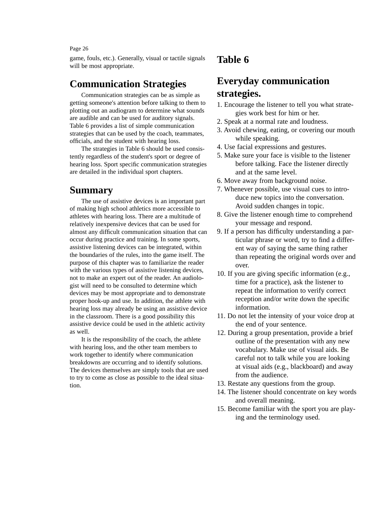game, fouls, etc.). Generally, visual or tactile signals will be most appropriate.

# **Communication Strategies**

Communication strategies can be as simple as getting someone's attention before talking to them to plotting out an audiogram to determine what sounds are audible and can be used for auditory signals. Table 6 provides a list of simple communication strategies that can be used by the coach, teammates, of Pcials, and the student with hearing loss.

The strategies in Table 6 should be used consistently regardless of the student's sport or degree of hearing loss. Sport speciÞc communication strategies are detailed in the individual sport chapters.

## **Summary**

The use of assistive devices is an important part of making high school athletics more accessible to athletes with hearing loss. There are a multitude of relatively inexpensive devices that can be used for almost any dif<sup>p</sup>cult communication situation that can occur during practice and training. In some sports, assistive listening devices can be integrated, within the boundaries of the rules, into the game itself. The purpose of this chapter was to familiarize the reader with the various types of assistive listening devices, not to make an expert out of the reader. An audiologist will need to be consulted to determine which devices may be most appropriate and to demonstrate proper hook-up and use. In addition, the athlete with hearing loss may already be using an assistive device in the classroom. There is a good possibility this assistive device could be used in the athletic activity as well.

It is the responsibility of the coach, the athlete with hearing loss, and the other team members to work together to identify where communication breakdowns are occurring and to identify solutions. The devices themselves are simply tools that are used to try to come as close as possible to the ideal situation.

# **Table 6**

# **Everyday communication strategies.**

- 1. Encourage the listener to tell you what strategies work best for him or her.
- 2. Speak at a normal rate and loudness.
- 3. Avoid chewing, eating, or covering our mouth while speaking.
- 4. Use facial expressions and gestures.
- 5. Make sure your face is visible to the listener before talking. Face the listener directly and at the same level.
- 6. Move away from background noise.
- 7. Whenever possible, use visual cues to introduce new topics into the conversation. Avoid sudden changes in topic.
- 8. Give the listener enough time to comprehend your message and respond.
- 9. If a person has dif pculty understanding a particular phrase or word, try to Þnd a different way of saying the same thing rather than repeating the original words over and over.
- 10. If you are giving speciÞc information (e.g., time for a practice), ask the listener to repeat the information to verify correct reception and/or write down the speciÞc information.
- 11. Do not let the intensity of your voice drop at the end of your sentence.
- 12. During a group presentation, provide a brief outline of the presentation with any new vocabulary. Make use of visual aids. Be careful not to talk while you are looking at visual aids (e.g., blackboard) and away from the audience.
- 13. Restate any questions from the group.
- 14. The listener should concentrate on key words and overall meaning.
- 15. Become familiar with the sport you are playing and the terminology used.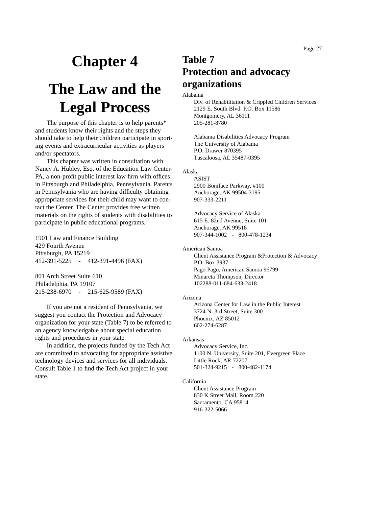# **Chapter 4**

# <span id="page-26-0"></span>**The Law and the Legal Process**

The purpose of this chapter is to help parents\* and students know their rights and the steps they should take to help their children participate in sporting events and extracurricular activities as players and/or spectators.

This chapter was written in consultation with Nancy A. Hubley, Esq. of the Education Law Center-PA, a non-proÞt public interest law Þrm with of Pces in Pittsburgh and Philadelphia, Pennsylvania. Parents in Pennsylvania who are having difpculty obtaining appropriate services for their child may want to contact the Center. The Center provides free written materials on the rights of students with disabilities to participate in public educational programs.

1901 Law and Finance Building 429 Fourth Avenue Pittsburgh, PA 15219 412-391-5225 - 412-391-4496 (FAX)

801 Arch Street Suite 610 Philadelphia, PA 19107 215-238-6970 - 215-625-9589 (FAX)

If you are not a resident of Pennsylvania, we suggest you contact the Protection and Advocacy organization for your state (Table 7) to be referred to an agency knowledgable about special education rights and procedures in your state.

In addition, the projects funded by the Tech Act are committed to advocating for appropriate assistive technology devices and services for all individuals. Consult Table 1 to Þnd the Tech Act project in your state.

# **Table 7 Protection and advocacy organizations**

Alabama

Div. of Rehabilitation & Crippled Children Services 2129 E. South Blvd. P.O. Box 11586 Montgomery, AL 36111 205-281-8780

Alabama Disabilities Advocacy Program The University of Alabama P.O. Drawer 870395 Tuscaloosa, AL 35487-0395

Alaska

ASIST 2900 Boniface Parkway, #100 Anchorage, AK 99504-3195 907-333-2211

Advocacy Service of Alaska 615 E. 82nd Avenue, Suite 101 Anchorage, AK 99518 907-344-1002 - 800-478-1234

American Samoa

Client Assistance Program &Protection & Advocacy P.O. Box 3937 Pago Pago, American Samoa 96799 Minareta Thompson, Director 102288-011-684-633-2418

### Arizona

Arizona Center for Law in the Public Interest 3724 N. 3rd Street, Suite 300 Phoenix, AZ 85012 602-274-6287

### Arkansas

Advocacy Service, Inc. 1100 N. University, Suite 201, Evergreen Place Little Rock, AR 72207 501-324-9215 - 800-482-1174

### California

Client Assistance Program 830 K Street Mall, Room 220 Sacramento, CA 95814 916-322-5066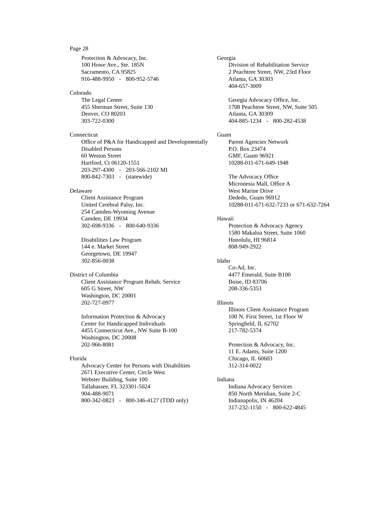Protection & Advocacy, Inc. 100 Howe Ave., Ste. 185N Sacramento, CA 95825 916-488-9950 - 800-952-5746

#### Colorado

The Legal Center 455 Sherman Street, Suite 130 Denver, CO 80203 303-722-0300

### Connecticut

OfÞce of P&A for Handicapped and Developmentally Disabled Persons 60 Weston Street Hartford, Ct 06120-1551 203-297-4300 - 203-566-2102 MI 800-842-7303 - (statewide)

#### Delaware

Client Assistance Program United Cerebral Palsy, Inc. 254 Camden-Wyoming Avenue Camden, DE 19934 302-698-9336 - 800-640-9336

Disabilities Law Program 144 e. Market Street Georgetown, DE 19947 302-856-0038

### District of Columbia

Client Assistance Program Rehab. Service 605 G Street, NW Washington, DC 20001 202-727-0977

Information Protection & Advocacy Center for Handicapped Individuals 4455 Connecticut Ave., NW Suite B-100 Washington, DC 20008 202-966-8081

### Florida

Advocacy Center for Persons with Disabilities 2671 Executive Center, Circle West Webster Building, Suite 100 Tallahassee, FL 323301-5024 904-488-9071 800-342-0823 - 800-346-4127 (TDD only)

Georgia Division of Rehabilitation Service 2 Peachtree Street, NW, 23rd Floor Atlanta, GA 30303 404-657-3009

> Georgia Advocacy Ofbce, Inc. 1708 Peachtree Street, NW, Suite 505 Atlanta, GA 30309 404-885-1234 - 800-282-4538

### Guam

Parent Agencies Network P.O. Box 23474 GMF, Guam 96921 10288-011-671-649-1948

The Advocacy Of Pce Micronesia Mall, Ofbce A West Marine Drive Dededo, Guam 96912 10288-011-671-632-7233 or 671-632-7264

#### Hawaii

Protection & Advocacy Agency 1580 Makaloa Street, Suite 1060 Honolulu, HI 96814 808-949-2922

#### Idaho

Co-Ad, Inc. 4477 Emerald, Suite B100 Boise, ID 83706 208-336-5353

#### Illinois

Illinois Client Assistance Program 100 N. First Street, 1st Floor W SpringÞeld, IL 62702 217-782-5374

Protection & Advocacy, Inc. 11 E. Adams, Suite 1200 Chicago, IL 60603 312-314-0022

Indiana Indiana Advocacy Services 850 North Meridian, Suite 2-C Indianapolis, IN 46204 317-232-1150 - 800-622-4845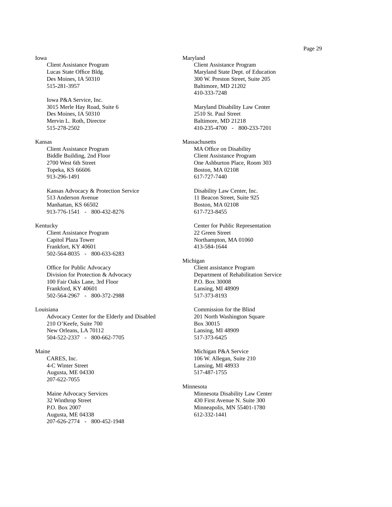#### Iowa

Client Assistance Program Lucas State Of Pce Bldg. Des Moines, IA 50310 515-281-3957

Iowa P&A Service, Inc. 3015 Merle Hay Road, Suite 6 Des Moines, IA 50310 Mervin L. Roth, Director 515-278-2502

### Kansas

Client Assistance Program Biddle Building, 2nd Floor 2700 West 6th Street Topeka, KS 66606 913-296-1491

Kansas Advocacy & Protection Service 513 Anderson Avenue Manhattan, KS 66502 913-776-1541 - 800-432-8276

#### Kentucky

Client Assistance Program Capitol Plaza Tower Frankfort, KY 40601 502-564-8035 - 800-633-6283

Of Pce for Public Advocacy Division for Protection & Advocacy 100 Fair Oaks Lane, 3rd Floor Frankford, KY 40601 502-564-2967 - 800-372-2988

### Louisiana

Advocacy Center for the Elderly and Disabled 210 OÕKeefe, Suite 700 New Orleans, LA 70112 504-522-2337 - 800-662-7705

### Maine

CARES, Inc. 4-C Winter Street Augusta, ME 04330 207-622-7055

Maine Advocacy Services 32 Winthrop Street P.O. Box 2007 Augusta, ME 04338 207-626-2774 - 800-452-1948

Maryland Client Assistance Program Maryland State Dept. of Education 300 W. Preston Street, Suite 205 Baltimore, MD 21202 410-333-7248 Maryland Disability Law Center 2510 St. Paul Street Baltimore, MD 21218 410-235-4700 - 800-233-7201 Massachusetts MA Of Pce on Disability Client Assistance Program One Ashburton Place, Room 303 Boston, MA 02108 617-727-7440 Disability Law Center, Inc. 11 Beacon Street, Suite 925 Boston, MA 02108 617-723-8455 Center for Public Representation 22 Green Street Northampton, MA 01060 413-584-1644 Michigan Client assistance Program Department of Rehabilitation Service P.O. Box 30008 Lansing, MI 48909 517-373-8193 Commission for the Blind 201 North Washington Square Box 30015 Lansing, MI 48909 517-373-6425 Michigan P&A Service 106 W. Allegan, Suite 210 Lansing, MI 48933 517-487-1755

#### Minnesota

Minnesota Disability Law Center 430 First Avenue N. Suite 300 Minneapolis, MN 55401-1780 612-332-1441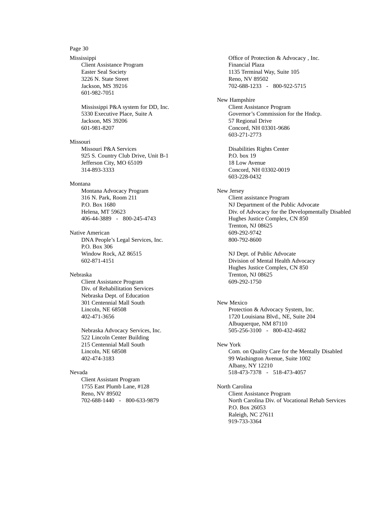Mississippi Client Assistance Program Easter Seal Society 3226 N. State Street Jackson, MS 39216 601-982-7051

> Mississippi P&A system for DD, Inc. 5330 Executive Place, Suite A Jackson, MS 39206 601-981-8207

### Missouri

Missouri P&A Services 925 S. Country Club Drive, Unit B-1 Jefferson City, MO 65109 314-893-3333

#### Montana

Montana Advocacy Program 316 N. Park, Room 211 P.O. Box 1680 Helena, MT 59623 406-44-3889 - 800-245-4743

Native American DNA PeopleÕs Legal Services, Inc. P.O. Box 306 Window Rock, AZ 86515 602-871-4151

### Nebraska

Client Assistance Program Div. of Rehabilitation Services Nebraska Dept. of Education 301 Centennial Mall South Lincoln, NE 68508 402-471-3656

Nebraska Advocacy Services, Inc. 522 Lincoln Center Building 215 Centennial Mall South Lincoln, NE 68508 402-474-3183

### Nevada

Client Assistant Program 1755 East Plumb Lane, #128 Reno, NV 89502 702-688-1440 - 800-633-9879

Ofbce of Protection & Advocacy, Inc. Financial Plaza 1135 Terminal Way, Suite 105 Reno, NV 89502 702-688-1233 - 800-922-5715 New Hampshire Client Assistance Program Governor<sup>®</sup>s Commission for the Hndcp. 57 Regional Drive Concord, NH 03301-9686 603-271-2773 Disabilities Rights Center P.O. box 19 18 Low Avenue Concord, NH 03302-0019 603-228-0432 New Jersey Client assistance Program NJ Department of the Public Advocate Div. of Advocacy for the Developmentally Disabled Hughes Justice Complex, CN 850 Trenton, NJ 08625 609-292-9742 800-792-8600 NJ Dept. of Public Advocate Division of Mental Health Advocacy Hughes Justice Complex, CN 850 Trenton, NJ 08625 609-292-1750 New Mexico Protection & Advocacy System, Inc. 1720 Louisiana Blvd., NE, Suite 204 Albuquerque, NM 87110 505-256-3100 - 800-432-4682 New York Com. on Quality Care for the Mentally Disabled 99 Washington Avenue, Suite 1002 Albany, NY 12210 518-473-7378 - 518-473-4057 North Carolina Client Assistance Program North Carolina Div. of Vocational Rehab Services P.O. Box 26053 Raleigh, NC 27611 919-733-3364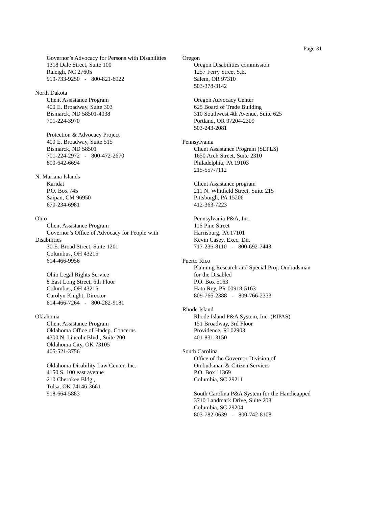Governor<sup>®</sup>s Advocacy for Persons with Disabilities 1318 Dale Street, Suite 100 Raleigh, NC 27605 919-733-9250 - 800-821-6922

### North Dakota

Client Assistance Program 400 E. Broadway, Suite 303 Bismarck, ND 58501-4038 701-224-3970

Protection & Advocacy Project 400 E. Broadway, Suite 515 Bismarck, ND 58501 701-224-2972 - 800-472-2670 800-642-6694

### N. Mariana Islands

Karidat P.O. Box 745 Saipan, CM 96950 670-234-6981

### Ohio

Client Assistance Program Governor<sup>®</sup>s OfÞce of Advocacy for People with **Disabilities** 30 E. Broad Street, Suite 1201 Columbus, OH 43215 614-466-9956

Ohio Legal Rights Service 8 East Long Street, 6th Floor Columbus, OH 43215 Carolyn Knight, Director 614-466-7264 - 800-282-9181

#### Oklahoma

Client Assistance Program Oklahoma OfÞce of Hndcp. Concerns 4300 N. Lincoln Blvd., Suite 200 Oklahoma City, OK 73105 405-521-3756

Oklahoma Disability Law Center, Inc. 4150 S. 100 east avenue 210 Cherokee Bldg., Tulsa, OK 74146-3661 918-664-5883

Oregon Oregon Disabilities commission 1257 Ferry Street S.E. Salem, OR 97310 503-378-3142

> Oregon Advocacy Center 625 Board of Trade Building 310 Southwest 4th Avenue, Suite 625 Portland, OR 97204-2309 503-243-2081

Pennsylvania Client Assistance Program (SEPLS) 1650 Arch Street, Suite 2310 Philadelphia, PA 19103 215-557-7112

> Client Assistance program 211 N. WhitÞeld Street, Suite 215 Pittsburgh, PA 15206 412-363-7223

Pennsylvania P&A, Inc. 116 Pine Street Harrisburg, PA 17101 Kevin Casey, Exec. Dir. 717-236-8110 - 800-692-7443

Puerto Rico

Planning Research and Special Proj. Ombudsman for the Disabled P.O. Box 5163 Hato Rey, PR 00918-5163 809-766-2388 - 809-766-2333

Rhode Island

Rhode Island P&A System, Inc. (RIPAS) 151 Broadway, 3rd Floor Providence, RI 02903 401-831-3150

### South Carolina

Of Dce of the Governor Division of Ombudsman & Citizen Services P.O. Box 11369 Columbia, SC 29211

South Carolina P&A System for the Handicapped 3710 Landmark Drive, Suite 208 Columbia, SC 29204 803-782-0639 - 800-742-8108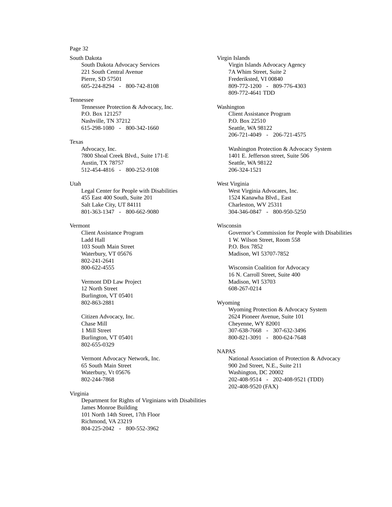South Dakota South Dakota Advocacy Services 221 South Central Avenue Pierre, SD 57501 605-224-8294 - 800-742-8108

#### Tennessee

Tennessee Protection & Advocacy, Inc. P.O. Box 121257 Nashville, TN 37212 615-298-1080 - 800-342-1660

#### Texas

Advocacy, Inc. 7800 Shoal Creek Blvd., Suite 171-E Austin, TX 78757 512-454-4816 - 800-252-9108

#### Utah

Legal Center for People with Disabilities 455 East 400 South, Suite 201 Salt Lake City, UT 84111 801-363-1347 - 800-662-9080

#### Vermont

Client Assistance Program Ladd Hall 103 South Main Street Waterbury, VT 05676 802-241-2641 800-622-4555

Vermont DD Law Project 12 North Street Burlington, VT 05401 802-863-2881

Citizen Advocacy, Inc. Chase Mill 1 Mill Street Burlington, VT 05401 802-655-0329

Vermont Advocacy Network, Inc. 65 South Main Street Waterbury, Vt 05676 802-244-7868

### Virginia

Department for Rights of Virginians with Disabilities James Monroe Building 101 North 14th Street, 17th Floor Richmond, VA 23219 804-225-2042 - 800-552-3962

Virgin Islands Virgin Islands Advocacy Agency 7A Whim Street, Suite 2 Frederiksted, VI 00840 809-772-1200 - 809-776-4303 809-772-4641 TDD Washington Client Assistance Program P.O. Box 22510 Seattle, WA 98122 206-721-4049 - 206-721-4575 Washington Protection & Advocacy System 1401 E. Jefferson street, Suite 506 Seattle, WA 98122 206-324-1521 West Virginia West Virginia Advocates, Inc. 1524 Kanawha Blvd., East Charleston, WV 25311 304-346-0847 - 800-950-5250 Wisconsin Governor<sup>®</sup>s Commission for People with Disabilities 1 W. Wilson Street, Room 558 P.O. Box 7852 Madison, WI 53707-7852 Wisconsin Coalition for Advocacy 16 N. Carroll Street, Suite 400 Madison, WI 53703 608-267-0214 Wyoming Wyoming Protection & Advocacy System 2624 Pioneer Avenue, Suite 101 Cheyenne, WY 82001 307-638-7668 - 307-632-3496 800-821-3091 - 800-624-7648 NAPAS National Association of Protection & Advocacy 900 2nd Street, N.E., Suite 211 Washington, DC 20002 202-408-9514 - 202-408-9521 (TDD) 202-408-9520 (FAX)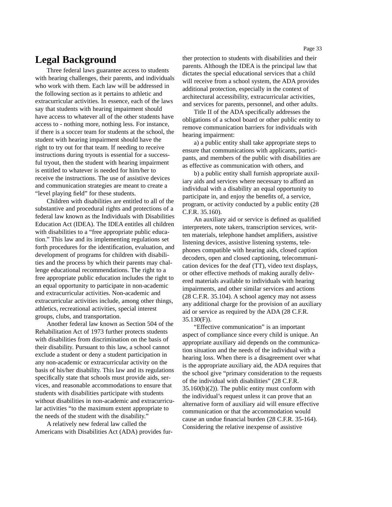### **Legal Background**

Three federal laws guarantee access to students with hearing challenges, their parents, and individuals who work with them. Each law will be addressed in the following section as it pertains to athletic and extracurricular activities. In essence, each of the laws say that students with hearing impairment should have access to whatever all of the other students have access to - nothing more, nothing less. For instance, if there is a soccer team for students at the school, the student with hearing impairment should have the right to try out for that team. If needing to receive instructions during tryouts is essential for a successful tryout, then the student with hearing impairment is entitled to whatever is needed for him/her to receive the instructions. The use of assistive devices and communication strategies are meant to create a Òlevel playing ÞeldÓ for these students.

Children with disabilities are entitled to all of the substantive and procedural rights and protections of a federal law known as the Individuals with Disabilities Education Act (IDEA). The IDEA entitles all children with disabilities to a Òfree appropriate public education.Ó This law and its implementing regulations set forth procedures for the identiÞcation, evaluation, and development of programs for children with disabilities and the process by which their parents may challenge educational recommendations. The right to a free appropriate public education includes the right to an equal opportunity to participate in non-academic and extracurricular activities. Non-academic and extracurricular activities include, among other things, athletics, recreational activities, special interest groups, clubs, and transportation.

Another federal law known as Section 504 of the Rehabilitation Act of 1973 further protects students with disabilities from discrimination on the basis of their disability. Pursuant to this law, a school cannot exclude a student or deny a student participation in any non-academic or extracurricular activity on the basis of his/her disability. This law and its regulations speciÞcally state that schools must provide aids, services, and reasonable accommodations to ensure that students with disabilities participate with students without disabilities in non-academic and extracurricular activities Òto the maximum extent appropriate to the needs of the student with the disability.Ó

A relatively new federal law called the Americans with Disabilities Act (ADA) provides fur-

Title II of the ADA speciÞcally addresses the obligations of a school board or other public entity to remove communication barriers for individuals with hearing impairment:

a) a public entity shall take appropriate steps to ensure that communications with applicants, participants, and members of the public with disabilities are as effective as communication with others, and

b) a public entity shall furnish appropriate auxiliary aids and services where necessary to afford an individual with a disability an equal opportunity to participate in, and enjoy the beneÞts of, a service, program, or activity conducted by a public entity (28 C.F.R. 35.160).

An auxiliary aid or service is deÞned as qualiÞed interpreters, note takers, transcription services, written materials, telephone handset ampliÞers, assistive listening devices, assistive listening systems, telephones compatible with hearing aids, closed caption decoders, open and closed captioning, telecommunication devices for the deaf (TT), video text displays, or other effective methods of making aurally delivered materials available to individuals with hearing impairments, and other similar services and actions (28 C.F.R. 35.104). A school agency may not assess any additional charge for the provision of an auxiliary aid or service as required by the ADA (28 C.F.R. 35.130(F)).

ÒEffective communicationÓ is an important aspect of compliance since every child is unique. An appropriate auxiliary aid depends on the communication situation and the needs of the individual with a hearing loss. When there is a disagreement over what is the appropriate auxiliary aid, the ADA requires that the school give Òprimary consideration to the requests of the individual with disabilitiesÓ (28 C.F.R. 35.160(b)(2)). The public entity must conform with the individualÕs request unless it can prove that an alternative form of auxiliary aid will ensure effective communication or that the accommodation would cause an undue Þnancial burden (28 C.F.R. 35-164). Considering the relative inexpense of assistive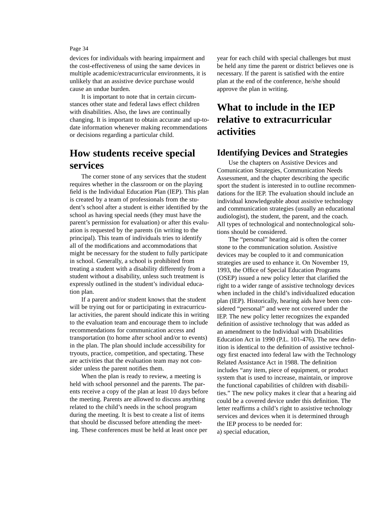devices for individuals with hearing impairment and the cost-effectiveness of using the same devices in multiple academic/extracurricular environments, it is unlikely that an assistive device purchase would cause an undue burden.

It is important to note that in certain circumstances other state and federal laws effect children with disabilities. Also, the laws are continually changing. It is important to obtain accurate and up-todate information whenever making recommendations or decisions regarding a particular child.

### **How students receive special services**

The corner stone of any services that the student requires whether in the classroom or on the playing eld is the Individual Education Plan (IEP). This plan is created by a team of professionals from the studentÕs school after a student is either identiÞed by the school as having special needs (they must have the parentÕs permission for evaluation) or after this evaluation is requested by the parents (in writing to the principal). This team of individuals tries to identify all of the modiÞcations and accommodations that might be necessary for the student to fully participate in school. Generally, a school is prohibited from treating a student with a disability differently from a student without a disability, unless such treatment is expressly outlined in the studentÕs individual education plan.

If a parent and/or student knows that the student will be trying out for or participating in extracurricular activities, the parent should indicate this in writing to the evaluation team and encourage them to include recommendations for communication access and transportation (to home after school and/or to events) in the plan. The plan should include accessibility for tryouts, practice, competition, and spectating. These are activities that the evaluation team may not consider unless the parent notiÞes them.

When the plan is ready to review, a meeting is held with school personnel and the parents. The parents receive a copy of the plan at least 10 days before the meeting. Parents are allowed to discuss anything related to the childÕs needs in the school program during the meeting. It is best to create a list of items that should be discussed before attending the meeting. These conferences must be held at least once per year for each child with special challenges but must be held any time the parent or district believes one is necessary. If the parent is satisÞed with the entire plan at the end of the conference, he/she should approve the plan in writing.

## **What to include in the IEP relative to extracurricular activities**

### **Identifying Devices and Strategies**

Use the chapters on Assistive Devices and Comunication Strategies, Communication Needs Assessment, and the chapter describing the speciÞc sport the student is interested in to outline recommendations for the IEP. The evaluation should include an individual knowledgeable about assistive technology and communication strategies (usually an educational audiologist), the student, the parent, and the coach. All types of technological and nontechnological solutions should be considered.

The ÒpersonalÓ hearing aid is often the corner stone to the communication solution. Assistive devices may be coupled to it and communication strategies are used to enhance it. On November 19, 1993, the OfÞce of Special Education Programs (OSEP) issued a new policy letter that clariÞed the right to a wider range of assistive technology devices when included in the childÕs individualized education plan (IEP). Historically, hearing aids have been considered ÒpersonalÓ and were not covered under the IEP. The new policy letter recognizes the expanded deÞnition of assistive technology that was added as an amendment to the Individual with Disabilities Education Act in 1990 (P.L. 101-476). The new deÞnition is identical to the deÞnition of assistive technology Þrst enacted into federal law with the Technology Related Assistance Act in 1988. The deÞnition includes Òany item, piece of equipment, or product system that is used to increase, maintain, or improve the functional capabilities of children with disabilities.Ó The new policy makes it clear that a hearing aid could be a covered device under this deÞnition. The letter reafÞrms a childÖs right to assistive technology services and devices when it is determined through the IEP process to be needed for: a) special education,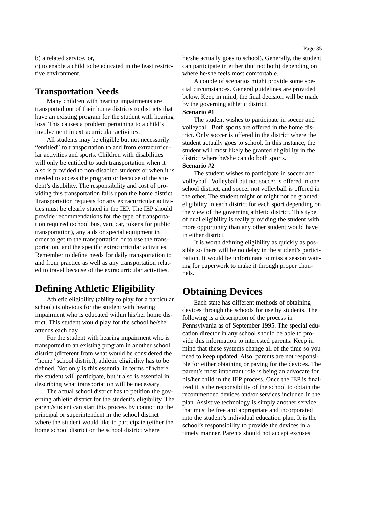b) a related service, or,

c) to enable a child to be educated in the least restrictive environment.

### **Transportation Needs**

Many children with hearing impairments are transported out of their home districts to districts that have an existing program for the student with hearing loss. This causes a problem pertaining to a childÕs involvement in extracurricular activities.

All students may be eligible but not necessarily ÒentitledÓ to transportation to and from extracurricular activities and sports. Children with disabilities will only be entitled to such transportation when it also is provided to non-disabled students or when it is needed to access the program or because of the studentÕs disability. The responsibility and cost of providing this transportation falls upon the home district. Transportation requests for any extracurricular activities must be clearly stated in the IEP. The IEP should provide recommendations for the type of transportation required (school bus, van, car, tokens for public transportation), any aids or special equipment in order to get to the transportation or to use the transportation, and the speciÞc extracurricular activities. Remember to deÞne needs for daily transportation to and from practice as well as any transportation related to travel because of the extracurricular activities.

### **DeÞning Athletic Eligibility**

Athletic eligibility (ability to play for a particular school) is obvious for the student with hearing impairment who is educated within his/her home district. This student would play for the school he/she attends each day.

For the student with hearing impairment who is transported to an existing program in another school district (different from what would be considered the ÒhomeÓ school district), athletic eligibility has to be deÞned. Not only is this essential in terms of where the student will participate, but it also is essential in describing what transportation will be necessary.

The actual school district has to petition the governing athletic district for the studentÕs eligibility. The parent/student can start this process by contacting the principal or superintendent in the school district where the student would like to participate (either the home school district or the school district where

he/she actually goes to school). Generally, the student can participate in either (but not both) depending on where he/she feels most comfortable.

A couple of scenarios might provide some special circumstances. General guidelines are provided below. Keep in mind, the Þnal decision will be made by the governing athletic district.

### **Scenario #1**

The student wishes to participate in soccer and volleyball. Both sports are offered in the home district. Only soccer is offered in the district where the student actually goes to school. In this instance, the student will most likely be granted eligibility in the district where he/she can do both sports.

### **Scenario #2**

The student wishes to participate in soccer and volleyball. Volleyball but not soccer is offered in one school district, and soccer not volleyball is offered in the other. The student might or might not be granted eligibility in each district for each sport depending on the view of the governing athletic district. This type of dual eligibility is really providing the student with more opportunity than any other student would have in either district.

It is worth deÞning eligibility as quickly as possible so there will be no delay in the studentÕs participation. It would be unfortunate to miss a season waiting for paperwork to make it through proper channels.

### **Obtaining Devices**

Each state has different methods of obtaining devices through the schools for use by students. The following is a description of the process in Pennsylvania as of September 1995. The special education director in any school should be able to provide this information to interested parents. Keep in mind that these systems change all of the time so you need to keep updated. Also, parents are not responsible for either obtaining or paying for the devices. The parentÕs most important role is being an advocate for his/her child in the IEP process. Once the IEP is Þnalized it is the responsibility of the school to obtain the recommended devices and/or services included in the plan. Assistive technology is simply another service that must be free and appropriate and incorporated into the studentÕs individual education plan. It is the schoolÕs responsibility to provide the devices in a timely manner. Parents should not accept excuses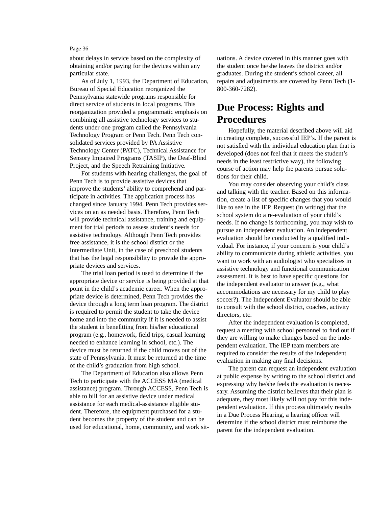about delays in service based on the complexity of obtaining and/or paying for the devices within any particular state.

As of July 1, 1993, the Department of Education, Bureau of Special Education reorganized the Pennsylvania statewide programs responsible for direct service of students in local programs. This reorganization provided a programmatic emphasis on combining all assistive technology services to students under one program called the Pennsylvania Technology Program or Penn Tech. Penn Tech consolidated services provided by PA Assistive Technology Center (PATC), Technical Assistance for Sensory Impaired Programs (TASIP), the Deaf-Blind Project, and the Speech Retraining Initiative.

For students with hearing challenges, the goal of Penn Tech is to provide assistive devices that improve the studentsÕ ability to comprehend and participate in activities. The application process has changed since January 1994. Penn Tech provides services on an as needed basis. Therefore, Penn Tech will provide technical assistance, training and equipment for trial periods to assess studentÕs needs for assistive technology. Although Penn Tech provides free assistance, it is the school district or the Intermediate Unit, in the case of preschool students that has the legal responsibility to provide the appropriate devices and services.

The trial loan period is used to determine if the appropriate device or service is being provided at that point in the childÕs academic career. When the appropriate device is determined, Penn Tech provides the device through a long term loan program. The district is required to permit the student to take the device home and into the community if it is needed to assist the student in beneÞtting from his/her educational program (e.g., homework, Þeld trips, casual learning needed to enhance learning in school, etc.). The device must be returned if the child moves out of the state of Pennsylvania. It must be returned at the time of the childÕs graduation from high school.

The Department of Education also allows Penn Tech to participate with the ACCESS MA (medical assistance) program. Through ACCESS, Penn Tech is able to bill for an assistive device under medical assistance for each medical-assistance eligible student. Therefore, the equipment purchased for a student becomes the property of the student and can be used for educational, home, community, and work situations. A device covered in this manner goes with the student once he/she leaves the district and/or graduates. During the studentÕs school career, all repairs and adjustments are covered by Penn Tech (1- 800-360-7282).

## **Due Process: Rights and Procedures**

Hopefully, the material described above will aid in creating complete, successful IEPÕs. If the parent is not satisÞed with the individual education plan that is developed (does not feel that it meets the studentÕs needs in the least restrictive way), the following course of action may help the parents pursue solutions for their child.

You may consider observing your childÖs class and talking with the teacher. Based on this information, create a list of speciÞc changes that you would like to see in the IEP. Request (in writing) that the school system do a re-evaluation of your childÕs needs. If no change is forthcoming, you may wish to pursue an independent evaluation. An independent evaluation should be conducted by a qualiÞed individual. For instance, if your concern is your childÕs ability to communicate during athletic activities, you want to work with an audiologist who specializes in assistive technology and functional communication assessment. It is best to have speciÞc questions for the independent evaluator to answer (e.g., what accommodations are necessary for my child to play soccer?). The Independent Evaluator should be able to consult with the school district, coaches, activity directors, etc.

After the independent evaluation is completed, request a meeting with school personnel to Þnd out if they are willing to make changes based on the independent evaluation. The IEP team members are required to consider the results of the independent evaluation in making any Þnal decisions.

The parent can request an independent evaluation at public expense by writing to the school district and expressing why he/she feels the evaluation is necessary. Assuming the district believes that their plan is adequate, they most likely will not pay for this independent evaluation. If this process ultimately results in a Due Process Hearing, a hearing of pcer will determine if the school district must reimburse the parent for the independent evaluation.

#### Page 36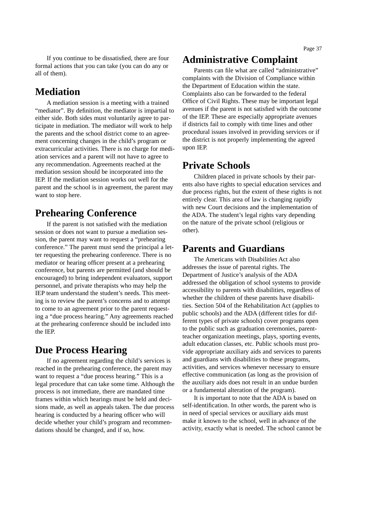If you continue to be dissatisÞed, there are four formal actions that you can take (you can do any or all of them).

## **Mediation**

A mediation session is a meeting with a trained ÒmediatorÓ. By deÞnition, the mediator is impartial to either side. Both sides must voluntarily agree to participate in mediation. The mediator will work to help the parents and the school district come to an agreement concerning changes in the childÕs program or extracurricular activities. There is no charge for mediation services and a parent will not have to agree to any recommendation. Agreements reached at the mediation session should be incorporated into the IEP. If the mediation session works out well for the parent and the school is in agreement, the parent may want to stop here.

## **Prehearing Conference**

If the parent is not satisÞed with the mediation session or does not want to pursue a mediation session, the parent may want to request a  $\Diamond$  prehearing conference.Ó The parent must send the principal a letter requesting the prehearing conference. There is no mediator or hearing of pcer present at a prehearing conference, but parents are permitted (and should be encouraged) to bring independent evaluators, support personnel, and private therapists who may help the IEP team understand the studentÕs needs. This meeting is to review the parentÕs concerns and to attempt to come to an agreement prior to the parent requesting a Òdue process hearing.Ó Any agreements reached at the prehearing conference should be included into the IEP.

### **Due Process Hearing**

If no agreement regarding the childÕs services is reached in the prehearing conference, the parent may want to request a Òdue process hearing.Ó This is a legal procedure that can take some time. Although the process is not immediate, there are mandated time frames within which hearings must be held and decisions made, as well as appeals taken. The due process hearing is conducted by a hearing of Pcer who will decide whether your childÕs program and recommendations should be changed, and if so, how.

## **Administrative Complaint**

Parents can Þle what are called ÒadministrativeÓ complaints with the Division of Compliance within the Department of Education within the state. Complaints also can be forwarded to the federal Of Pce of Civil Rights. These may be important legal avenues if the parent is not satisÞed with the outcome of the IEP. These are especially appropriate avenues if districts fail to comply with time lines and other procedural issues involved in providing services or if the district is not properly implementing the agreed upon IEP.

### **Private Schools**

Children placed in private schools by their parents also have rights to special education services and due process rights, but the extent of these rights is not entirely clear. This area of law is changing rapidly with new Court decisions and the implementation of the ADA. The studentÕs legal rights vary depending on the nature of the private school (religious or other).

### **Parents and Guardians**

The Americans with Disabilities Act also addresses the issue of parental rights. The Department of JusticeÕs analysis of the ADA addressed the obligation of school systems to provide accessibility to parents with disabilities, regardless of whether the children of these parents have disabilities. Section 504 of the Rehabilitation Act (applies to public schools) and the ADA (different titles for different types of private schools) cover programs open to the public such as graduation ceremonies, parentteacher organization meetings, plays, sporting events, adult education classes, etc. Public schools must provide appropriate auxiliary aids and services to parents and guardians with disabilities to these programs, activities, and services whenever necessary to ensure effective communication (as long as the provision of the auxiliary aids does not result in an undue burden or a fundamental alteration of the program).

It is important to note that the ADA is based on self-identiÞcation. In other words, the parent who is in need of special services or auxiliary aids must make it known to the school, well in advance of the activity, exactly what is needed. The school cannot be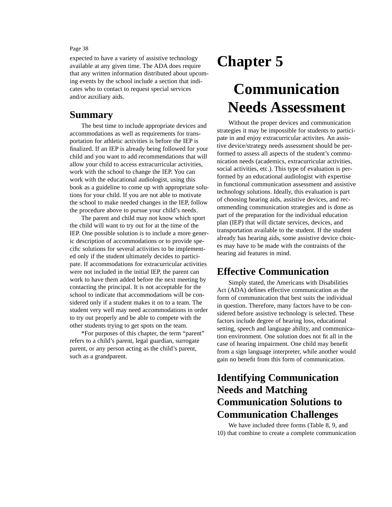expected to have a variety of assistive technology available at any given time. The ADA does require that any written information distributed about upcoming events by the school include a section that indicates who to contact to request special services and/or auxiliary aids.

### **Summary**

The best time to include appropriate devices and accommodations as well as requirements for transportation for athletic activities is before the IEP is nalized. If an IEP is already being followed for your child and you want to add recommendations that will allow your child to access extracurricular activities, work with the school to change the IEP. You can work with the educational audiologist, using this book as a guideline to come up with appropriate solutions for your child. If you are not able to motivate the school to make needed changes in the IEP, follow the procedure above to pursue your childÕs needs.

The parent and child may not know which sport the child will want to try out for at the time of the IEP. One possible solution is to include a more generic description of accommodations or to provide speciÞc solutions for several activities to be implemented only if the student ultimately decides to participate. If accommodations for extracurricular activities were not included in the initial IEP, the parent can work to have them added before the next meeting by contacting the principal. It is not acceptable for the school to indicate that accommodations will be considered only if a student makes it on to a team. The student very well may need accommodations in order to try out properly and be able to compete with the other students trying to get spots on the team.

\*For purposes of this chapter, the term ÒparentÓ refers to a childÕs parent, legal guardian, surrogate parent, or any person acting as the childÕs parent, such as a grandparent.

# **Chapter 5**

# **Communication Needs Assessment**

Without the proper devices and communication strategies it may be impossible for students to participate in and enjoy extracurricular activites. An assistive device/strategy needs assessment should be performed to assess all aspects of the studentÕs communication needs (academics, extracurricular activities, social activities, etc.). This type of evaluation is performed by an educational audiologist with expertise in functional communication assessment and assistive technology solutions. Ideally, this evaluation is part of choosing hearing aids, assistive devices, and recommending communication strategies and is done as part of the preparation for the individual education plan (IEP) that will dictate services, devices, and transportation available to the student. If the student already has hearing aids, some assistive device choices may have to be made with the contraints of the hearing aid features in mind.

## **Effective Communication**

Simply stated, the Americans with Disabilities Act (ADA) deÞnes effective communication as the form of communication that best suits the individual in question. Therefore, many factors have to be considered before assistive technology is selected. These factors include degree of hearing loss, educational setting, speech and language ability, and communication environment. One solution does not Þt all in the case of hearing impairment. One child may beneÞt from a sign language interpreter, while another would gain no beneÞt from this form of communication.

## **Identifying Communication Needs and Matching Communication Solutions to Communication Challenges**

We have included three forms (Table 8, 9, and 10) that combine to create a complete communication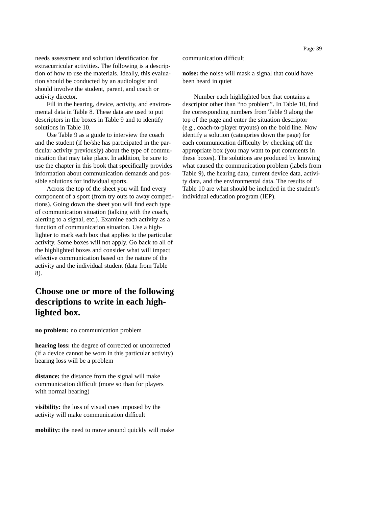needs assessment and solution identiÞcation for extracurricular activities. The following is a description of how to use the materials. Ideally, this evaluation should be conducted by an audiologist and should involve the student, parent, and coach or activity director.

Fill in the hearing, device, activity, and environmental data in Table 8. These data are used to put descriptors in the boxes in Table 9 and to identify solutions in Table 10.

Use Table 9 as a guide to interview the coach and the student (if he/she has participated in the particular activity previously) about the type of communication that may take place. In addition, be sure to use the chapter in this book that speciÞcally provides information about communication demands and possible solutions for individual sports.

Across the top of the sheet you will Þnd every component of a sport (from try outs to away competitions). Going down the sheet you will Þnd each type of communication situation (talking with the coach, alerting to a signal, etc.). Examine each activity as a function of communication situation. Use a highlighter to mark each box that applies to the particular activity. Some boxes will not apply. Go back to all of the highlighted boxes and consider what will impact effective communication based on the nature of the activity and the individual student (data from Table 8).

### **Choose one or more of the following descriptions to write in each highlighted box.**

**no problem:** no communication problem

**hearing loss:** the degree of corrected or uncorrected (if a device cannot be worn in this particular activity) hearing loss will be a problem

**distance:** the distance from the signal will make communication difpcult (more so than for players with normal hearing)

**visibility:** the loss of visual cues imposed by the activity will make communication difPcult

**mobility:** the need to move around quickly will make

communication difpcult

**noise:** the noise will mask a signal that could have been heard in quiet

Number each highlighted box that contains a descriptor other than Òno problemÓ. In Table 10, Þnd the corresponding numbers from Table 9 along the top of the page and enter the situation descriptor (e.g., coach-to-player tryouts) on the bold line. Now identify a solution (categories down the page) for each communication difpculty by checking off the appropriate box (you may want to put comments in these boxes). The solutions are produced by knowing what caused the communication problem (labels from Table 9), the hearing data, current device data, activity data, and the environmental data. The results of Table 10 are what should be included in the studentÕs individual education program (IEP).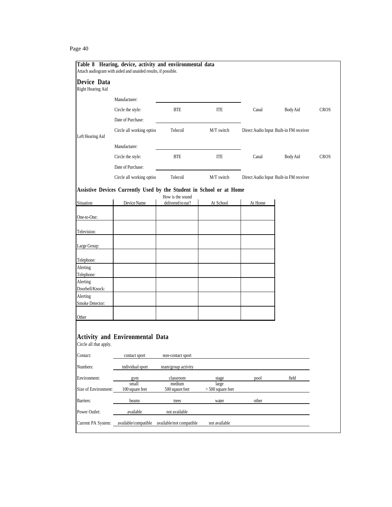|                                         | Attach audiogram with aided and unaided results, if possible. | Table 8 Hearing, device, activity and enviironmental data            |                              |         |                                         |      |
|-----------------------------------------|---------------------------------------------------------------|----------------------------------------------------------------------|------------------------------|---------|-----------------------------------------|------|
| Device Data<br><b>Right Hearing Aid</b> |                                                               |                                                                      |                              |         |                                         |      |
|                                         | Manufacturer:                                                 |                                                                      |                              |         |                                         |      |
|                                         | Circle the style:                                             | BTE                                                                  | ITE                          | Canal   | <b>Body Aid</b>                         | CROS |
|                                         | Date of Purchase:                                             |                                                                      |                              |         |                                         |      |
| Left Hearing Aid                        | Circle all working option                                     | Telecoil                                                             | M/T switch                   |         | Direct Audio Input Built-in FM receiver |      |
|                                         | Manufacturer:                                                 |                                                                      |                              |         |                                         |      |
|                                         | Circle the style:                                             | BTE                                                                  | ITE                          | Canal   | <b>Body Aid</b>                         | CROS |
|                                         | Date of Purchase:                                             |                                                                      |                              |         |                                         |      |
|                                         | Circle all working option                                     | Telecoil                                                             | M/T switch                   |         | Direct Audio Input Built-in FM receiver |      |
|                                         |                                                               | Assistive Devices Currently Used by the Student in School or at Home |                              |         |                                         |      |
| Situation                               | Device Name                                                   | How is the sound<br>delivered to ear?                                | At School                    | At Home |                                         |      |
|                                         |                                                               |                                                                      |                              |         |                                         |      |
| One-to-One:                             |                                                               |                                                                      |                              |         |                                         |      |
| Television:                             |                                                               |                                                                      |                              |         |                                         |      |
| Large Group:                            |                                                               |                                                                      |                              |         |                                         |      |
| Telephone:                              |                                                               |                                                                      |                              |         |                                         |      |
| Alerting<br>Telephone:                  |                                                               |                                                                      |                              |         |                                         |      |
| Alerting<br>Doorbell/Knock:             |                                                               |                                                                      |                              |         |                                         |      |
| Alerting<br><b>Smoke Detector:</b>      |                                                               |                                                                      |                              |         |                                         |      |
| Other                                   |                                                               |                                                                      |                              |         |                                         |      |
| Circle all that apply.                  | <b>Activity and Environmental Data</b>                        |                                                                      |                              |         |                                         |      |
| Contact:                                | contact sport                                                 | non-contact sport                                                    |                              |         |                                         |      |
| Numbers:                                | individual sport                                              | team/group activity                                                  |                              |         |                                         |      |
| Environment:                            | gym                                                           | classroom                                                            | stage                        | pool    | field                                   |      |
| Size of Environment:                    | small<br>100 square feet                                      | medium<br>500 sqaure feet                                            | large<br>$> 500$ square feet |         |                                         |      |
| <b>Barriers:</b>                        | beams                                                         | trees                                                                | water                        | other   |                                         |      |
| Power Outlet:                           | available                                                     | not available                                                        |                              |         |                                         |      |
| <b>Current PA System:</b>               | available/compatible                                          | available/not compatible                                             | not available                |         |                                         |      |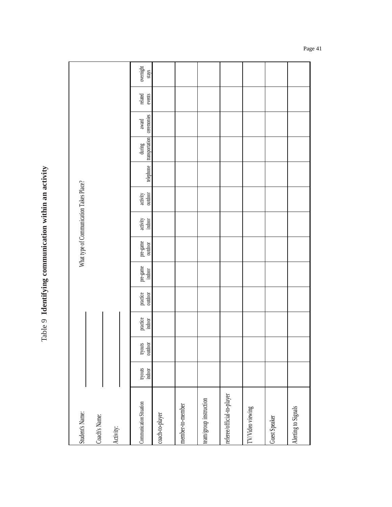Table 9 Identifying communication within an activity Table 9 **Identifying communication within an activity**

| Student's Name:            |                   |                    |                    |                     |                    |                                              | What type of Communication Takes Place? |                     |           |                          |                     |                       |                    |
|----------------------------|-------------------|--------------------|--------------------|---------------------|--------------------|----------------------------------------------|-----------------------------------------|---------------------|-----------|--------------------------|---------------------|-----------------------|--------------------|
| Coach's Name:              |                   |                    |                    |                     |                    |                                              |                                         |                     |           |                          |                     |                       |                    |
| Activity:                  |                   |                    |                    |                     |                    |                                              |                                         |                     |           |                          |                     |                       |                    |
|                            |                   |                    |                    |                     |                    |                                              |                                         |                     |           |                          |                     |                       |                    |
| Communication Situation    | tryouts<br>indoor | tryouts<br>outdoor | practice<br>indoor | practice<br>outdoor | pre-game<br>indoor | $pre\text{-}\mathsf{game}\ \mathsf{outdoor}$ | activity<br>indoor                      | activity<br>outdoor | telephone | during<br>transportation | award<br>ceremonies | $\frac{1}{2}$ related | overnight<br>stays |
| coach-to-player            |                   |                    |                    |                     |                    |                                              |                                         |                     |           |                          |                     |                       |                    |
| member-to-member           |                   |                    |                    |                     |                    |                                              |                                         |                     |           |                          |                     |                       |                    |
| team/group instruction     |                   |                    |                    |                     |                    |                                              |                                         |                     |           |                          |                     |                       |                    |
| referee/official-to-player |                   |                    |                    |                     |                    |                                              |                                         |                     |           |                          |                     |                       |                    |
| TV/Video viewing           |                   |                    |                    |                     |                    |                                              |                                         |                     |           |                          |                     |                       |                    |
| <b>Guest Speaker</b>       |                   |                    |                    |                     |                    |                                              |                                         |                     |           |                          |                     |                       |                    |
| Alerting to Signals        |                   |                    |                    |                     |                    |                                              |                                         |                     |           |                          |                     |                       |                    |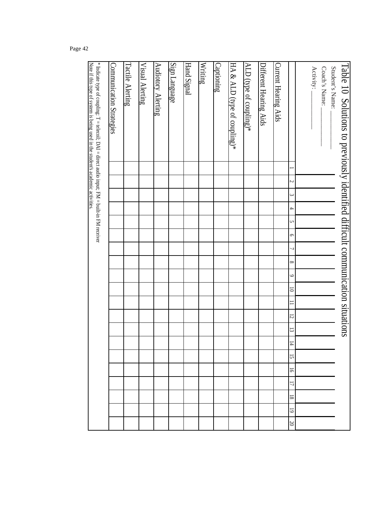| Table 10 Solutions to previously identified difficult communication situations                                                                                                    |                                               |   |
|-----------------------------------------------------------------------------------------------------------------------------------------------------------------------------------|-----------------------------------------------|---|
| Studentos Name:                                                                                                                                                                   |                                               |   |
| <b>Coachûs Name:</b>                                                                                                                                                              |                                               |   |
| Activity:                                                                                                                                                                         |                                               |   |
|                                                                                                                                                                                   |                                               |   |
| z<br>دى<br>4<br>Cπ<br>ငာ<br>$\infty$<br>$\bullet$<br>5<br>52                                                                                                                      | ದ<br>$\overline{4}$<br>ᇬ<br>ခ<br>ミ<br>00<br>ಪ | 8 |
| Current Hearing Aids                                                                                                                                                              |                                               |   |
| Different Hearing Aids                                                                                                                                                            |                                               |   |
| ALD (type of coupling)*                                                                                                                                                           |                                               |   |
| HA & ALD (type of coupling)*                                                                                                                                                      |                                               |   |
| <b><i>Captioning</i></b>                                                                                                                                                          |                                               |   |
| Writing                                                                                                                                                                           |                                               |   |
| Hand Signal                                                                                                                                                                       |                                               |   |
| Sign Language                                                                                                                                                                     |                                               |   |
| Audiotory Alerting                                                                                                                                                                |                                               |   |
| <b>Visual Alerting</b>                                                                                                                                                            |                                               |   |
| Tactile Alerting                                                                                                                                                                  |                                               |   |
| Communication Strategies                                                                                                                                                          |                                               |   |
| Note if this type of system is being used in the student's academic activities.<br>* Indicate type of coupling: T = telecoil; DAI = direct audio input; FM = built-in FM receiver |                                               |   |
|                                                                                                                                                                                   |                                               |   |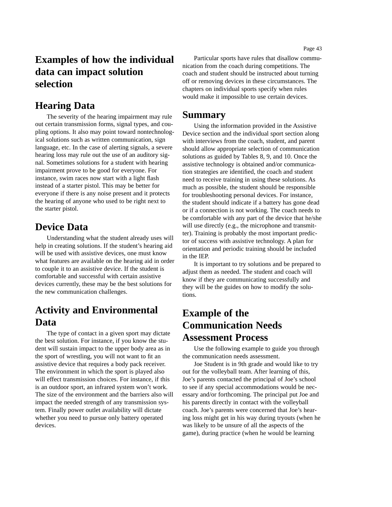## **Examples of how the individual data can impact solution selection**

## **Hearing Data**

The severity of the hearing impairment may rule out certain transmission forms, signal types, and coupling options. It also may point toward nontechnological solutions such as written communication, sign language, etc. In the case of alerting signals, a severe hearing loss may rule out the use of an auditory signal. Sometimes solutions for a student with hearing impairment prove to be good for everyone. For instance, swim races now start with a light ßash instead of a starter pistol. This may be better for everyone if there is any noise present and it protects the hearing of anyone who used to be right next to the starter pistol.

## **Device Data**

Understanding what the student already uses will help in creating solutions. If the student  $\&$  hearing aid will be used with assistive devices, one must know what features are available on the hearing aid in order to couple it to an assistive device. If the student is comfortable and successful with certain assistive devices currently, these may be the best solutions for the new communication challenges.

## **Activity and Environmental Data**

The type of contact in a given sport may dictate the best solution. For instance, if you know the student will sustain impact to the upper body area as in the sport of wrestling, you will not want to Þt an assistive device that requires a body pack receiver. The environment in which the sport is played also will effect transmission choices. For instance, if this is an outdoor sport, an infrared system wonÕt work. The size of the environment and the barriers also will impact the needed strength of any transmission system. Finally power outlet availability will dictate whether you need to pursue only battery operated devices.

Particular sports have rules that disallow communication from the coach during competitions. The coach and student should be instructed about turning off or removing devices in these circumstances. The chapters on individual sports specify when rules would make it impossible to use certain devices.

### **Summary**

Using the information provided in the Assistive Device section and the individual sport section along with interviews from the coach, student, and parent should allow appropriate selection of communication solutions as guided by Tables 8, 9, and 10. Once the assistive technology is obtained and/or communication strategies are identiÞed, the coach and student need to receive training in using these solutions. As much as possible, the student should be responsible for troubleshooting personal devices. For instance, the student should indicate if a battery has gone dead or if a connection is not working. The coach needs to be comfortable with any part of the device that he/she will use directly (e.g., the microphone and transmitter). Training is probably the most important predictor of success with assistive technology. A plan for orientation and periodic training should be included in the IEP.

It is important to try solutions and be prepared to adjust them as needed. The student and coach will know if they are communicating successfully and they will be the guides on how to modify the solutions.

### **Example of the Communication Needs Assessment Process**

Use the following example to guide you through the communication needs assessment.

Joe Student is in 9th grade and would like to try out for the volleyball team. After learning of this, JoeÕs parents contacted the principal of JoeÕs school to see if any special accommodations would be necessary and/or forthcoming. The principal put Joe and his parents directly in contact with the volleyball coach. JoeÕs parents were concerned that JoeÕs hearing loss might get in his way during tryouts (when he was likely to be unsure of all the aspects of the game), during practice (when he would be learning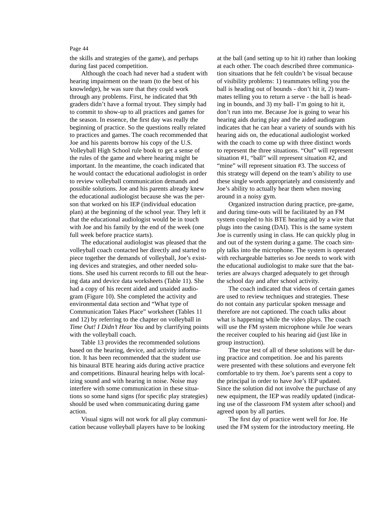the skills and strategies of the game), and perhaps during fast paced competition.

Although the coach had never had a student with hearing impairment on the team (to the best of his knowledge), he was sure that they could work through any problems. First, he indicated that 9th graders didnÕt have a formal tryout. They simply had to commit to show-up to all practices and games for the season. In essence, the Þrst day was really the beginning of practice. So the questions really related to practices and games. The coach recommended that Joe and his parents borrow his copy of the U.S. Volleyball High School rule book to get a sense of the rules of the game and where hearing might be important. In the meantime, the coach indicated that he would contact the educational audiologist in order to review volleyball communication demands and possible solutions. Joe and his parents already knew the educational audiologist because she was the person that worked on his IEP (individual education plan) at the beginning of the school year. They left it that the educational audiologist would be in touch with Joe and his family by the end of the week (one full week before practice starts).

The educational audiologist was pleased that the volleyball coach contacted her directly and started to piece together the demands of volleyball, JoeÕs existing devices and strategies, and other needed solutions. She used his current records to Þll out the hearing data and device data worksheets (Table 11). She had a copy of his recent aided and unaided audiogram (Figure 10). She completed the activity and environmental data section and ÒWhat type of Communication Takes PlaceÓ worksheet (Tables 11 and 12) by referring to the chapter on volleyball in *Time Out! I DidnÕt Hear You* and by clarrifying points with the volleyball coach.

Table 13 provides the recommended solutions based on the hearing, device, and activity information. It has been recommended that the student use his binaural BTE hearing aids during active practice and competitions. Binaural hearing helps with localizing sound and with hearing in noise. Noise may interfere with some communication in these situations so some hand signs (for speciÞc play strategies) should be used when communicating during game action.

Visual signs will not work for all play communication because volleyball players have to be looking

at the ball (and setting up to hit it) rather than looking at each other. The coach described three communication situations that he felt couldnÕt be visual because of visibility problems: 1) teammates telling you the ball is heading out of bounds - donÕt hit it, 2) teammates telling you to return a serve - the ball is heading in bounds, and 3) my ball- IÕm going to hit it, donÕt run into me. Because Joe is going to wear his hearing aids during play and the aided audiogram indicates that he can hear a variety of sounds with his hearing aids on, the educational audiologist worked with the coach to come up with three distinct words to represent the three situations. ÒOutÓ will represent situation #1, ÒballÓ will represent situation #2, and ÒmineÓ will represent situation #3. The success of this strategy will depend on the teamÕs ability to use these single words appropriately and consistently and JoeÕs ability to actually hear them when moving around in a noisy gym.

Organized instruction during practice, pre-game, and during time-outs will be facilitated by an FM system coupled to his BTE hearing aid by a wire that plugs into the casing (DAI). This is the same system Joe is currently using in class. He can quickly plug in and out of the system during a game. The coach simply talks into the microphone. The system is operated with rechargeable batteries so Joe needs to work with the educational audiologist to make sure that the batteries are always charged adequately to get through the school day and after school activity.

The coach indicated that videos of certain games are used to review techniques and strategies. These do not contain any particular spoken message and therefore are not captioned. The coach talks about what is happening while the video plays. The coach will use the FM system microphone while Joe wears the receiver coupled to his hearing aid (just like in group instruction).

The true test of all of these solutions will be during practice and competition. Joe and his parents were presented with these solutions and everyone felt comfortable to try them. JoeÕs parents sent a copy to the principal in order to have JoeÕs IEP updated. Since the solution did not involve the purchase of any new equipment, the IEP was readily updated (indicating use of the classroom FM system after school) and agreed upon by all parties.

The Þrst day of practice went well for Joe. He used the FM system for the introductory meeting. He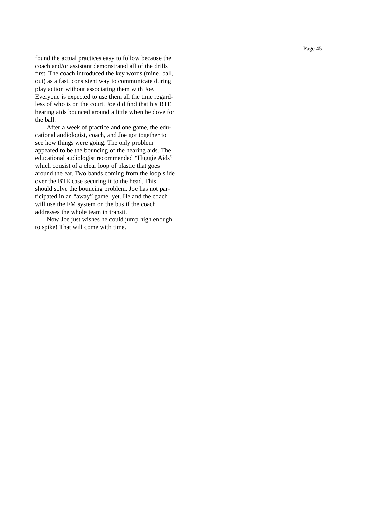found the actual practices easy to follow because the coach and/or assistant demonstrated all of the drills rst. The coach introduced the key words (mine, ball, out) as a fast, consistent way to communicate during play action without associating them with Joe. Everyone is expected to use them all the time regardless of who is on the court. Joe did Þnd that his BTE hearing aids bounced around a little when he dove for the ball.

After a week of practice and one game, the educational audiologist, coach, and Joe got together to see how things were going. The only problem appeared to be the bouncing of the hearing aids. The educational audiologist recommended ÒHuggie AidsÓ which consist of a clear loop of plastic that goes around the ear. Two bands coming from the loop slide over the BTE case securing it to the head. This should solve the bouncing problem. Joe has not participated in an ÒawayÓ game, yet. He and the coach will use the FM system on the bus if the coach addresses the whole team in transit.

Now Joe just wishes he could jump high enough to spike! That will come with time.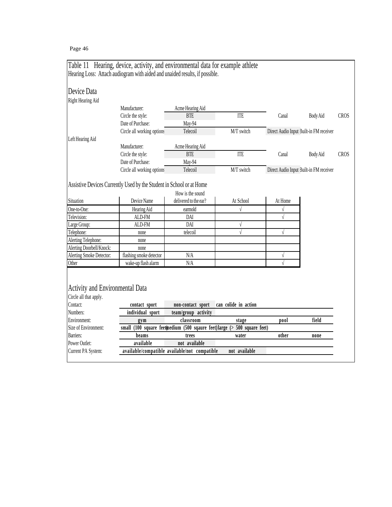### Table 11 Hearing, device, activity, and environmental data for example athlete Hearing Loss: Attach audiogram with aided and unaided results, if possible. Device Data Right Hearing Aid Manufacturer: Acme Hearing Aid Circle the style: BTE ITE Canal Body Aid CROS Date of Purchase: May-94<br>Circle all working ontions<br>Telecoil Circle all working options Telecoil M/T switch Direct Audio Input Built-in FM receiver Left Hearing Aid Manufacturer: Acme Hearing Aid Circle the style: BTE ITE Canal Body Aid CROS Date of Purchase: May-94 Circle all working options Telecoil M/T switch Direct Audio Input Built-in FM receiver Assistive Devices Currently Used by the Student in School or at Home How is the sound Situation **Device Name** delivered to the ear? At School At Home One-to-One: Hearing Aid earmold ˆ ˆ Television: ALD-FM DAI ˆ Large Group: ALD-FM DAI ˆ Telephone: none telecoil telecoil telecoil telecoil telecoil telecoil telecoil telecoil telecoil telecoil tele Alerting Telephone: none Alerting Doorbell/Knock: none Alerting Smoke Detector: flashing smoke detector N/A Other wake-up flash alarm N/A Activity and Environmental Data Circle all that apply. Contact: **contact sport non-contact sport can colide in action** Numbers: **individual sport team/group activity** Environment: **gym classroom stage pool field** Size of Environment: **small (100 square feet) contained (500 sqaure feet) large (> 500 square feet)** Barriers: **beams trees water other none** Power Outlet: **available not available** Current PA System: **available/compatible available/not compatible not available**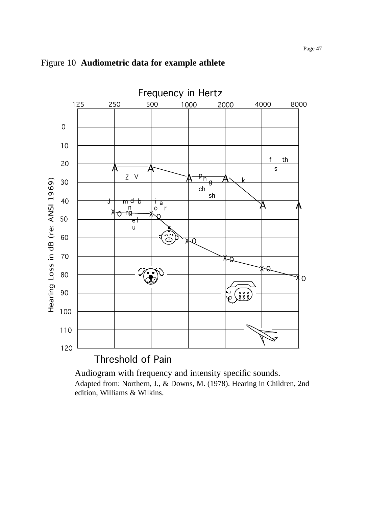





Audiogram with frequency and intensity speciÞc sounds. Adapted from: Northern, J., & Downs, M. (1978). Hearing in Children, 2nd edition, Williams & Wilkins.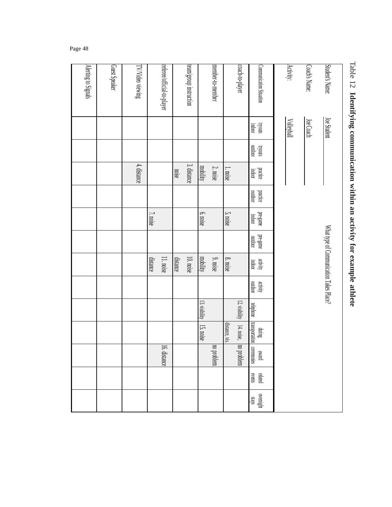|                            | Ò                 |                    |                    |                     |                    | ረ                   |                                         |                     |                |                          |                                           |                   |                    |
|----------------------------|-------------------|--------------------|--------------------|---------------------|--------------------|---------------------|-----------------------------------------|---------------------|----------------|--------------------------|-------------------------------------------|-------------------|--------------------|
| Student's Name:            | Joe Student       |                    |                    |                     |                    |                     | What type of Communication Takes Place? |                     |                |                          |                                           |                   |                    |
| Coach's Name:              | Joe Coach         |                    |                    |                     |                    |                     |                                         |                     |                |                          |                                           |                   |                    |
| Activity:                  | <b>Volleyball</b> |                    |                    |                     |                    |                     |                                         |                     |                |                          |                                           |                   |                    |
| Communication Situation    | tryouts<br>indoor | tryouts<br>outdoor | practice<br>indoor | practice<br>outdoor | pre-game<br>indoor | pre-game<br>outdoor | activity<br>indoor                      | activity<br>outdoor | telephone      | during<br>transportation | <u> </u> ceremonies<br>preme              | related<br>events | overnight<br>stays |
| coach-to-player            |                   |                    |                    |                     |                    |                     |                                         |                     | 12. visibility | $14.$ moise,             | $\overline{\mathbb{E}}$<br>problem        |                   |                    |
|                            |                   |                    | $1.$ moise         |                     | $5.$ moise         |                     | 8. noise                                |                     |                | distance, vis.           |                                           |                   |                    |
| member-to-member           |                   |                    | $2.$ molse         |                     |                    |                     | $9.$ noise                              |                     |                |                          | $\overline{\mathbb{Q}}$<br><b>problem</b> |                   |                    |
|                            |                   |                    | mobility           |                     | $6.$ moise         |                     | mobility                                |                     | 13. visibility | 15. noise                |                                           |                   |                    |
| team/group instruction     |                   |                    | 3. distance        |                     |                    |                     | 10. moise                               |                     |                |                          |                                           |                   |                    |
|                            |                   |                    | noise              |                     |                    |                     | distance                                |                     |                |                          |                                           |                   |                    |
| referee/official-to-player |                   |                    |                    |                     |                    |                     | 11. noise                               |                     |                |                          | 16. distance                              |                   |                    |
|                            |                   |                    |                    |                     | 7. noise           |                     | distance                                |                     |                |                          |                                           |                   |                    |
| <b>TV/Video viewing</b>    |                   |                    | 4. distance        |                     |                    |                     |                                         |                     |                |                          |                                           |                   |                    |
| Guest Speaker              |                   |                    |                    |                     |                    |                     |                                         |                     |                |                          |                                           |                   |                    |
| Alerting to Signals        |                   |                    |                    |                     |                    |                     |                                         |                     |                |                          |                                           |                   |                    |
|                            |                   |                    |                    |                     |                    |                     |                                         |                     |                |                          |                                           |                   |                    |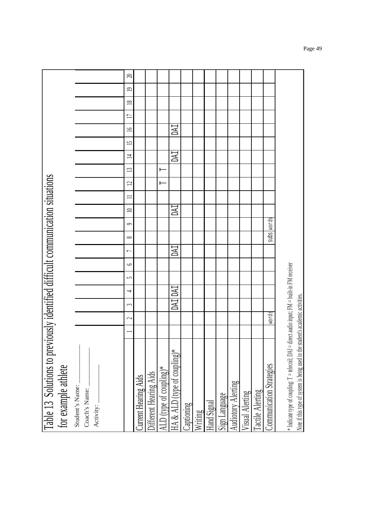| Table 13 Solutions to previously identified difficult communication situations<br>for example athlete                                                                             |       |     |     |    |   |        |            |          |                         |             |     |    |                        |                 |              |          |
|-----------------------------------------------------------------------------------------------------------------------------------------------------------------------------------|-------|-----|-----|----|---|--------|------------|----------|-------------------------|-------------|-----|----|------------------------|-----------------|--------------|----------|
|                                                                                                                                                                                   |       |     |     |    |   |        |            |          |                         |             |     |    |                        |                 |              |          |
| Student<br>& Name:<br>CoachÔs Name:                                                                                                                                               |       |     |     |    |   |        |            |          |                         |             |     |    |                        |                 |              |          |
| Activity:                                                                                                                                                                         |       |     |     |    |   |        |            |          |                         |             |     |    |                        |                 |              |          |
|                                                                                                                                                                                   |       |     |     |    |   |        |            |          |                         |             |     |    |                        |                 |              |          |
|                                                                                                                                                                                   | 2     | ∽   | 4   | صد | ؎ | ∞<br>٣ | ా          | $\equiv$ | $\overline{\mathbf{c}}$ | $\tilde{ }$ | 14  | ئا | $\Box$<br>$\mathbf{u}$ | $\overline{18}$ | $\mathbf{C}$ | $\Omega$ |
| <b>Current Hearing Aids</b>                                                                                                                                                       |       |     |     |    |   |        |            |          |                         |             |     |    |                        |                 |              |          |
| <b>Jifferent Hearing Aids</b>                                                                                                                                                     |       |     |     |    |   |        |            |          |                         |             |     |    |                        |                 |              |          |
| ALD (type of coupling)*                                                                                                                                                           |       |     |     |    |   |        |            |          | $\mapsto$               | $\mapsto$   |     |    |                        |                 |              |          |
| HA & ALD (type of coupling)*                                                                                                                                                      |       | DAI | DAI |    |   | DAT    |            | DAT      |                         |             | DAI |    | DAT                    |                 |              |          |
| Captioning                                                                                                                                                                        |       |     |     |    |   |        |            |          |                         |             |     |    |                        |                 |              |          |
| <b>Writing</b>                                                                                                                                                                    |       |     |     |    |   |        |            |          |                         |             |     |    |                        |                 |              |          |
| Hand Signal                                                                                                                                                                       |       |     |     |    |   |        |            |          |                         |             |     |    |                        |                 |              |          |
| Sign Language                                                                                                                                                                     |       |     |     |    |   |        |            |          |                         |             |     |    |                        |                 |              |          |
| <b>Audiotory Alerting</b>                                                                                                                                                         |       |     |     |    |   |        |            |          |                         |             |     |    |                        |                 |              |          |
| Visual Alerting                                                                                                                                                                   |       |     |     |    |   |        |            |          |                         |             |     |    |                        |                 |              |          |
| Tactile Alerting                                                                                                                                                                  |       |     |     |    |   |        |            |          |                         |             |     |    |                        |                 |              |          |
| <b>Communication Strategies</b>                                                                                                                                                   | words |     |     |    |   |        | subs words |          |                         |             |     |    |                        |                 |              |          |
| * Indicate type of coupling: T = telecoil; DAI = direct audio input; FM = built-in FM receiver<br>Note if this type of system is being used in the student's academic activities. |       |     |     |    |   |        |            |          |                         |             |     |    |                        |                 |              |          |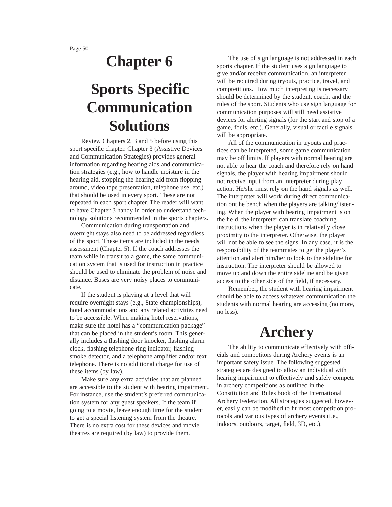# **Chapter 6**

# **Sports Specific Communication Solutions**

Review Chapters 2, 3 and 5 before using this sport speciÞc chapter. Chapter 3 (Assistive Devices and Communication Strategies) provides general information regarding hearing aids and communication strategies (e.g., how to handle moisture in the hearing aid, stopping the hearing aid from ßopping around, video tape presentation, telephone use, etc.) that should be used in every sport. These are not repeated in each sport chapter. The reader will want to have Chapter 3 handy in order to understand technology solutions recommended in the sports chapters.

Communication during transportation and overnight stays also need to be addressed regardless of the sport. These items are included in the needs assessment (Chapter 5). If the coach addresses the team while in transit to a game, the same communication system that is used for instruction in practice should be used to eliminate the problem of noise and distance. Buses are very noisy places to communicate.

If the student is playing at a level that will require overnight stays (e.g., State championships), hotel accommodations and any related activities need to be accessible. When making hotel reservations, make sure the hotel has a Ocommunication packageO that can be placed in the studentÕs room. This generally includes a ßashing door knocker, ßashing alarm clock, ßashing telephone ring indicator, ßashing smoke detector, and a telephone ampliÞer and/or text telephone. There is no additional charge for use of these items (by law).

Make sure any extra activities that are planned are accessible to the student with hearing impairment. For instance, use the studentÕs preferred communication system for any guest speakers. If the team if going to a movie, leave enough time for the student to get a special listening system from the theatre. There is no extra cost for these devices and movie theatres are required (by law) to provide them.

The use of sign language is not addressed in each sports chapter. If the student uses sign language to give and/or receive communication, an interpreter will be required during tryouts, practice, travel, and comptetitions. How much interpreting is necessary should be determined by the student, coach, and the rules of the sport. Students who use sign language for communication purposes will still need assistive devices for alerting signals (for the start and stop of a game, fouls, etc.). Generally, visual or tactile signals will be appropriate.

All of the communication in tryouts and practices can be interpreted, some game communication may be off limits. If players with normal hearing are not able to hear the coach and therefore rely on hand signals, the player with hearing impairment should not receive input from an interpreter during play action. He/she must rely on the hand signals as well. The interpreter will work during direct communication ont he bench when the players are talking/listening. When the player with hearing impairment is on the Þeld, the interpreter can translate coaching instructions when the player is in relativelly close proximity to the interpreter. Otherwise, the player will not be able to see the signs. In any case, it is the responsibility of the teammates to get the playerÕs attention and alert him/her to look to the sideline for instruction. The interpreter should be allowed to move up and down the entire sideline and be given access to the other side of the Þeld, if necessary.

Remember, the student with hearing impairment should be able to access whatever communication the students with normal hearing are accessing (no more, no less).

# **Archery**

The ability to communicate effectively with ofÞcials and competitors during Archery events is an important safety issue. The following suggested strategies are designed to allow an individual with hearing impairment to effectively and safely compete in archery competitions as outlined in the Constitution and Rules book of the International Archery Federation. All strategies suggested, however, easily can be modiÞed to Þt most competition protocols and various types of archery events (i.e., indoors, outdoors, target, Þeld, 3D, etc.).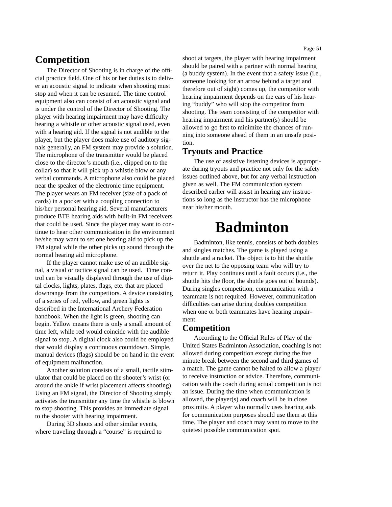### **Competition**

The Director of Shooting is in charge of the of  $\blacktriangleright$ cial practice Þeld. One of his or her duties is to deliver an acoustic signal to indicate when shooting must stop and when it can be resumed. The time control equipment also can consist of an acoustic signal and is under the control of the Director of Shooting. The player with hearing impairment may have dif pculty hearing a whistle or other acoustic signal used, even with a hearing aid. If the signal is not audible to the player, but the player does make use of auditory signals generally, an FM system may provide a solution. The microphone of the transmitter would be placed close to the director  $\&$  mouth (i.e., clipped on to the collar) so that it will pick up a whistle blow or any verbal commands. A microphone also could be placed near the speaker of the electronic time equipment. The player wears an FM receiver (size of a pack of cards) in a pocket with a coupling connection to his/her personal hearing aid. Several manufacturers produce BTE hearing aids with built-in FM receivers that could be used. Since the player may want to continue to hear other communication in the environment he/she may want to set one hearing aid to pick up the FM signal while the other picks up sound through the normal hearing aid microphone.

If the player cannot make use of an audible signal, a visual or tactice signal can be used. Time control can be visually displayed through the use of digital clocks, lights, plates, ßags, etc. that are placed downrange from the competitors. A device consisting of a series of red, yellow, and green lights is described in the International Archery Federation handbook. When the light is green, shooting can begin. Yellow means there is only a small amount of time left, while red would coincide with the audible signal to stop. A digital clock also could be employed that would display a continuous countdown. Simple, manual devices (ßags) should be on hand in the event of equipment malfunction.

Another solution consists of a small, tactile stimulator that could be placed on the shooter's wrist (or around the ankle if wrist placement affects shooting). Using an FM signal, the Director of Shooting simply activates the transmitter any time the whistle is blown to stop shooting. This provides an immediate signal to the shooter with hearing impairment.

During 3D shoots and other similar events, where traveling through a ÒcourseÓ is required to shoot at targets, the player with hearing impairment should be paired with a partner with normal hearing (a buddy system). In the event that a safety issue (i.e., someone looking for an arrow behind a target and therefore out of sight) comes up, the competitor with hearing impairment depends on the ears of his hearing ÒbuddyÓ who will stop the competitor from shooting. The team consisting of the competitor with hearing impairment and his partner(s) should be allowed to go Þrst to minimize the chances of running into someone ahead of them in an unsafe position.

### **Tryouts and Practice**

The use of assistive listening devices is appropriate during tryouts and practice not only for the safety issues outlined above, but for any verbal instruction given as well. The FM communication system described earlier will assist in hearing any instructions so long as the instructor has the microphone near his/her mouth.

# **Badminton**

Badminton, like tennis, consists of both doubles and singles matches. The game is played using a shuttle and a racket. The object is to hit the shuttle over the net to the opposing team who will try to return it. Play continues until a fault occurs (i.e., the shuttle hits the ßoor, the shuttle goes out of bounds). During singles competition, communication with a teammate is not required. However, communication dif Pculties can arise during doubles competition when one or both teammates have hearing impairment.

### **Competition**

According to the OfÞcial Rules of Play of the United States Badminton Association, coaching is not allowed during competition except during the Þve minute break between the second and third games of a match. The game cannot be halted to allow a player to receive instruction or advice. Therefore, communication with the coach during actual competition is not an issue. During the time when communication is allowed, the player(s) and coach will be in close proximity. A player who normally uses hearing aids for communication purposes should use them at this time. The player and coach may want to move to the quietest possible communication spot.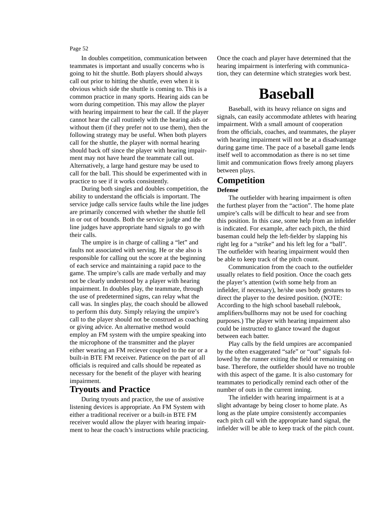In doubles competition, communication between teammates is important and usually concerns who is going to hit the shuttle. Both players should always call out prior to hitting the shuttle, even when it is obvious which side the shuttle is coming to. This is a common practice in many sports. Hearing aids can be worn during competition. This may allow the player with hearing impairment to hear the call. If the player cannot hear the call routinely with the hearing aids or without them (if they prefer not to use them), then the following strategy may be useful. When both players call for the shuttle, the player with normal hearing should back off since the player with hearing impairment may not have heard the teammate call out. Alternatively, a large hand gesture may be used to call for the ball. This should be experimented with in practice to see if it works consistently.

During both singles and doubles competition, the ability to understand the of pcials is important. The service judge calls service faults while the line judges are primarily concerned with whether the shuttle fell in or out of bounds. Both the service judge and the line judges have appropriate hand signals to go with their calls.

The umpire is in charge of calling a ÒletÓ and faults not associated with serving. He or she also is responsible for calling out the score at the beginning of each service and maintaining a rapid pace to the game. The umpireÕs calls are made verbally and may not be clearly understood by a player with hearing impairment. In doubles play, the teammate, through the use of predetermined signs, can relay what the call was. In singles play, the coach should be allowed to perform this duty. Simply relaying the umpireÕs call to the player should not be construed as coaching or giving advice. An alternative method would employ an FM system with the umpire speaking into the microphone of the transmitter and the player either wearing an FM reciever coupled to the ear or a built-in BTE FM receiver. Patience on the part of all of pcials is required and calls should be repeated as necessary for the beneÞt of the player with hearing impairment.

### **Tryouts and Practice**

During tryouts and practice, the use of assistive listening devices is appropriate. An FM System with either a traditional receiver or a built-in BTE FM receiver would allow the player with hearing impairment to hear the coachÕs instructions while practicing. Once the coach and player have determined that the hearing impairment is interfering with communication, they can determine which strategies work best.

# **Baseball**

Baseball, with its heavy reliance on signs and signals, can easily accommodate athletes with hearing impairment. With a small amount of cooperation from the of pcials, coaches, and teammates, the player with hearing impairment will not be at a disadvantage during game time. The pace of a baseball game lends itself well to accommodation as there is no set time limit and communication ßows freely among players between plays.

### **Competition**

#### **Defense**

The outÞelder with hearing impairment is often the furthest player from the ÒactionÓ. The home plate umpire Cs calls will be diffecult to hear and see from this position. In this case, some help from an inÞelder is indicated. For example, after each pitch, the third baseman could help the left-Þelder by slapping his right leg for a ÒstrikeÓ and his left leg for a ÒballÓ. The outPelder with hearing impairment would then be able to keep track of the pitch count.

Communication from the coach to the outÞelder usually relates to Þeld position. Once the coach gets the player is attention (with some help from an inÞelder, if necessary), he/she uses body gestures to direct the player to the desired position. (NOTE: According to the high school baseball rulebook, ampliÞers/bullhorns may not be used for coaching purposes.) The player with hearing impairment also could be instructed to glance toward the dugout between each batter.

Play calls by the Þeld umpires are accompanied by the often exaggerated ÒsafeÓ or ÒoutÓ signals followed by the runner exiting the Þeld or remaining on base. Therefore, the outÞelder should have no trouble with this aspect of the game. It is also customary for teammates to periodically remind each other of the number of outs in the current inning.

The inÞelder with hearing impairment is at a slight advantage by being closer to home plate. As long as the plate umpire consistently accompanies each pitch call with the appropriate hand signal, the inÞelder will be able to keep track of the pitch count.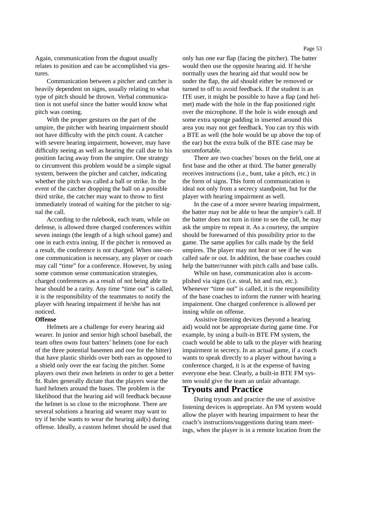Again, communication from the dugout usually relates to position and can be accomplished via gestures.

Communication between a pitcher and catcher is heavily dependent on signs, usually relating to what type of pitch should be thrown. Verbal communication is not useful since the batter would know what pitch was coming.

With the proper gestures on the part of the umpire, the pitcher with hearing impairment should not have dif pculty with the pitch count. A catcher with severe hearing impairment, however, may have dif pculty seeing as well as hearing the call due to his position facing away from the umpire. One strategy to circumvent this problem would be a simple signal system, between the pitcher and catcher, indicating whether the pitch was called a ball or strike. In the event of the catcher dropping the ball on a possible third strike, the catcher may want to throw to Þrst immediately instead of waiting for the pitcher to signal the call.

According to the rulebook, each team, while on defense, is allowed three charged conferences within seven innings (the length of a high school game) and one in each extra inning. If the pitcher is removed as a result, the conference is not charged. When one-onone communication is necessary, any player or coach may call ÒtimeÓ for a conference. However, by using some common sense communication strategies, charged conferences as a result of not being able to hear should be a rarity. Any time Otime outO is called, it is the responsibility of the teammates to notify the player with hearing impairment if he/she has not noticed.

#### **Offense**

Helmets are a challenge for every hearing aid wearer. In junior and senior high school baseball, the team often owns four battersÕ helmets (one for each of the three potential basemen and one for the hitter) that have plastic shields over both ears as opposed to a shield only over the ear facing the pitcher. Some players own their own helmets in order to get a better t. Rules generally dictate that the players wear the hard helmets around the bases. The problem is the likelihood that the hearing aid will feedback because the helmet is so close to the microphone. There are several solutions a hearing aid wearer may want to try if he/she wants to wear the hearing aid(s) during offense. Ideally, a custom helmet should be used that

only has one ear ßap (facing the pitcher). The batter would then use the opposite hearing aid. If he/she normally uses the hearing aid that would now be under the ßap, the aid should either be removed or turned to off to avoid feedback. If the student is an ITE user, it might be possible to have a ßap (and helmet) made with the hole in the ßap positioned right over the microphone. If the hole is wide enough and some extra sponge padding in inserted around this area you may not get feedback. You can try this with a BTE as well (the hole would be up above the top of the ear) but the extra bulk of the BTE case may be uncomfortable.

There are two coachesÕ boxes on the Þeld, one at rst base and the other at third. The batter generally receives instructions (i.e., bunt, take a pitch, etc.) in the form of signs. This form of communication is ideal not only from a secrecy standpoint, but for the player with hearing impairment as well.

In the case of a more severe hearing impairment, the batter may not be able to hear the umpireÕs call. If the batter does not turn in time to see the call, he may ask the umpire to repeat it. As a courtesy, the umpire should be forewarned of this possibility prior to the game. The same applies for calls made by the Þeld umpires. The player may not hear or see if he was called safe or out. In addition, the base coaches could help the batter/runner with pitch calls and base calls.

While on base, communication also is accomplished via signs (i.e. steal, hit and run, etc.). Whenever Ôtime outÔ is called, it is the responsibility of the base coaches to inform the runner with hearing impairment. One charged conference is allowed per inning while on offense.

Assistive listening devices (beyond a hearing aid) would not be appropriate during game time. For example, by using a built-in BTE FM system, the coach would be able to talk to the player with hearing impairment in secrecy. In an actual game, if a coach wants to speak directly to a player without having a conference charged, it is at the expense of having everyone else hear. Clearly, a built-in BTE FM system would give the team an unfair advantage.

### **Tryouts and Practice**

During tryouts and practice the use of assistive listening devices is appropriate. An FM system would allow the player with hearing impairment to hear the coachÕs instructions/suggestions during team meetings, when the player is in a remote location from the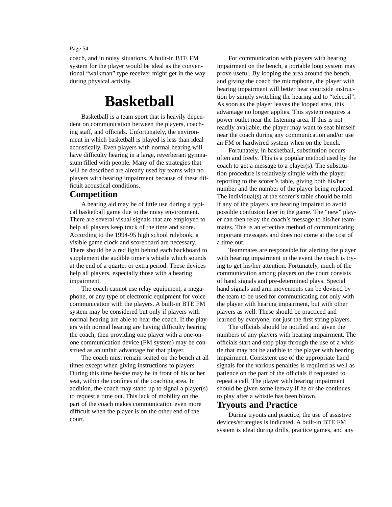coach, and in noisy situations. A built-in BTE FM system for the player would be ideal as the conventional ÒwalkmanÓ type receiver might get in the way during physical activity.

# **Basketball**

Basketball is a team sport that is heavily dependent on communication between the players, coaching staff, and of pcials. Unfortunately, the environment in which basketball is played is less than ideal acoustically. Even players with normal hearing will have dif pculty hearing in a large, reverberant gymnasium Þlled with people. Many of the strategies that will be described are already used by teams with no players with hearing impairment because of these difcult acoustical conditions.

### **Competition**

A hearing aid may be of little use during a typical basketball game due to the noisy environment. There are several visual signals that are employed to help all players keep track of the time and score. According to the 1994-95 high school rulebook, a visible game clock and scoreboard are necessary. There should be a red light behind each backboard to supplement the audible timer<sup>®</sup> whistle which sounds at the end of a quarter or extra period. These devices help all players, especially those with a hearing impairment.

The coach cannot use relay equipment, a megaphone, or any type of electronic equipment for voice communication with the players. A built-in BTE FM system may be considered but only if players with normal hearing are able to hear the coach. If the players with normal hearing are having difPculty hearing the coach, then providing one player with a one-onone communication device (FM system) may be construed as an unfair advantage for that player.

The coach must remain seated on the bench at all times except when giving instructions to players. During this time he/she may be in front of his or her seat, within the conÞnes of the coaching area. In addition, the coach may stand up to signal a player(s) to request a time out. This lack of mobility on the part of the coach makes communication even more dif Pcult when the player is on the other end of the court.

For communication with players with hearing impairment on the bench, a portable loop system may prove useful. By looping the area around the bench, and giving the coach the microphone, the player with hearing impairment will better hear courtside instruction by simply switching the hearing aid to ÒtelecoilÓ. As soon as the player leaves the looped area, this advantage no longer applies. This system requires a power outlet near the listening area. If this is not readily available, the player may want to seat himself near the coach during any communication and/or use an FM or hardwired system when on the bench.

Fortunately, in basketball, substitution occurs often and freely. This is a popular method used by the coach to get a message to a player(s). The substitution procedure is relatively simple with the player reporting to the scorer<sup>''</sup>s table, giving both his/her number and the number of the player being replaced. The individual(s) at the scorer  $\&$  table should be told if any of the players are hearing impaired to avoid possible confusion later in the game. The ÒnewÓ player can then relay the coachÕs message to his/her teammates. This is an effective method of communicating important messages and does not come at the cost of a time out.

Teammates are responsible for alerting the player with hearing impairment in the event the coach is trying to get his/her attention. Fortunately, much of the communication among players on the court consists of hand signals and pre-determined plays. Special hand signals and arm movements can be devised by the team to be used for communicating not only with the player with hearing impairment, but with other players as well. These should be practiced and learned by everyone, not just the Þrst string players.

The of Pcials should be notiped and given the numbers of any players with hearing impairment. The of pcials start and stop play through the use of a whistle that may not be audible to the player with hearing impairment. Consistent use of the appropriate hand signals for the various penalties is required as well as patience on the part of the of pcials if requested to repeat a call. The player with hearing impairment should be given some leeway if he or she continues to play after a whistle has been blown.

### **Tryouts and Practice**

During tryouts and practice, the use of assistive devices/strategies is indicated. A built-in BTE FM system is ideal during drills, practice games, and any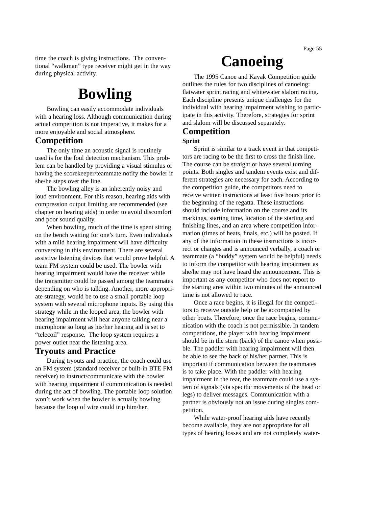time the coach is giving instructions. The conventional ÒwalkmanÓ type receiver might get in the way during physical activity.

# **Bowling**

Bowling can easily accommodate individuals with a hearing loss. Although communication during actual competition is not imperative, it makes for a more enjoyable and social atmosphere.

### **Competition**

The only time an acoustic signal is routinely used is for the foul detection mechanism. This problem can be handled by providing a visual stimulus or having the scorekeeper/teammate notify the bowler if she/he steps over the line.

The bowling alley is an inherently noisy and loud environment. For this reason, hearing aids with compression output limiting are recommended (see chapter on hearing aids) in order to avoid discomfort and poor sound quality.

When bowling, much of the time is spent sitting on the bench waiting for oneÕs turn. Even individuals with a mild hearing impairment will have difÞculty conversing in this environment. There are several assistive listening devices that would prove helpful. A team FM system could be used. The bowler with hearing impairment would have the receiver while the transmitter could be passed among the teammates depending on who is talking. Another, more appropriate strategy, would be to use a small portable loop system with several microphone inputs. By using this strategy while in the looped area, the bowler with hearing impairment will hear anyone talking near a microphone so long as his/her hearing aid is set to ÒtelecoilÓ response. The loop system requires a power outlet near the listening area.

### **Tryouts and Practice**

During tryouts and practice, the coach could use an FM system (standard receiver or built-in BTE FM receiver) to instruct/communicate with the bowler with hearing impairment if communication is needed during the act of bowling. The portable loop solution won<sup>0</sup>t work when the bowler is actually bowling because the loop of wire could trip him/her.

# **Canoeing**

The 1995 Canoe and Kayak Competition guide outlines the rules for two disciplines of canoeing: atwater sprint racing and whitewater slalom racing. Each discipline presents unique challenges for the individual with hearing impairment wishing to participate in this activity. Therefore, strategies for sprint and slalom will be discussed separately.

### **Competition**

#### **Sprint**

Sprint is similar to a track event in that competitors are racing to be the Þrst to cross the Þnish line. The course can be straight or have several turning points. Both singles and tandem events exist and different strategies are necessary for each. According to the competition guide, the competitors need to receive written instructions at least Þve hours prior to the beginning of the regatta. These instructions should include information on the course and its markings, starting time, location of the starting and nishing lines, and an area where competition information (times of heats, Þnals, etc.) will be posted. If any of the information in these instructions is incorrect or changes and is announced verbally, a coach or teammate (a ÒbuddyÓ system would be helpful) needs to inform the competitor with hearing impairment as she/he may not have heard the announcement. This is important as any competitor who does not report to the starting area within two minutes of the announced time is not allowed to race.

Once a race begins, it is illegal for the competitors to receive outside help or be accompanied by other boats. Therefore, once the race begins, communication with the coach is not permissible. In tandem competitions, the player with hearing impairment should be in the stern (back) of the canoe when possible. The paddler with hearing impairment will then be able to see the back of his/her partner. This is important if communication between the teammates is to take place. With the paddler with hearing impairment in the rear, the teammate could use a system of signals (via speciÞc movements of the head or legs) to deliver messages. Communication with a partner is obviously not an issue during singles competition.

While water-proof hearing aids have recently become available, they are not appropriate for all types of hearing losses and are not completely water-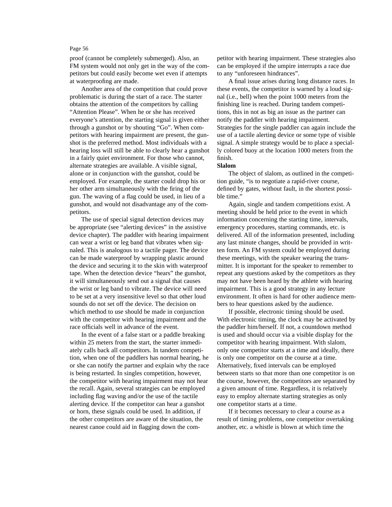proof (cannot be completely submerged). Also, an FM system would not only get in the way of the competitors but could easily become wet even if attempts at waterprooÞng are made.

Another area of the competition that could prove problematic is during the start of a race. The starter obtains the attention of the competitors by calling ÒAttention PleaseÓ. When he or she has received everyoneÕs attention, the starting signal is given either through a gunshot or by shouting ÒGoÓ. When competitors with hearing impairment are present, the gunshot is the preferred method. Most individuals with a hearing loss will still be able to clearly hear a gunshot in a fairly quiet environment. For those who cannot, alternate strategies are available. A visible signal, alone or in conjunction with the gunshot, could be employed. For example, the starter could drop his or her other arm simultaneously with the Þring of the gun. The waving of a ßag could be used, in lieu of a gunshot, and would not disadvantage any of the competitors.

The use of special signal detection devices may be appropriate (see  $\delta$ alerting devices $\acute{o}$  in the assistive device chapter). The paddler with hearing impairment can wear a wrist or leg band that vibrates when signaled. This is analogous to a tactile pager. The device can be made waterproof by wrapping plastic around the device and securing it to the skin with waterproof tape. When the detection device ÒhearsÓ the gunshot, it will simultaneously send out a signal that causes the wrist or leg band to vibrate. The device will need to be set at a very insensitive level so that other loud sounds do not set off the device. The decision on which method to use should be made in conjunction with the competitor with hearing impairment and the race of pcials well in advance of the event.

In the event of a false start or a paddle breaking within 25 meters from the start, the starter immediately calls back all competitors. In tandem competition, when one of the paddlers has normal hearing, he or she can notify the partner and explain why the race is being restarted. In singles competition, however, the competitor with hearing impairment may not hear the recall. Again, several strategies can be employed including ßag waving and/or the use of the tactile alerting device. If the competitor can hear a gunshot or horn, these signals could be used. In addition, if the other competitors are aware of the situation, the nearest canoe could aid in ßagging down the com-

petitor with hearing impairment. These strategies also can be employed if the umpire interrupts a race due to any Òunforeseen hindrancesÓ.

A bnal issue arises during long distance races. In these events, the competitor is warned by a loud signal (i.e., bell) when the point 1000 meters from the nishing line is reached. During tandem competitions, this in not as big an issue as the partner can notify the paddler with hearing impairment. Strategies for the single paddler can again include the use of a tactile alerting device or some type of visible signal. A simple strategy would be to place a specially colored buoy at the location 1000 meters from the nish.

#### **Slalom**

The object of slalom, as outlined in the competition guide, Òis to negotiate a rapid-river course, deÞned by gates, without fault, in the shortest possible time.Ó

Again, single and tandem competitions exist. A meeting should be held prior to the event in which information concerning the starting time, intervals, emergency procedures, starting commands, etc. is delivered. All of the information presented, including any last minute changes, should be provided in written form. An FM system could be employed during these meetings, with the speaker wearing the transmitter. It is important for the speaker to remember to repeat any questions asked by the competitors as they may not have been heard by the athlete with hearing impairment. This is a good strategy in any lecture environment. It often is hard for other audience members to hear questions asked by the audience.

If possible, electronic timing should be used. With electronic timing, the clock may be activated by the paddler him/herself. If not, a countdown method is used and should occur via a visible display for the competitor with hearing impairment. With slalom, only one competitor starts at a time and ideally, there is only one competitor on the course at a time. Alternatively, Þxed intervals can be employed between starts so that more than one competitor is on the course, however, the competitors are separated by a given amount of time. Regardless, it is relatively easy to employ alternate starting strategies as only one competitor starts at a time.

If it becomes necessary to clear a course as a result of timing problems, one competitor overtaking another, etc. a whistle is blown at which time the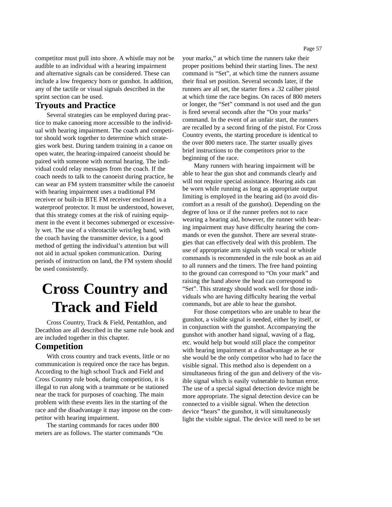competitor must pull into shore. A whistle may not be audible to an individual with a hearing impairment and alternative signals can be considered. These can include a low frequency horn or gunshot. In addition, any of the tactile or visual signals described in the sprint section can be used.

### **Tryouts and Practice**

Several strategies can be employed during practice to make canoeing more accessible to the individual with hearing impairment. The coach and competitor should work together to determine which strategies work best. During tandem training in a canoe on open water, the hearing-impaired canoeist should be paired with someone with normal hearing. The individual could relay messages from the coach. If the coach needs to talk to the canoeist during practice, he can wear an FM system transmitter while the canoeist with hearing impairment uses a traditional FM receiver or built-in BTE FM receiver enclosed in a waterproof protector. It must be understood, however, that this strategy comes at the risk of ruining equipment in the event it becomes submerged or excessively wet. The use of a vibrotactile wrist/leg band, with the coach having the transmitter device, is a good method of getting the individualÕs attention but will not aid in actual spoken communication. During periods of instruction on land, the FM system should be used consistently.

# **Cross Country and Track and Field**

Cross Country, Track & Field, Pentathlon, and Decathlon are all described in the same rule book and are included together in this chapter.

### **Competition**

With cross country and track events, little or no communication is required once the race has begun. According to the high school Track and Field and Cross Country rule book, during competition, it is illegal to run along with a teammate or be stationed near the track for purposes of coaching. The main problem with these events lies in the starting of the race and the disadvantage it may impose on the competitor with hearing impairment.

The starting commands for races under 800 meters are as follows. The starter commands ÒOn

your marks,Ó at which time the runners take their proper positions behind their starting lines. The next command is ÒSetÓ, at which time the runners assume their Þnal set position. Several seconds later, if the runners are all set, the starter Þres a .32 caliber pistol at which time the race begins. On races of 800 meters or longer, the ÒSetÓ command is not used and the gun is Þred several seconds after the ÒOn your marksÓ command. In the event of an unfair start, the runners are recalled by a second Þring of the pistol. For Cross Country events, the starting procedure is identical to the over 800 meters race. The starter usually gives brief instructions to the competitors prior to the beginning of the race.

Many runners with hearing impairment will be able to hear the gun shot and commands clearly and will not require special assistance. Hearing aids can be worn while running as long as appropriate output limiting is employed in the hearing aid (to avoid discomfort as a result of the gunshot). Depending on the degree of loss or if the runner prefers not to race wearing a hearing aid, however, the runner with hearing impairment may have difbculty hearing the commands or even the gunshot. There are several strategies that can effectively deal with this problem. The use of appropriate arm signals with vocal or whistle commands is recommended in the rule book as an aid to all runners and the timers. The free hand pointing to the ground can correspond to  $\hat{O}$ On your mark $\hat{O}$  and raising the hand above the head can correspond to ÒSetÓ. This strategy should work well for those individuals who are having difPculty hearing the verbal commands, but are able to hear the gunshot.

For those competitors who are unable to hear the gunshot, a visible signal is needed, either by itself, or in conjunction with the gunshot. Accompanying the gunshot with another hand signal, waving of a ßag, etc. would help but would still place the competitor with hearing impairment at a disadvantage as he or she would be the only competitor who had to face the visible signal. This method also is dependent on a simultaneous Þring of the gun and delivery of the visible signal which is easily vulnerable to human error. The use of a special signal detection device might be more appropriate. The signal detection device can be connected to a visible signal. When the detection device ÒhearsÓ the gunshot, it will simultaneously light the visible signal. The device will need to be set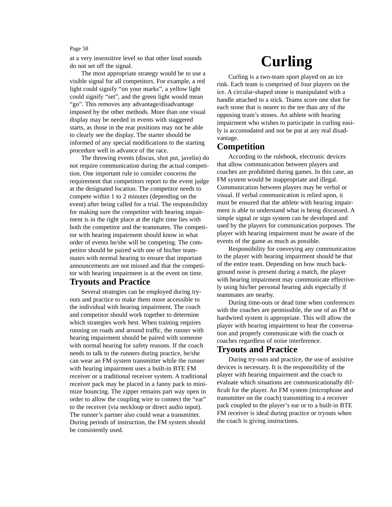at a very insensitive level so that other loud sounds do not set off the signal.

The most appropriate strategy would be to use a visible signal for all competitors. For example, a red light could signify Òon your marksÓ, a yellow light could signify ÒsetÓ, and the green light would mean ÒgoÓ. This removes any advantage/disadvantage imposed by the other methods. More than one visual display may be needed in events with staggered starts, as those in the rear positions may not be able to clearly see the display. The starter should be informed of any special modiÞcations to the starting procedure well in advance of the race.

The throwing events (discus, shot put, javelin) do not require communication during the actual competition. One important rule to consider concerns the requirement that competitors report to the event judge at the designated location. The competitor needs to compete within 1 to 2 minutes (depending on the event) after being called for a trial. The responsibility for making sure the competitor with hearing impairment is in the right place at the right time lies with both the competitor and the teammates. The competitor with hearing impairment should know in what order of events he/she will be competing. The competitor should be paired with one of his/her teammates with normal hearing to ensure that important announcements are not missed and that the competitor with hearing impairment is at the event on time.

### **Tryouts and Practice**

Several strategies can be employed during tryouts and practice to make them more accessible to the individual with hearing impairment. The coach and competitor should work together to determine which strategies work best. When training requires running on roads and around trafbc, the runner with hearing impairment should be paired with someone with normal hearing for safety reasons. If the coach needs to talk to the runners during practice, he/she can wear an FM system transmitter while the runner with hearing impairment uses a built-in BTE FM receiver or a traditional receiver system. A traditional receiver pack may be placed in a fanny pack to minimize bouncing. The zipper remains part way open in order to allow the coupling wire to connect the ÒearÓ to the receiver (via neckloop or direct audio input). The runner<sup>''</sup>s partner also could wear a transmitter. During periods of instruction, the FM system should be consistently used.

# **Curling**

Curling is a two-team sport played on an ice rink. Each team is comprised of four players on the ice. A circular-shaped stone is manipulated with a handle attached to a stick. Teams score one shot for each stone that is nearer to the tee than any of the opposing teamÕs stones. An athlete with hearing impairment who wishes to participate in curling easily is accomodated and not be put at any real disadvantage.

### **Competition**

According to the rulebook, electronic devices that allow communication between players and coaches are prohibited during games. In this case, an FM system would be inappropriate and illegal. Communication between players may be verbal or visual. If verbal communication is relied upon, it must be ensured that the athlete with hearing impairment is able to understand what is being discussed. A simple signal or sign system can be developed and used by the players for communication purposes. The player with hearing impairment must be aware of the events of the game as much as possible.

Responsibility for conveying any communication to the player with hearing impairment should be that of the entire team. Depending on how much background noise is present during a match, the player with hearing impairment may communicate effectively using his/her personal hearing aids especially if teammates are nearby.

During time-outs or dead time when conferences with the coaches are permissible, the use of an FM or hardwired system is appropriate. This will allow the player with hearing impairment to hear the conversation and properly communicate with the coach or coaches regardless of noise interference.

### **Tryouts and Practice**

During try-outs and practice, the use of assistive devices is necessary. It is the responsibility of the player with hearing impairment and the coach to evaluate which situations are communicationally difcult for the player. An FM system (microphone and transmitter on the coach) transmitting to a receiver pack coupled to the player's ear or to a built-in BTE FM receiver is ideal during practice or tryouts when the coach is giving instructions.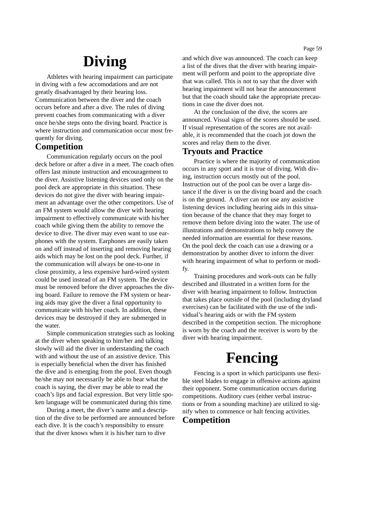# **Diving**

Athletes with hearing impairment can participate in diving with a few accomodations and are not greatly disadvantaged by their hearing loss. Communication between the diver and the coach occurs before and after a dive. The rules of diving prevent coaches from communicating with a diver once he/she steps onto the diving board. Practice is where instruction and communication occur most frequently for diving.

### **Competition**

Communication regularly occurs on the pool deck before or after a dive in a meet. The coach often offers last minute instruction and encouragement to the diver. Assistive listening devices used only on the pool deck are appropriate in this situation. These devices do not give the diver with hearing impairment an advantage over the other competitors. Use of an FM system would allow the diver with hearing impairment to effectively communicate with his/her coach while giving them the ability to remove the device to dive. The diver may even want to use earphones with the system. Earphones are easily taken on and off instead of inserting and removing hearing aids which may be lost on the pool deck. Further, if the communication will always be one-to-one in close proximity, a less expensive hard-wired system could be used instead of an FM system. The device must be removed before the diver approaches the diving board. Failure to remove the FM system or hearing aids may give the diver a Þnal opportunity to communicate with his/her coach. In addition, these devices may be destroyed if they are submerged in the water.

Simple communication strategies such as looking at the diver when speaking to him/her and talking slowly will aid the diver in understanding the coach with and without the use of an assistive device. This is especially beneÞcial when the diver has Þnished the dive and is emerging from the pool. Even though he/she may not necessarily be able to hear what the coach is saying, the diver may be able to read the coachÕs lips and facial expression. But very little spoken language will be communicated during this time.

During a meet, the diver is name and a description of the dive to be performed are announced before each dive. It is the coachÕs responsibilty to ensure that the diver knows when it is his/her turn to dive

and which dive was announced. The coach can keep a list of the dives that the diver with hearing impairment will perform and point to the appropriate dive that was called. This is not to say that the diver with hearing impairment will not hear the announcement but that the coach should take the appropriate precautions in case the diver does not.

At the conclusion of the dive, the scores are announced. Visual signs of the scores should be used. If visual representation of the scores are not available, it is recommended that the coach jot down the scores and relay them to the diver.

### **Tryouts and Practice**

Practice is where the majority of communication occurs in any sport and it is true of diving. With diving, instruction occurs mostly out of the pool. Instruction out of the pool can be over a large distance if the diver is on the diving board and the coach is on the ground. A diver can not use any assistive listening devices including hearing aids in this situation because of the chance that they may forget to remove them before diving into the water. The use of illustrations and demonstrations to help convey the needed information are essential for these reasons. On the pool deck the coach can use a drawing or a demonstration by another diver to inform the diver with hearing impairment of what to perform or modify.

Training procedures and work-outs can be fully described and illustrated in a written form for the diver with hearing impairment to follow. Instruction that takes place outside of the pool (including dryland exercises) can be facilitated with the use of the individualÕs hearing aids or with the FM system described in the competition section. The microphone is worn by the coach and the receiver is worn by the diver with hearing impairment.

# **Fencing**

Fencing is a sport in which participants use ßexible steel blades to engage in offensive actions against their opponent. Some communication occurs during competitions. Auditory cues (either verbal instructions or from a sounding machine) are utilized to signify when to commence or halt fencing activities. **Competition**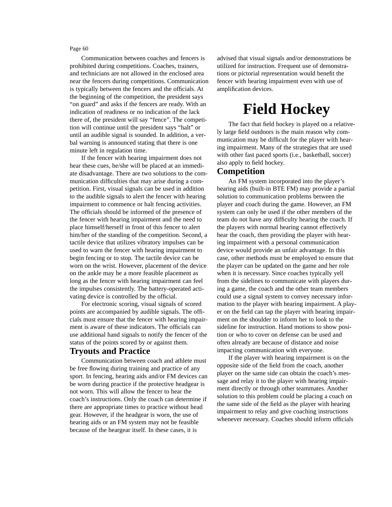Communication between coaches and fencers is prohibited during competitions. Coaches, trainers, and technicians are not allowed in the enclosed area near the fencers during competitions. Communication is typically between the fencers and the of Pcials. At the beginning of the competition, the president says Òon guardÓ and asks if the fencers are ready. With an indication of readiness or no indication of the lack there of, the president will say ÒfenceÓ. The competition will continue until the president says ÒhaltÓ or until an audible signal is sounded. In addition, a verbal warning is announced stating that there is one minute left in regulation time.

If the fencer with hearing impairment does not hear these cues, he/she will be placed at an immediate disadvantage. There are two solutions to the communication dif pculties that may arise during a competition. First, visual signals can be used in addition to the audible signals to alert the fencer with hearing impairment to commence or halt fencing activities. The of pcials should be informed of the presence of the fencer with hearing impairment and the need to place himself/herself in front of this fencer to alert him/her of the standing of the competition. Second, a tactile device that utilizes vibratory impulses can be used to warn the fencer with hearing impairment to begin fencing or to stop. The tactile device can be worn on the wrist. However, placement of the device on the ankle may be a more feasible placement as long as the fencer with hearing impairment can feel the impulses consistently. The battery-operated activating device is controlled by the of  $Pcial$ .

For electronic scoring, visual signals of scored points are accompanied by audible signals. The ofbcials must ensure that the fencer with hearing impairment is aware of these indicators. The of Pcials can use additional hand signals to notify the fencer of the status of the points scored by or against them.

### **Tryouts and Practice**

Communication between coach and athlete must be free ßowing during training and practice of any sport. In fencing, hearing aids and/or FM devices can be worn during practice if the protective headgear is not worn. This will allow the fencer to hear the coachÕs instructions. Only the coach can determine if there are appropriate times to practice without head gear. However, if the headgear is worn, the use of hearing aids or an FM system may not be feasible because of the heargear itself. In these cases, it is

advised that visual signals and/or demonstrations be utilized for instruction. Frequent use of demonstrations or pictorial representation would beneÞt the fencer with hearing impairment even with use of ampliÞcation devices.

# **Field Hockey**

The fact that Þeld hockey is played on a relatively large Þeld outdoors is the main reason why communication may be difÞcult for the player with hearing impairment. Many of the strategies that are used with other fast paced sports (i.e., basketball, soccer) also apply to Þeld hockey.

### **Competition**

An FM system incorporated into the player & hearing aids (built-in BTE FM) may provide a partial solution to communication problems between the player and coach during the game. However, an FM system can only be used if the other members of the team do not have any difpculty hearing the coach. If the players with normal hearing cannot effectively hear the coach, then providing the player with hearing impairment with a personal communication device would provide an unfair advantage. In this case, other methods must be employed to ensure that the player can be updated on the game and her role when it is necessary. Since coaches typically yell from the sidelines to communicate with players during a game, the coach and the other team members could use a signal system to convey necessary information to the player with hearing impairment. A player on the Þeld can tap the player with hearing impairment on the shoulder to inform her to look to the sideline for instruction. Hand motions to show position or who to cover on defense can be used and often already are because of distance and noise impacting communication with everyone.

If the player with hearing impairment is on the opposite side of the Þeld from the coach, another player on the same side can obtain the coachÕs message and relay it to the player with hearing impairment directly or through other teammates. Another solution to this problem could be placing a coach on the same side of the Þeld as the player with hearing impairment to relay and give coaching instructions whenever necessary. Coaches should inform of Pcials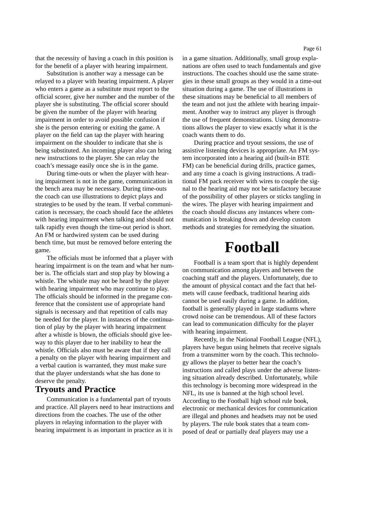that the necessity of having a coach in this position is for the beneÞt of a player with hearing impairment.

Substitution is another way a message can be relayed to a player with hearing impairment. A player who enters a game as a substitute must report to the of pcial scorer, give her number and the number of the player she is substituting. The of Pcial scorer should be given the number of the player with hearing impairment in order to avoid possible confusion if she is the person entering or exiting the game. A player on the Þeld can tap the player with hearing impairment on the shoulder to indicate that she is being substituted. An incoming player also can bring new instructions to the player. She can relay the coachÕs message easily once she is in the game.

During time-outs or when the player with hearing impairment is not in the game, communication in the bench area may be necessary. During time-outs the coach can use illustrations to depict plays and strategies to be used by the team. If verbal communication is necessary, the coach should face the athletes with hearing impairment when talking and should not talk rapidly even though the time-out period is short. An FM or hardwired system can be used during bench time, but must be removed before entering the game.

The of pcials must be informed that a player with hearing impairment is on the team and what her number is. The of Pcials start and stop play by blowing a whistle. The whistle may not be heard by the player with hearing impairment who may continue to play. The of pcials should be informed in the pregame conference that the consistent use of appropriate hand signals is necessary and that repetition of calls may be needed for the player. In instances of the continuation of play by the player with hearing impairment after a whistle is blown, the of pcials should give leeway to this player due to her inability to hear the whistle. Of picials also must be aware that if they call a penalty on the player with hearing impairment and a verbal caution is warranted, they must make sure that the player understands what she has done to deserve the penalty.

### **Tryouts and Practice**

Communication is a fundamental part of tryouts and practice. All players need to hear instructions and directions from the coaches. The use of the other players in relaying information to the player with hearing impairment is as important in practice as it is

in a game situation. Additionally, small group explanations are often used to teach fundamentals and give instructions. The coaches should use the same strategies in these small groups as they would in a time-out situation during a game. The use of illustrations in these situations may be beneÞcial to all members of the team and not just the athlete with hearing impairment. Another way to instruct any player is through the use of frequent demonstrations. Using demonstrations allows the player to view exactly what it is the coach wants them to do.

During practice and tryout sessions, the use of assistive listening devices is appropriate. An FM system incorporated into a hearing aid (built-in BTE FM) can be beneÞcial during drills, practice games, and any time a coach is giving instructions. A traditional FM pack receiver with wires to couple the signal to the hearing aid may not be satisfactory because of the possibility of other players or sticks tangling in the wires. The player with hearing impairment and the coach should discuss any instances where communication is breaking down and develop custom methods and strategies for remedying the situation.

# **Football**

Football is a team sport that is highly dependent on communication among players and between the coaching staff and the players. Unfortunately, due to the amount of physical contact and the fact that helmets will cause feedback, traditional hearing aids cannot be used easily during a game. In addition, football is generally played in large stadiums where crowd noise can be tremendous. All of these factors can lead to communication difpculty for the player with hearing impairment.

Recently, in the National Football League (NFL), players have begun using helmets that receive signals from a transmitter worn by the coach. This technology allows the player to better hear the coachÕs instructions and called plays under the adverse listening situation already described. Unfortunately, while this technology is becoming more widespread in the NFL, its use is banned at the high school level. According to the Football high school rule book, electronic or mechanical devices for communication are illegal and phones and headsets may not be used by players. The rule book states that a team composed of deaf or partially deaf players may use a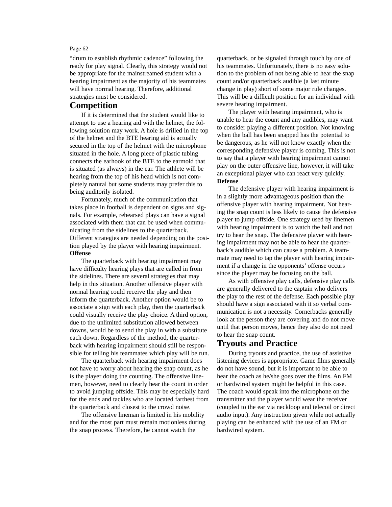Òdrum to establish rhythmic cadenceÓ following the ready for play signal. Clearly, this strategy would not be appropriate for the mainstreamed student with a hearing impairment as the majority of his teammates will have normal hearing. Therefore, additional strategies must be considered.

### **Competition**

If it is determined that the student would like to attempt to use a hearing aid with the helmet, the following solution may work. A hole is drilled in the top of the helmet and the BTE hearing aid is actually secured in the top of the helmet with the microphone situated in the hole. A long piece of plastic tubing connects the earhook of the BTE to the earmold that is situated (as always) in the ear. The athlete will be hearing from the top of his head which is not completely natural but some students may prefer this to being auditorily isolated.

Fortunately, much of the communication that takes place in football is dependent on signs and signals. For example, rehearsed plays can have a signal associated with them that can be used when communicating from the sidelines to the quarterback. Different strategies are needed depending on the position played by the player with hearing impairment. **Offense**

The quarterback with hearing impairment may have dif pculty hearing plays that are called in from the sidelines. There are several strategies that may help in this situation. Another offensive player with normal hearing could receive the play and then inform the quarterback. Another option would be to associate a sign with each play, then the quarterback could visually receive the play choice. A third option, due to the unlimited substitution allowed between downs, would be to send the play in with a substitute each down. Regardless of the method, the quarterback with hearing impairment should still be responsible for telling his teammates which play will be run.

The quarterback with hearing impairment does not have to worry about hearing the snap count, as he is the player doing the counting. The offensive linemen, however, need to clearly hear the count in order to avoid jumping offside. This may be especially hard for the ends and tackles who are located farthest from the quarterback and closest to the crowd noise.

The offensive lineman is limited in his mobility and for the most part must remain motionless during the snap process. Therefore, he cannot watch the

quarterback, or be signaled through touch by one of his teammates. Unfortunately, there is no easy solution to the problem of not being able to hear the snap count and/or quarterback audible (a last minute change in play) short of some major rule changes. This will be a difÞcult position for an individual with severe hearing impairment.

The player with hearing impairment, who is unable to hear the count and any audibles, may want to consider playing a different position. Not knowing when the ball has been snapped has the potential to be dangerous, as he will not know exactly when the corresponding defensive player is coming. This is not to say that a player with hearing impairment cannot play on the outer offensive line, however, it will take an exceptional player who can react very quickly. **Defense**

The defensive player with hearing impairment is in a slightly more advantageous position than the offensive player with hearing impairment. Not hearing the snap count is less likely to cause the defensive player to jump offside. One strategy used by linemen with hearing impairment is to watch the ball and not try to hear the snap. The defensive player with hearing impairment may not be able to hear the quarterbackÕs audible which can cause a problem. A teammate may need to tap the player with hearing impairment if a change in the opponentsÕ offense occurs since the player may be focusing on the ball.

As with offensive play calls, defensive play calls are generally delivered to the captain who delivers the play to the rest of the defense. Each possible play should have a sign associated with it so verbal communication is not a necessity. Cornerbacks generally look at the person they are covering and do not move until that person moves, hence they also do not need to hear the snap count.

### **Tryouts and Practice**

During tryouts and practice, the use of assistive listening devices is appropriate. Game Þlms generally do not have sound, but it is important to be able to hear the coach as he/she goes over the Þlms. An FM or hardwired system might be helpful in this case. The coach would speak into the microphone on the transmitter and the player would wear the receiver (coupled to the ear via neckloop and telecoil or direct audio input). Any instruction given while not actually playing can be enhanced with the use of an FM or hardwired system.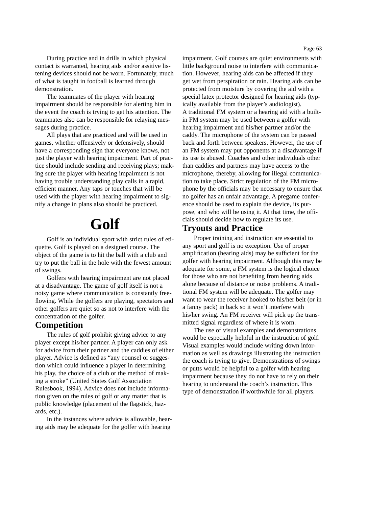During practice and in drills in which physical contact is warranted, hearing aids and/or assitive listening devices should not be worn. Fortunately, much of what is taught in football is learned through demonstration.

The teammates of the player with hearing impairment should be responsible for alerting him in the event the coach is trying to get his attention. The teammates also can be responsible for relaying messages during practice.

All plays that are practiced and will be used in games, whether offensively or defensively, should have a corresponding sign that everyone knows, not just the player with hearing impairment. Part of practice should include sending and receiving plays; making sure the player with hearing impairment is not having trouble understanding play calls in a rapid, efÞcient manner. Any taps or touches that will be used with the player with hearing impairment to signify a change in plans also should be practiced.

# **Golf**

Golf is an individual sport with strict rules of etiquette. Golf is played on a designed course. The object of the game is to hit the ball with a club and try to put the ball in the hole with the fewest amount of swings.

Golfers with hearing impairment are not placed at a disadvantage. The game of golf itself is not a noisy game where communication is constantly freeßowing. While the golfers are playing, spectators and other golfers are quiet so as not to interfere with the concentration of the golfer.

### **Competition**

The rules of golf prohibit giving advice to any player except his/her partner. A player can only ask for advice from their partner and the caddies of either player. Advice is deÞned as Òany counsel or suggestion which could inßuence a player in determining his play, the choice of a club or the method of making a strokeÓ (United States Golf Association Rulesbook, 1994). Advice does not include information given on the rules of golf or any matter that is public knowledge (placement of the ßagstick, hazards, etc.).

In the instances where advice is allowable, hearing aids may be adequate for the golfer with hearing

impairment. Golf courses are quiet environments with little background noise to interfere with communication. However, hearing aids can be affected if they get wet from perspiration or rain. Hearing aids can be protected from moisture by covering the aid with a special latex protector designed for hearing aids (typically available from the player & audiologist). A traditional FM system or a hearing aid with a builtin FM system may be used between a golfer with hearing impairment and his/her partner and/or the caddy. The microphone of the system can be passed back and forth between speakers. However, the use of an FM system may put opponents at a disadvantage if its use is abused. Coaches and other individuals other than caddies and partners may have access to the microphone, thereby, allowing for illegal communication to take place. Strict regulation of the FM microphone by the of pcials may be necessary to ensure that no golfer has an unfair advantage. A pregame conference should be used to explain the device, its purpose, and who will be using it. At that time, the of  $\blacktriangleright$ cials should decide how to regulate its use.

### **Tryouts and Practice**

Proper training and instruction are essential to any sport and golf is no exception. Use of proper ampliÞcation (hearing aids) may be sufÞcient for the golfer with hearing impairment. Although this may be adequate for some, a FM system is the logical choice for those who are not beneÞting from hearing aids alone because of distance or noise problems. A traditional FM system will be adequate. The golfer may want to wear the receiver hooked to his/her belt (or in a fanny pack) in back so it wonÕt interfere with his/her swing. An FM receiver will pick up the transmitted signal regardless of where it is worn.

The use of visual examples and demonstrations would be especially helpful in the instruction of golf. Visual examples would include writing down information as well as drawings illustrating the instruction the coach is trying to give. Demonstrations of swings or putts would be helpful to a golfer with hearing impairment because they do not have to rely on their hearing to understand the coachÕs instruction. This type of demonstration if worthwhile for all players.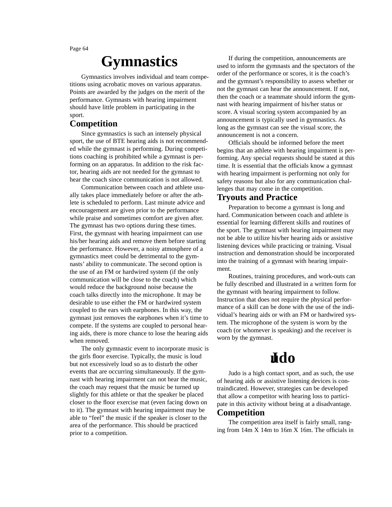# **Gymnastics**

Gymnastics involves individual and team competitions using acrobatic moves on various apparatus. Points are awarded by the judges on the merit of the performance. Gymnasts with hearing impairment should have little problem in participating in the sport.

### **Competition**

Since gymnastics is such an intensely physical sport, the use of BTE hearing aids is not recommended while the gymnast is performing. During competitions coaching is prohibited while a gymnast is performing on an apparatus. In addition to the risk factor, hearing aids are not needed for the gymnast to hear the coach since communication is not allowed.

Communication between coach and athlete usually takes place immediately before or after the athlete is scheduled to perform. Last minute advice and encouragement are given prior to the performance while praise and sometimes comfort are given after. The gymnast has two options during these times. First, the gymnast with hearing impairment can use his/her hearing aids and remove them before starting the performance. However, a noisy atmosphere of a gymnastics meet could be detrimental to the gymnastsÕ ability to communicate. The second option is the use of an FM or hardwired system (if the only communication will be close to the coach) which would reduce the background noise because the coach talks directly into the microphone. It may be desirable to use either the FM or hardwired system coupled to the ears with earphones. In this way, the gymnast just removes the earphones when itÕs time to compete. If the systems are coupled to personal hearing aids, there is more chance to lose the hearing aids when removed.

The only gymnastic event to incorporate music is the girls ßoor exercise. Typically, the music is loud but not excessively loud so as to disturb the other events that are occurring simultaneously. If the gymnast with hearing impairment can not hear the music, the coach may request that the music be turned up slightly for this athlete or that the speaker be placed closer to the ßoor exercise mat (even facing down on to it). The gymnast with hearing impairment may be able to ÒfeelÓ the music if the speaker is closer to the area of the performance. This should be practiced prior to a competition.

If during the competition, announcements are used to inform the gymnasts and the spectators of the order of the performance or scores, it is the coachÕs and the gymnastÕs responsibility to assess whether or not the gymnast can hear the announcement. If not, then the coach or a teammate should inform the gymnast with hearing impairment of his/her status or score. A visual scoring system accompanied by an announcement is typically used in gymnastics. As long as the gymnast can see the visual score, the announcement is not a concern.

Of pcials should be informed before the meet begins that an athlete with hearing impairment is performing. Any special requests should be stated at this time. It is essential that the of pcials know a gymnast with hearing impairment is performing not only for safety reasons but also for any communication challenges that may come in the competition.

### **Tryouts and Practice**

Preparation to become a gymnast is long and hard. Communication between coach and athlete is essential for learning different skills and routines of the sport. The gymnast with hearing impairment may not be able to utilize his/her hearing aids or assistive listening devices while practicing or training. Visual instruction and demonstration should be incorporated into the training of a gymnast with hearing impairment.

Routines, training procedures, and work-outs can be fully described and illustrated in a written form for the gymnast with hearing impairment to follow. Instruction that does not require the physical performance of a skill can be done with the use of the individualÕs hearing aids or with an FM or hardwired system. The microphone of the system is worn by the coach (or whomever is speaking) and the receiver is worn by the gymnast.

# **Judo**

Judo is a high contact sport, and as such, the use of hearing aids or assistive listening devices is contraindicated. However, strategies can be developed that allow a competitor with hearing loss to participate in this activity without being at a disadvantage.

### **Competition**

The competition area itself is fairly small, ranging from  $14m X 14m$  to  $16m X 16m$ . The of $P$ cials in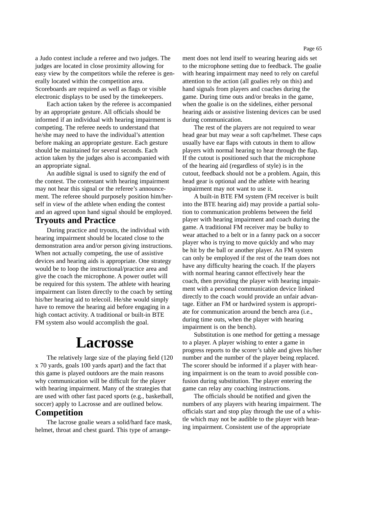a Judo contest include a referee and two judges. The judges are located in close proximity allowing for easy view by the competitors while the referee is generally located within the competition area. Scoreboards are required as well as ßags or visible electronic displays to be used by the timekeepers.

Each action taken by the referee is accompanied by an appropriate gesture. All of Pcials should be informed if an individual with hearing impairment is competing. The referee needs to understand that he/she may need to have the individualÕs attention before making an appropriate gesture. Each gesture should be maintained for several seconds. Each action taken by the judges also is accompanied with an appropriate signal.

An audible signal is used to signify the end of the contest. The contestant with hearing impairment may not hear this signal or the referee<sup>®</sup> announcement. The referee should purposely position him/herself in view of the athlete when ending the contest and an agreed upon hand signal should be employed.

### **Tryouts and Practice**

During practice and tryouts, the individual with hearing impairment should be located close to the demonstration area and/or person giving instructions. When not actually competing, the use of assistive devices and hearing aids is appropriate. One strategy would be to loop the instructional/practice area and give the coach the microphone. A power outlet will be required for this system. The athlete with hearing impairment can listen directly to the coach by setting his/her hearing aid to telecoil. He/she would simply have to remove the hearing aid before engaging in a high contact activity. A traditional or built-in BTE FM system also would accomplish the goal.

## **Lacrosse**

The relatively large size of the playing Þeld (120 x 70 yards, goals 100 yards apart) and the fact that this game is played outdoors are the main reasons why communication will be difpcult for the player with hearing impairment. Many of the strategies that are used with other fast paced sports (e.g., basketball, soccer) apply to Lacrosse and are outlined below.

### **Competition**

The lacrose goalie wears a solid/hard face mask, helmet, throat and chest guard. This type of arrangement does not lend itself to wearing hearing aids set to the microphone setting due to feedback. The goalie with hearing impairment may need to rely on careful attention to the action (all goalies rely on this) and hand signals from players and coaches during the game. During time outs and/or breaks in the game, when the goalie is on the sidelines, either personal hearing aids or assistive listening devices can be used during communication.

The rest of the players are not required to wear head gear but may wear a soft cap/helmet. These caps usually have ear ßaps with cutouts in them to allow players with normal hearing to hear through the ßap. If the cutout is positioned such that the microphone of the hearing aid (regardless of style) is in the cutout, feedback should not be a problem. Again, this head gear is optional and the athlete with hearing impairment may not want to use it.

A built-in BTE FM system (FM receiver is built into the BTE hearing aid) may provide a partial solution to communication problems between the Þeld player with hearing impairment and coach during the game. A traditional FM receiver may be bulky to wear attached to a belt or in a fanny pack on a soccer player who is trying to move quickly and who may be hit by the ball or another player. An FM system can only be employed if the rest of the team does not have any difPculty hearing the coach. If the players with normal hearing cannot effectively hear the coach, then providing the player with hearing impairment with a personal communication device linked directly to the coach would provide an unfair advantage. Either an FM or hardwired system is appropriate for communication around the bench area (i.e., during time outs, when the player with hearing impairment is on the bench).

Substitution is one method for getting a message to a player. A player wishing to enter a game in progress reports to the scorer<sup>''</sup> table and gives his/her number and the number of the player being replaced. The scorer should be informed if a player with hearing impairment is on the team to avoid possible confusion during substitution. The player entering the game can relay any coaching instructions.

The of pcials should be notiped and given the numbers of any players with hearing impairment. The of Pcials start and stop play through the use of a whistle which may not be audible to the player with hearing impairment. Consistent use of the appropriate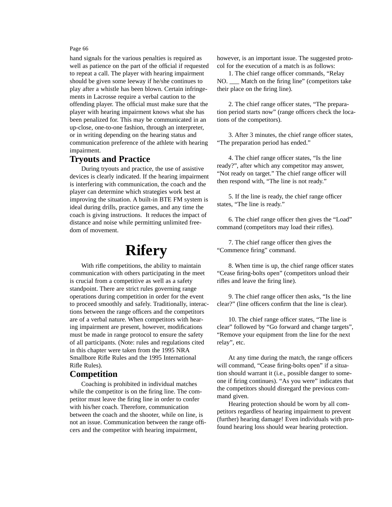hand signals for the various penalties is required as well as patience on the part of the ofÞcial if requested to repeat a call. The player with hearing impairment should be given some leeway if he/she continues to play after a whistle has been blown. Certain infringements in Lacrosse require a verbal caution to the offending player. The ofÞcial must make sure that the player with hearing impairment knows what she has been penalized for. This may be communicated in an up-close, one-to-one fashion, through an interpreter, or in writing depending on the hearing status and communication preference of the athlete with hearing impairment.

### **Tryouts and Practice**

During tryouts and practice, the use of assistive devices is clearly indicated. If the hearing impairment is interfering with communication, the coach and the player can determine which strategies work best at improving the situation. A built-in BTE FM system is ideal during drills, practice games, and any time the coach is giving instructions. It reduces the impact of distance and noise while permitting unlimited freedom of movement.

# **Rifery**

With riße competitions, the ability to maintain communication with others participating in the meet is crucial from a competitive as well as a safety standpoint. There are strict rules governing range operations during competition in order for the event to proceed smoothly and safely. Traditionally, interactions between the range ofÞcers and the competitors are of a verbal nature. When competitors with hearing impairment are present, however, modiÞcations must be made in range protocol to ensure the safety of all participants. (Note: rules and regulations cited in this chapter were taken from the 1995 NRA Smallbore Riße Rules and the 1995 International Riße Rules).

### **Competition**

Coaching is prohibited in individual matches while the competitor is on the Þring line. The competitor must leave the Þring line in order to confer with his/her coach. Therefore, communication between the coach and the shooter, while on line, is not an issue. Communication between the range ofÞcers and the competitor with hearing impairment,

however, is an important issue. The suggested protocol for the execution of a match is as follows:

1. The chief range ofÞcer commands, ÒRelay NO. Match on the Þring lineÓ (competitors take their place on the Þring line).

2. The chief range ofÞcer states, ÒThe preparation period starts nowÓ (range ofÞcers check the locations of the competitors).

3. After 3 minutes, the chief range ofÞcer states, ÒThe preparation period has ended.Ó

4. The chief range ofÞcer states, ÒIs the line ready?Ó, after which any competitor may answer, ÒNot ready on target.Ó The chief range ofÞcer will then respond with, ÒThe line is not ready.Ó

5. If the line is ready, the chief range ofÞcer states, ÒThe line is ready.Ó

6. The chief range ofÞcer then gives the ÒLoadÓ command (competitors may load their rißes).

7. The chief range ofÞcer then gives the ÒCommence ÞringÓ command.

8. When time is up, the chief range ofÞcer states ÒCease Þring-bolts openÓ (competitors unload their rißes and leave the Þring line).

9. The chief range ofÞcer then asks, ÒIs the line clear?Ó (line ofÞcers conÞrm that the line is clear).

10. The chief range ofÞcer states, ÒThe line is clearÓ followed by ÒGo forward and change targetsÓ, ÒRemove your equipment from the line for the next relayÓ, etc.

At any time during the match, the range ofÞcers will command, OCease Þring-bolts openO if a situation should warrant it (i.e., possible danger to someone if Þring continues). ÒAs you wereÓ indicates that the competitors should disregard the previous command given.

Hearing protection should be worn by all competitors regardless of hearing impairment to prevent (further) hearing damage! Even individuals with profound hearing loss should wear hearing protection.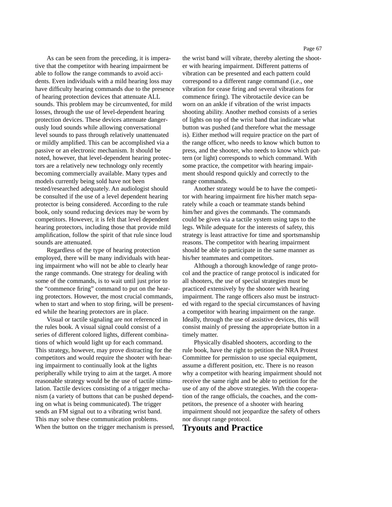As can be seen from the preceding, it is imperative that the competitor with hearing impairment be able to follow the range commands to avoid accidents. Even individuals with a mild hearing loss may have dif pculty hearing commands due to the presence of hearing protection devices that attenuate ALL sounds. This problem may be circumvented, for mild losses, through the use of level-dependent hearing protection devices. These devices attenuate dangerously loud sounds while allowing conversational level sounds to pass through relatively unattenuated or mildly ampliÞed. This can be accomplished via a passive or an electronic mechanism. It should be noted, however, that level-dependent hearing protectors are a relatively new technology only recently becoming commercially available. Many types and models currently being sold have not been tested/researched adequately. An audiologist should be consulted if the use of a level dependent hearing protector is being considered. According to the rule book, only sound reducing devices may be worn by competitors. However, it is felt that level dependent hearing protectors, including those that provide mild ampliÞcation, follow the spirit of that rule since loud sounds are attenuated.

Regardless of the type of hearing protection employed, there will be many individuals with hearing impairment who will not be able to clearly hear the range commands. One strategy for dealing with some of the commands, is to wait until just prior to the Òcommence ÞringÓ command to put on the hearing protectors. However, the most crucial commands, when to start and when to stop Þring, will be presented while the hearing protectors are in place.

Visual or tactile signaling are not referenced in the rules book. A visual signal could consist of a series of different colored lights, different combinations of which would light up for each command. This strategy, however, may prove distracting for the competitors and would require the shooter with hearing impairment to continually look at the lights peripherally while trying to aim at the target. A more reasonable strategy would be the use of tactile stimulation. Tactile devices consisting of a trigger mechanism (a variety of buttons that can be pushed depending on what is being communicated). The trigger sends an FM signal out to a vibrating wrist band. This may solve these communication problems. When the button on the trigger mechanism is pressed, the wrist band will vibrate, thereby alerting the shooter with hearing impairment. Different patterns of vibration can be presented and each pattern could correspond to a different range command (i.e., one vibration for cease Þring and several vibrations for commence Þring). The vibrotactile device can be worn on an ankle if vibration of the wrist impacts shooting ability. Another method consists of a series of lights on top of the wrist band that indicate what button was pushed (and therefore what the message is). Either method will require practice on the part of the range of  $Pcer$ , who needs to know which button to press, and the shooter, who needs to know which pattern (or light) corresponds to which command. With some practice, the competitor with hearing impairment should respond quickly and correctly to the range commands.

Another strategy would be to have the competitor with hearing impairment Þre his/her match separately while a coach or teammate stands behind him/her and gives the commands. The commands could be given via a tactile system using taps to the legs. While adequate for the interests of safety, this strategy is least attractive for time and sportsmanship reasons. The competitor with hearing impairment should be able to participate in the same manner as his/her teammates and competitors.

Although a thorough knowledge of range protocol and the practice of range protocol is indicated for all shooters, the use of special strategies must be practiced extensively by the shooter with hearing impairment. The range of pcers also must be instructed with regard to the special circumstances of having a competitor with hearing impairment on the range. Ideally, through the use of assistive devices, this will consist mainly of pressing the appropriate button in a timely matter.

Physically disabled shooters, according to the rule book, have the right to petition the NRA Protest Committee for permission to use special equipment, assume a different position, etc. There is no reason why a competitor with hearing impairment should not receive the same right and be able to petition for the use of any of the above strategies. With the cooperation of the range of pcials, the coaches, and the competitors, the presence of a shooter with hearing impairment should not jeopardize the safety of others nor disrupt range protocol.

**Tryouts and Practice**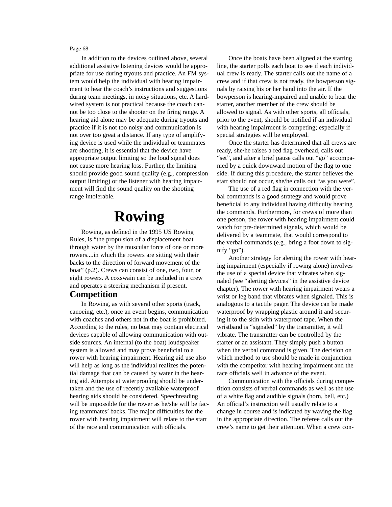In addition to the devices outlined above, several additional assistive listening devices would be appropriate for use during tryouts and practice. An FM system would help the individual with hearing impairment to hear the coach©s instructions and suggestions during team meetings, in noisy situations, etc. A hardwired system is not practical because the coach cannot be too close to the shooter on the Þring range. A hearing aid alone may be adequate during tryouts and practice if it is not too noisy and communication is not over too great a distance. If any type of amplifying device is used while the individual or teammates are shooting, it is essential that the device have appropriate output limiting so the loud signal does not cause more hearing loss. Further, the limiting should provide good sound quality (e.g., compression output limiting) or the listener with hearing impairment will Þnd the sound quality on the shooting range intolerable.

# **Rowing**

Rowing, as deÞned in the 1995 US Rowing Rules, is Òthe propulsion of a displacement boat through water by the muscular force of one or more rowers....in which the rowers are sitting with their backs to the direction of forward movement of the boatÓ (p.2). Crews can consist of one, two, four, or eight rowers. A coxswain can be included in a crew and operates a steering mechanism if present.

### **Competition**

In Rowing, as with several other sports (track, canoeing, etc.), once an event begins, communication with coaches and others not in the boat is prohibited. According to the rules, no boat may contain electrical devices capable of allowing communication with outside sources. An internal (to the boat) loudspeaker system is allowed and may prove beneÞcial to a rower with hearing impairment. Hearing aid use also will help as long as the individual realizes the potential damage that can be caused by water in the hearing aid. Attempts at waterprooÞng should be undertaken and the use of recently available waterproof hearing aids should be considered. Speechreading will be impossible for the rower as he/she will be facing teammates *Ö* backs. The major dif Pculties for the rower with hearing impairment will relate to the start of the race and communication with of pcials.

Once the boats have been aligned at the starting line, the starter polls each boat to see if each individual crew is ready. The starter calls out the name of a crew and if that crew is not ready, the bowperson signals by raising his or her hand into the air. If the bowperson is hearing-impaired and unable to hear the starter, another member of the crew should be allowed to signal. As with other sports, all of Pcials, prior to the event, should be notiÞed if an individual with hearing impairment is competing; especially if special strategies will be employed.

Once the starter has determined that all crews are ready, she/he raises a red ßag overhead, calls out ÒsetÓ, and after a brief pause calls out ÒgoÓ accompanied by a quick downward motion of the ßag to one side. If during this procedure, the starter believes the start should not occur, she/he calls out Òas you wereÓ.

The use of a red ßag in connection with the verbal commands is a good strategy and would prove beneÞcial to any individual having difÞculty hearing the commands. Furthermore, for crews of more than one person, the rower with hearing impairment could watch for pre-determined signals, which would be delivered by a teammate, that would correspond to the verbal commands (e.g., bring a foot down to signify OgoO).

Another strategy for alerting the rower with hearing impairment (especially if rowing alone) involves the use of a special device that vibrates when signaled (see Oalerting devicesO in the assistive device chapter). The rower with hearing impairment wears a wrist or leg band that vibrates when signaled. This is analogous to a tactile pager. The device can be made waterproof by wrapping plastic around it and securing it to the skin with waterproof tape. When the wristband is  $OsignaledO$  by the transmitter, it will vibrate. The transmitter can be controlled by the starter or an assistant. They simply push a button when the verbal command is given. The decision on which method to use should be made in conjunction with the competitor with hearing impairment and the race of Pcials well in advance of the event.

Communication with the of Pcials during competition consists of verbal commands as well as the use of a white ßag and audible signals (horn, bell, etc.) An of pcial & instruction will usually relate to a change in course and is indicated by waving the ßag in the appropriate direction. The referee calls out the crewÕs name to get their attention. When a crew con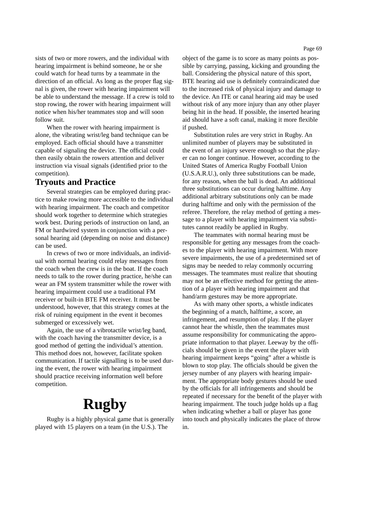sists of two or more rowers, and the individual with hearing impairment is behind someone, he or she could watch for head turns by a teammate in the direction of an of pcial. As long as the proper Bag signal is given, the rower with hearing impairment will be able to understand the message. If a crew is told to stop rowing, the rower with hearing impairment will notice when his/her teammates stop and will soon follow suit.

When the rower with hearing impairment is alone, the vibrating wrist/leg band technique can be employed. Each of Pcial should have a transmitter capable of signaling the device. The of Pcial could then easily obtain the rowers attention and deliver instruction via visual signals (identiÞed prior to the competition).

### **Tryouts and Practice**

Several strategies can be employed during practice to make rowing more accessible to the individual with hearing impairment. The coach and competitor should work together to determine which strategies work best. During periods of instruction on land, an FM or hardwired system in conjunction with a personal hearing aid (depending on noise and distance) can be used.

In crews of two or more individuals, an individual with normal hearing could relay messages from the coach when the crew is in the boat. If the coach needs to talk to the rower during practice, he/she can wear an FM system transmitter while the rower with hearing impairment could use a traditional FM receiver or built-in BTE FM receiver. It must be understood, however, that this strategy comes at the risk of ruining equipment in the event it becomes submerged or excessively wet.

Again, the use of a vibrotactile wrist/leg band, with the coach having the transmitter device, is a good method of getting the individualÕs attention. This method does not, however, facilitate spoken communication. If tactile signalling is to be used during the event, the rower with hearing impairment should practice receiving information well before competition.

# **Rugby**

Rugby is a highly physical game that is generally played with 15 players on a team (in the U.S.). The

object of the game is to score as many points as possible by carrying, passing, kicking and grounding the ball. Considering the physical nature of this sport, BTE hearing aid use is deÞnitely contraindicated due to the increased risk of physical injury and damage to the device. An ITE or canal hearing aid may be used without risk of any more injury than any other player being hit in the head. If possible, the inserted hearing aid should have a soft canal, making it more ßexible if pushed.

Substitution rules are very strict in Rugby. An unlimited number of players may be substituted in the event of an injury severe enough so that the player can no longer continue. However, according to the United States of America Rugby Football Union (U.S.A.R.U.), only three substitutions can be made, for any reason, when the ball is dead. An additional three substitutions can occur during halftime. Any additional arbitrary substitutions only can be made during halftime and only with the permission of the referee. Therefore, the relay method of getting a message to a player with hearing impairment via substitutes cannot readily be applied in Rugby.

The teammates with normal hearing must be responsible for getting any messages from the coaches to the player with hearing impairment. With more severe impairments, the use of a predetermined set of signs may be needed to relay commonly occurring messages. The teammates must realize that shouting may not be an effective method for getting the attention of a player with hearing impairment and that hand/arm gestures may be more appropriate.

As with many other sports, a whistle indicates the beginning of a match, halftime, a score, an infringement, and resumption of play. If the player cannot hear the whistle, then the teammates must assume responsibility for communicating the appropriate information to that player. Leeway by the of  $\blacktriangleright$ cials should be given in the event the player with hearing impairment keeps OgoingO after a whistle is blown to stop play. The of pcials should be given the jersey number of any players with hearing impairment. The appropriate body gestures should be used by the of pcials for all infringements and should be repeated if necessary for the beneÞt of the player with hearing impairment. The touch judge holds up a ßag when indicating whether a ball or player has gone into touch and physically indicates the place of throw in.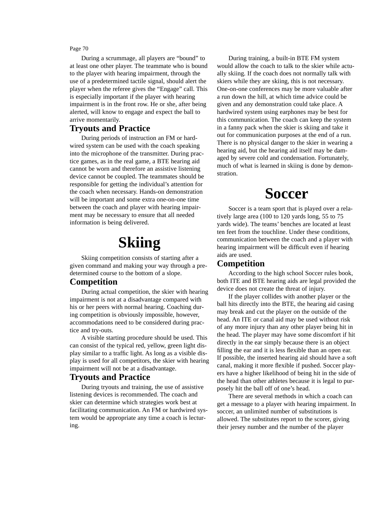During a scrummage, all players are ÒboundÓ to at least one other player. The teammate who is bound to the player with hearing impairment, through the use of a predetermined tactile signal, should alert the player when the referee gives the ÒEngageÓ call. This is especially important if the player with hearing impairment is in the front row. He or she, after being alerted, will know to engage and expect the ball to arrive momentarily.

### **Tryouts and Practice**

During periods of instruction an FM or hardwired system can be used with the coach speaking into the microphone of the transmitter. During practice games, as in the real game, a BTE hearing aid cannot be worn and therefore an assistive listening device cannot be coupled. The teammates should be responsible for getting the individualÕs attention for the coach when necessary. Hands-on demonstration will be important and some extra one-on-one time between the coach and player with hearing impairment may be necessary to ensure that all needed information is being delivered.

# **Skiing**

Skiing competition consists of starting after a given command and making your way through a predetermined course to the bottom of a slope.

### **Competition**

During actual competition, the skier with hearing impairment is not at a disadvantage compared with his or her peers with normal hearing. Coaching during competition is obviously impossible, however, accommodations need to be considered during practice and try-outs.

A visible starting procedure should be used. This can consist of the typical red, yellow, green light display similar to a trafbe light. As long as a visible display is used for all competitors, the skier with hearing impairment will not be at a disadvantage.

### **Tryouts and Practice**

During tryouts and training, the use of assistive listening devices is recommended. The coach and skier can determine which strategies work best at facilitating communication. An FM or hardwired system would be appropriate any time a coach is lecturing.

During training, a built-in BTE FM system would allow the coach to talk to the skier while actually skiing. If the coach does not normally talk with skiers while they are skiing, this is not necessary. One-on-one conferences may be more valuable after a run down the hill, at which time advice could be given and any demonstration could take place. A hardwired system using earphones may be best for this communication. The coach can keep the system in a fanny pack when the skier is skiing and take it out for communication purposes at the end of a run. There is no physical danger to the skier in wearing a hearing aid, but the hearing aid itself may be damaged by severe cold and condensation. Fortunately, much of what is learned in skiing is done by demonstration.

# **Soccer**

Soccer is a team sport that is played over a relatively large area (100 to 120 yards long, 55 to 75 yards wide). The teamsÕ benches are located at least ten feet from the touchline. Under these conditions, communication between the coach and a player with hearing impairment will be difÞcult even if hearing aids are used.

### **Competition**

According to the high school Soccer rules book, both ITE and BTE hearing aids are legal provided the device does not create the threat of injury.

If the player collides with another player or the ball hits directly into the BTE, the hearing aid casing may break and cut the player on the outside of the head. An ITE or canal aid may be used without risk of any more injury than any other player being hit in the head. The player may have some discomfort if hit directly in the ear simply because there is an object lling the ear and it is less ßexible than an open ear. If possible, the inserted hearing aid should have a soft canal, making it more ßexible if pushed. Soccer players have a higher likelihood of being hit in the side of the head than other athletes because it is legal to purposely hit the ball off of oneÕs head.

There are several methods in which a coach can get a message to a player with hearing impairment. In soccer, an unlimited number of substitutions is allowed. The substitutes report to the scorer, giving their jersey number and the number of the player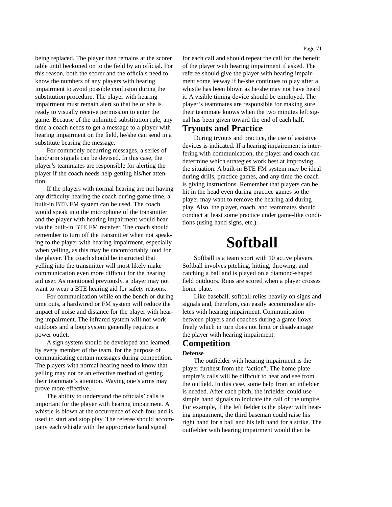being replaced. The player then remains at the scorer table until beckoned on to the Þeld by an of Pcial. For this reason, both the scorer and the ofPcials need to know the numbers of any players with hearing impairment to avoid possible confusion during the substitution procedure. The player with hearing impairment must remain alert so that he or she is ready to visually receive permission to enter the game. Because of the unlimited substitution rule, any time a coach needs to get a message to a player with hearing impairment on the Þeld, he/she can send in a substitute bearing the message.

For commonly occurring messages, a series of hand/arm signals can be devised. In this case, the player is teammates are responsible for alerting the player if the coach needs help getting his/her attention.

If the players with normal hearing are not having any difficulty hearing the coach during game time, a built-in BTE FM system can be used. The coach would speak into the microphone of the transmitter and the player with hearing impairment would hear via the built-in BTE FM receiver. The coach should remember to turn off the transmitter when not speaking to the player with hearing impairment, especially when yelling, as this may be uncomfortably loud for the player. The coach should be instructed that yelling into the transmitter will most likely make communication even more difpcult for the hearing aid user. As mentioned previously, a player may not want to wear a BTE hearing aid for safety reasons.

For communication while on the bench or during time outs, a hardwired or FM system will reduce the impact of noise and distance for the player with hearing impairment. The infrared system will not work outdoors and a loop system generally requires a power outlet.

A sign system should be developed and learned, by every member of the team, for the purpose of communicating certain messages during competition. The players with normal hearing need to know that yelling may not be an effective method of getting their teammateÕs attention. Waving oneÕs arms may prove more effective.

The ability to understand the ofPcialsÔ calls is important for the player with hearing impairment. A whistle is blown at the occurrence of each foul and is used to start and stop play. The referee should accompany each whistle with the appropriate hand signal

for each call and should repeat the call for the beneÞt of the player with hearing impairment if asked. The referee should give the player with hearing impairment some leeway if he/she continues to play after a whistle has been blown as he/she may not have heard it. A visible timing device should be employed. The player & teammates are responsible for making sure their teammate knows when the two minutes left signal has been given toward the end of each half.

### **Tryouts and Practice**

During tryouts and practice, the use of assistive devices is indicated. If a hearing impairement is interfering with communication, the player and coach can determine which strategies work best at improving the situation. A built-in BTE FM system may be ideal during drills, practice games, and any time the coach is giving instructions. Remember that players can be hit in the head even during practice games so the player may want to remove the hearing aid during play. Also, the player, coach, and teammates should conduct at least some practice under game-like conditions (using hand signs, etc.).

# **Softball**

Softball is a team sport with 10 active players. Softball involves pitching, hitting, throwing, and catching a ball and is played on a diamond-shaped eld outdoors. Runs are scored when a player crosses home plate.

Like baseball, softball relies heavily on signs and signals and, therefore, can easily accommodate athletes with hearing impairment. Communication between players and coaches during a game ßows freely which in turn does not limit or disadvantage the player with hearing impairment.

### **Competition Defense**

The outÞelder with hearing impairment is the player furthest from the ÒactionÓ. The home plate umpire & calls will be diffecult to hear and see from the outÞeld. In this case, some help from an inÞelder is needed. After each pitch, the inÞelder could use simple hand signals to indicate the call of the umpire. For example, if the left Þelder is the player with hearing impairment, the third baseman could raise his right hand for a ball and his left hand for a strike. The outÞelder with hearing impairment would then be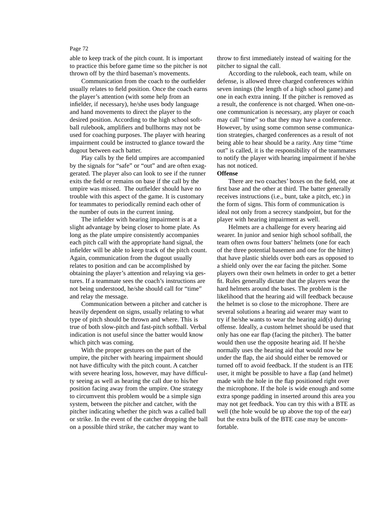able to keep track of the pitch count. It is important to practice this before game time so the pitcher is not thrown off by the third basemanÕs movements.

Communication from the coach to the outÞelder usually relates to Þeld position. Once the coach earns the player is attention (with some help from an inÞelder, if necessary), he/she uses body language and hand movements to direct the player to the desired position. According to the high school softball rulebook, ampliÞers and bullhorns may not be used for coaching purposes. The player with hearing impairment could be instructed to glance toward the dugout between each batter.

Play calls by the Þeld umpires are accompanied by the signals for ÒsafeÓ or ÒoutÓ and are often exaggerated. The player also can look to see if the runner exits the Þeld or remains on base if the call by the umpire was missed. The outÞelder should have no trouble with this aspect of the game. It is customary for teammates to periodically remind each other of the number of outs in the current inning.

The inÞelder with hearing impairment is at a slight advantage by being closer to home plate. As long as the plate umpire consistently accompanies each pitch call with the appropriate hand signal, the inÞelder will be able to keep track of the pitch count. Again, communication from the dugout usually relates to position and can be accomplished by obtaining the player is attention and relaying via gestures. If a teammate sees the coachÕs instructions are not being understood, he/she should call for ÒtimeÓ and relay the message.

Communication between a pitcher and catcher is heavily dependent on signs, usually relating to what type of pitch should be thrown and where. This is true of both slow-pitch and fast-pitch softball. Verbal indication is not useful since the batter would know which pitch was coming.

With the proper gestures on the part of the umpire, the pitcher with hearing impairment should not have dif pculty with the pitch count. A catcher with severe hearing loss, however, may have difpculty seeing as well as hearing the call due to his/her position facing away from the umpire. One strategy to circumvent this problem would be a simple sign system, between the pitcher and catcher, with the pitcher indicating whether the pitch was a called ball or strike. In the event of the catcher dropping the ball on a possible third strike, the catcher may want to

throw to Þrst immediately instead of waiting for the pitcher to signal the call.

According to the rulebook, each team, while on defense, is allowed three charged conferences within seven innings (the length of a high school game) and one in each extra inning. If the pitcher is removed as a result, the conference is not charged. When one-onone communication is necessary, any player or coach may call ÒtimeÓ so that they may have a conference. However, by using some common sense communication strategies, charged conferences as a result of not being able to hear should be a rarity. Any time Òtime outÓ is called, it is the responsibility of the teammates to notify the player with hearing impairment if he/she has not noticed.

#### **Offense**

There are two coachesÕ boxes on the Þeld, one at rst base and the other at third. The batter generally receives instructions (i.e., bunt, take a pitch, etc.) in the form of signs. This form of communication is ideal not only from a secrecy standpoint, but for the player with hearing impairment as well.

Helmets are a challenge for every hearing aid wearer. In junior and senior high school softball, the team often owns four battersÕ helmets (one for each of the three potential basemen and one for the hitter) that have plastic shields over both ears as opposed to a shield only over the ear facing the pitcher. Some players own their own helmets in order to get a better t. Rules generally dictate that the players wear the hard helmets around the bases. The problem is the likelihood that the hearing aid will feedback because the helmet is so close to the microphone. There are several solutions a hearing aid wearer may want to try if he/she wants to wear the hearing aid(s) during offense. Ideally, a custom helmet should be used that only has one ear ßap (facing the pitcher). The batter would then use the opposite hearing aid. If he/she normally uses the hearing aid that would now be under the ßap, the aid should either be removed or turned off to avoid feedback. If the student is an ITE user, it might be possible to have a ßap (and helmet) made with the hole in the ßap positioned right over the microphone. If the hole is wide enough and some extra sponge padding in inserted around this area you may not get feedback. You can try this with a BTE as well (the hole would be up above the top of the ear) but the extra bulk of the BTE case may be uncomfortable.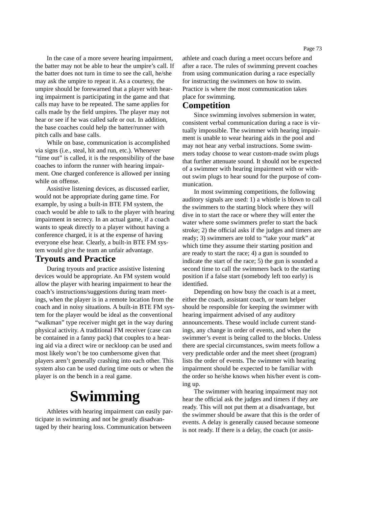In the case of a more severe hearing impairment, the batter may not be able to hear the umpireÕs call. If the batter does not turn in time to see the call, he/she may ask the umpire to repeat it. As a courtesy, the umpire should be forewarned that a player with hearing impairment is participating in the game and that calls may have to be repeated. The same applies for calls made by the Þeld umpires. The player may not hear or see if he was called safe or out. In addition, the base coaches could help the batter/runner with pitch calls and base calls.

While on base, communication is accomplished via signs (i.e., steal, hit and run, etc.). Whenever  $\dot{\theta}$ time out $\dot{\theta}$  is called, it is the responsibility of the base coaches to inform the runner with hearing impairment. One charged conference is allowed per inning while on offense.

Assistive listening devices, as discussed earlier, would not be appropriate during game time. For example, by using a built-in BTE FM system, the coach would be able to talk to the player with hearing impairment in secrecy. In an actual game, if a coach wants to speak directly to a player without having a conference charged, it is at the expense of having everyone else hear. Clearly, a built-in BTE FM system would give the team an unfair advantage.

## **Tryouts and Practice**

During tryouts and practice assistive listening devices would be appropriate. An FM system would allow the player with hearing impairment to hear the coachÕs instructions/suggestions during team meetings, when the player is in a remote location from the coach and in noisy situations. A built-in BTE FM system for the player would be ideal as the conventional ÒwalkmanÓ type receiver might get in the way during physical activity. A traditional FM receiver (case can be contained in a fanny pack) that couples to a hearing aid via a direct wire or neckloop can be used and most likely wonÕt be too cumbersome given that players arenÕt generally crashing into each other. This system also can be used during time outs or when the player is on the bench in a real game.

# **Swimming**

Athletes with hearing impairment can easily participate in swimming and not be greatly disadvantaged by their hearing loss. Communication between

athlete and coach during a meet occurs before and after a race. The rules of swimming prevent coaches from using communication during a race especially for instructing the swimmers on how to swim. Practice is where the most communication takes place for swimming.

## **Competition**

Since swimming involves submersion in water, consistent verbal communication during a race is virtually impossible. The swimmer with hearing impairment is unable to wear hearing aids in the pool and may not hear any verbal instructions. Some swimmers today choose to wear custom-made swim plugs that further attenuate sound. It should not be expected of a swimmer with hearing impairment with or without swim plugs to hear sound for the purpose of communication.

In most swimming competitions, the following auditory signals are used: 1) a whistle is blown to call the swimmers to the starting block where they will dive in to start the race or where they will enter the water where some swimmers prefer to start the back stroke; 2) the of pcial asks if the judges and timers are ready; 3) swimmers are told to Otake your markO at which time they assume their starting position and are ready to start the race; 4) a gun is sounded to indicate the start of the race; 5) the gun is sounded a second time to call the swimmers back to the starting position if a false start (somebody left too early) is identiÞed.

Depending on how busy the coach is at a meet, either the coach, assistant coach, or team helper should be responsible for keeping the swimmer with hearing impairment advised of any auditory announcements. These would include current standings, any change in order of events, and when the swimmer is being called to the blocks. Unless there are special circumstances, swim meets follow a very predictable order and the meet sheet (program) lists the order of events. The swimmer with hearing impairment should be expected to be familiar with the order so he/she knows when his/her event is coming up.

The swimmer with hearing impairment may not hear the of pcial ask the judges and timers if they are ready. This will not put them at a disadvantage, but the swimmer should be aware that this is the order of events. A delay is generally caused because someone is not ready. If there is a delay, the coach (or assis-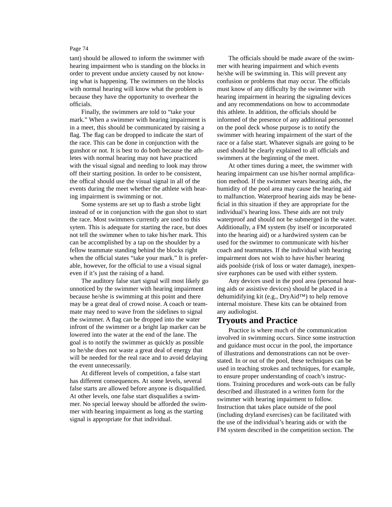tant) should be allowed to inform the swimmer with hearing impairment who is standing on the blocks in order to prevent undue anxiety caused by not knowing what is happening. The swimmers on the blocks with normal hearing will know what the problem is because they have the opportunity to overhear the of Pcials.

Finally, the swimmers are told to Òtake your mark.Ó When a swimmer with hearing impairment is in a meet, this should be communicated by raising a Bag. The Bag can be dropped to indicate the start of the race. This can be done in conjunction with the gunshot or not. It is best to do both because the athletes with normal hearing may not have practiced with the visual signal and needing to look may throw off their starting position. In order to be consistent, the of pcal should use the visual signal in all of the events during the meet whether the athlete with hearing impairment is swimming or not.

Some systems are set up to ßash a strobe light instead of or in conjunction with the gun shot to start the race. Most swimmers currently are used to this sytem. This is adequate for starting the race, but does not tell the swimmer when to take his/her mark. This can be accomplished by a tap on the shoulder by a fellow teammate standing behind the blocks right when the of picial states Otake your mark.<sup>O</sup> It is preferable, however, for the of pcial to use a visual signal even if itÕs just the raising of a hand.

The auditory false start signal will most likely go unnoticed by the swimmer with hearing impairment because he/she is swimming at this point and there may be a great deal of crowd noise. A coach or teammate may need to wave from the sidelines to signal the swimmer. A flag can be dropped into the water infront of the swimmer or a bright lap marker can be lowered into the water at the end of the lane. The goal is to notify the swimmer as quickly as possible so he/she does not waste a great deal of energy that will be needed for the real race and to avoid delaying the event unnecessarily.

At different levels of competition, a false start has different consequences. At some levels, several false starts are allowed before anyone is disqualiÞed. At other levels, one false start disqualiÞes a swimmer. No special leeway should be afforded the swimmer with hearing impairment as long as the starting signal is appropriate for that individual.

The of pcials should be made aware of the swimmer with hearing impairment and which events he/she will be swimming in. This will prevent any confusion or problems that may occur. The of Pcials must know of any dif pculty by the swimmer with hearing impairment in hearing the signaling devices and any recommendations on how to accommodate this athlete. In addition, the of Pcials should be informed of the presence of any additional personnel on the pool deck whose purpose is to notify the swimmer with hearing impairment of the start of the race or a false start. Whatever signals are going to be used should be clearly explained to all of Pcials and swimmers at the beginning of the meet.

At other times during a meet, the swimmer with hearing impairment can use his/her normal ampliÞcation method. If the swimmer wears hearing aids, the humidity of the pool area may cause the hearing aid to malfunction. Waterproof hearing aids may be benecial in this situation if they are appropriate for the individual<sup>®</sup> hearing loss. These aids are not truly waterproof and should not be submerged in the water. Additionally, a FM system (by itself or incorporated into the hearing aid) or a hardwired system can be used for the swimmer to communicate with his/her coach and teammates. If the individual with hearing impairment does not wish to have his/her hearing aids poolside (risk of loss or water damage), inexpensive earphones can be used with either system.

Any devices used in the pool area (personal hearing aids or assistive devices) should be placed in a dehumidifying kit (e.g., DryAid") to help remove internal moisture. These kits can be obtained from any audiologist.

## **Tryouts and Practice**

Practice is where much of the communication involved in swimming occurs. Since some instruction and guidance must occur in the pool, the importance of illustrations and demonstrations can not be overstated. In or out of the pool, these techniques can be used in teaching strokes and techniques, for example, to ensure proper understanding of coachÕs instructions. Training procedures and work-outs can be fully described and illustrated in a written form for the swimmer with hearing impairment to follow. Instruction that takes place outside of the pool (including dryland exercises) can be facilitated with the use of the individualÕs hearing aids or with the FM system described in the competition section. The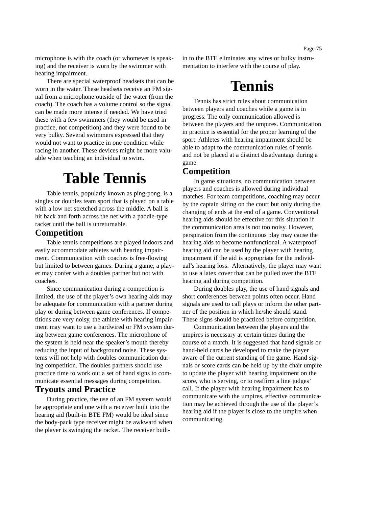microphone is with the coach (or whomever is speaking) and the receiver is worn by the swimmer with hearing impairment.

There are special waterproof headsets that can be worn in the water. These headsets receive an FM signal from a microphone outside of the water (from the coach). The coach has a volume control so the signal can be made more intense if needed. We have tried these with a few swimmers (they would be used in practice, not competition) and they were found to be very bulky. Several swimmers expressed that they would not want to practice in one condition while racing in another. These devices might be more valuable when teaching an individual to swim.

# **Table Tennis**

Table tennis, popularly known as ping-pong, is a singles or doubles team sport that is played on a table with a low net stretched across the middle. A ball is hit back and forth across the net with a paddle-type racket until the ball is unreturnable.

## **Competition**

Table tennis competitions are played indoors and easily accommodate athletes with hearing impairment. Communication with coaches is free-ßowing but limited to between games. During a game, a player may confer with a doubles partner but not with coaches.

Since communication during a competition is limited, the use of the player<sup>''</sup>s own hearing aids may be adequate for communication with a partner during play or during between game conferences. If competitions are very noisy, the athlete with hearing impairment may want to use a hardwired or FM system during between game conferences. The microphone of the system is held near the speaker is mouth thereby reducing the input of background noise. These systems will not help with doubles communication during competition. The doubles partners should use practice time to work out a set of hand signs to communicate essential messages during competition.

## **Tryouts and Practice**

During practice, the use of an FM system would be appropriate and one with a receiver built into the hearing aid (built-in BTE FM) would be ideal since the body-pack type receiver might be awkward when the player is swinging the racket. The receiver builtin to the BTE eliminates any wires or bulky instrumentation to interfere with the course of play.

# **Tennis**

Tennis has strict rules about communication between players and coaches while a game is in progress. The only communication allowed is between the players and the umpires. Communication in practice is essential for the proper learning of the sport. Athletes with hearing impairment should be able to adapt to the communication rules of tennis and not be placed at a distinct disadvantage during a game.

## **Competition**

In game situations, no communication between players and coaches is allowed during individual matches. For team competitions, coaching may occur by the captain sitting on the court but only during the changing of ends at the end of a game. Conventional hearing aids should be effective for this situation if the communication area is not too noisy. However, perspiration from the continuous play may cause the hearing aids to become nonfunctional. A waterproof hearing aid can be used by the player with hearing impairment if the aid is appropriate for the individualÕs hearing loss. Alternatively, the player may want to use a latex cover that can be pulled over the BTE hearing aid during competition.

During doubles play, the use of hand signals and short conferences between points often occur. Hand signals are used to call plays or inform the other partner of the position in which he/she should stand. These signs should be practiced before competition.

Communication between the players and the umpires is necessary at certain times during the course of a match. It is suggested that hand signals or hand-held cards be developed to make the player aware of the current standing of the game. Hand signals or score cards can be held up by the chair umpire to update the player with hearing impairment on the score, who is serving, or to reaf prm a line judges call. If the player with hearing impairment has to communicate with the umpires, effective communication may be achieved through the use of the player  $\&$ hearing aid if the player is close to the umpire when communicating.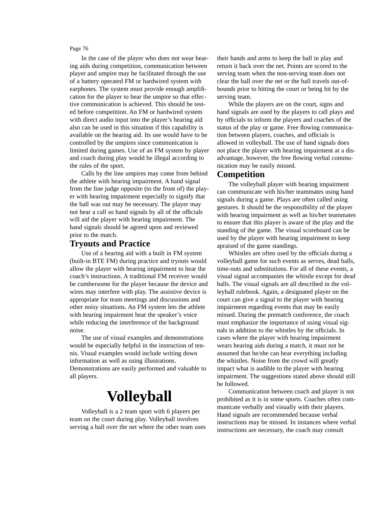In the case of the player who does not wear hearing aids during competition, communication between player and umpire may be facilitated through the use of a battery operated FM or hardwired system with earphones. The system must provide enough ampliÞcation for the player to hear the umpire so that effective communication is achieved. This should be tested before competition. An FM or hardwired system with direct audio input into the player<sup>''</sup> bearing aid also can be used in this situation if this capability is available on the hearing aid. Its use would have to be controlled by the umpires since communication is limited during games. Use of an FM system by player and coach during play would be illegal according to the rules of the sport.

Calls by the line umpires may come from behind the athlete with hearing impairment. A hand signal from the line judge opposite (to the front of) the player with hearing impairment especially to signify that the ball was out may be necessary. The player may not hear a call so hand signals by all of the of  $Picials$ will aid the player with hearing impairment. The hand signals should be agreed upon and reviewed prior to the match.

## **Tryouts and Practice**

Use of a hearing aid with a built in FM system (built-in BTE FM) during practice and tryouts would allow the player with hearing impairment to hear the coachÕs instructions. A traditional FM receiver would be cumbersome for the player because the device and wires may interfere with play. The assistive device is appropriate for team meetings and discussions and other noisy situations. An FM system lets the athlete with hearing impairment hear the speaker is voice while reducing the interference of the background noise.

The use of visual examples and demonstrations would be especially helpful in the instruction of tennis. Visual examples would include writing down information as well as using illustrations. Demonstrations are easily performed and valuable to all players.

# **Volleyball**

Volleyball is a 2 team sport with 6 players per team on the court during play. Volleyball involves serving a ball over the net where the other team uses

their hands and arms to keep the ball in play and return it back over the net. Points are scored to the serving team when the non-serving team does not clear the ball over the net or the ball travels out-ofbounds prior to hitting the court or being hit by the serving team.

While the players are on the court, signs and hand signals are used by the players to call plays and by of pcials to inform the players and coaches of the status of the play or game. Free ßowing communication between players, coaches, and of Pcials is allowed in volleyball. The use of hand signals does not place the player with hearing impairment at a disadvantage, however, the free ßowing verbal communication may be easily missed.

## **Competition**

The volleyball player with hearing impairment can communicate with his/her teammates using hand signals during a game. Plays are often called using gestures. It should be the responsibility of the player with hearing impairment as well as his/her teammates to ensure that this player is aware of the play and the standing of the game. The visual scoreboard can be used by the player with hearing impairment to keep apraised of the game standings.

Whistles are often used by the of pcials during a volleyball game for such events as serves, dead balls, time-outs and substitutions. For all of these events, a visual signal accompanies the whistle except for dead balls. The visual signals are all described in the volleyball rulebook. Again, a designated player on the court can give a signal to the player with hearing impairment regarding events that may be easily missed. During the prematch conference, the coach must emphasize the importance of using visual signals in addition to the whistles by the of Pcials. In cases where the player with hearing impairment wears hearing aids during a match, it must not be assumed that he/she can hear everything including the whistles. Noise from the crowd will greatly impact what is audible to the player with hearing impairment. The suggestions stated above should still be followed.

Communication between coach and player is not prohibited as it is in some sports. Coaches often communicate verbally and visually with their players. Hand signals are recommended because verbal instructions may be missed. In instances where verbal instructions are necessary, the coach may consult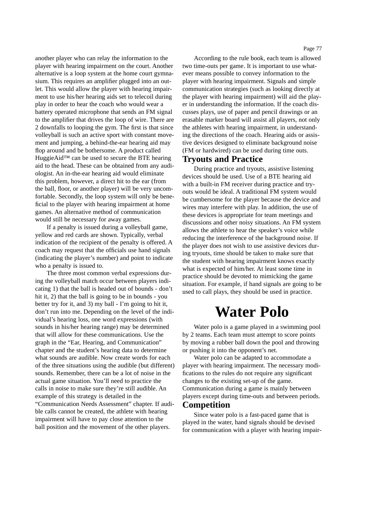another player who can relay the information to the player with hearing impairment on the court. Another alternative is a loop system at the home court gymnasium. This requires an ampliÞer plugged into an outlet. This would allow the player with hearing impairment to use his/her hearing aids set to telecoil during play in order to hear the coach who would wear a battery operated microphone that sends an FM signal to the ampliÞer that drives the loop of wire. There are 2 downfalls to looping the gym. The Þrst is that since volleyball is such an active sport with constant movement and jumping, a behind-the-ear hearing aid may ßop around and be bothersome. A product called HuggieAid" can be used to secure the BTE hearing aid to the head. These can be obtained from any audiologist. An in-the-ear hearing aid would eliminate this problem, however, a direct hit to the ear (from the ball, ßoor, or another player) will be very uncomfortable. Secondly, the loop system will only be benecial to the player with hearing impairment at home games. An alternative method of communication would still be necessary for away games.

If a penalty is issued during a volleyball game, yellow and red cards are shown. Typically, verbal indication of the recipient of the penalty is offered. A coach may request that the of pcials use hand signals  $(indicating the player  $\& number$ ) and point to indicate$ who a penalty is issued to.

The three most common verbal expressions during the volleyball match occur between players indicating 1) that the ball is headed out of bounds - donÕt hit it, 2) that the ball is going to be in bounds - you better try for it, and 3) my ball - IÕm going to hit it, donÕt run into me. Depending on the level of the individualÕs hearing loss, one word expressions (with sounds in his/her hearing range) may be determined that will allow for these communications. Use the graph in the ÒEar, Hearing, and CommunicationÓ chapter and the studentÕs hearing data to determine what sounds are audible. Now create words for each of the three situations using the audible (but different) sounds. Remember, there can be a lot of noise in the actual game situation. YouÕll need to practice the calls in noise to make sure theyÕre still audible. An example of this strategy is detailed in the ÒCommunication Needs AssessmentÓ chapter. If audible calls cannot be created, the athlete with hearing impairment will have to pay close attention to the ball position and the movement of the other players.

According to the rule book, each team is allowed two time-outs per game. It is important to use whatever means possible to convey information to the player with hearing impairment. Signals and simple communication strategies (such as looking directly at the player with hearing impairment) will aid the player in understanding the information. If the coach discusses plays, use of paper and pencil drawings or an erasable marker board will assist all players, not only the athletes with hearing impairment, in understanding the directions of the coach. Hearing aids or assistive devices designed to eliminate background noise (FM or hardwired) can be used during time outs.

## **Tryouts and Practice**

During practice and tryouts, assistive listening devices should be used. Use of a BTE hearing aid with a built-in FM receiver during practice and tryouts would be ideal. A traditional FM system would be cumbersome for the player because the device and wires may interfere with play. In addition, the use of these devices is appropriate for team meetings and discussions and other noisy situations. An FM system allows the athlete to hear the speaker is voice while reducing the interference of the background noise. If the player does not wish to use assistive devices during tryouts, time should be taken to make sure that the student with hearing impairment knows exactly what is expected of him/her. At least some time in practice should be devoted to mimicking the game situation. For example, if hand signals are going to be used to call plays, they should be used in practice.

# **Water Polo**

Water polo is a game played in a swimming pool by 2 teams. Each team must attempt to score points by moving a rubber ball down the pool and throwing or pushing it into the opponentÕs net.

Water polo can be adapted to accommodate a player with hearing impairment. The necessary modications to the rules do not require any signiÞcant changes to the existing set-up of the game. Communication during a game is mainly between players except during time-outs and between periods.

## **Competition**

Since water polo is a fast-paced game that is played in the water, hand signals should be devised for communication with a player with hearing impair-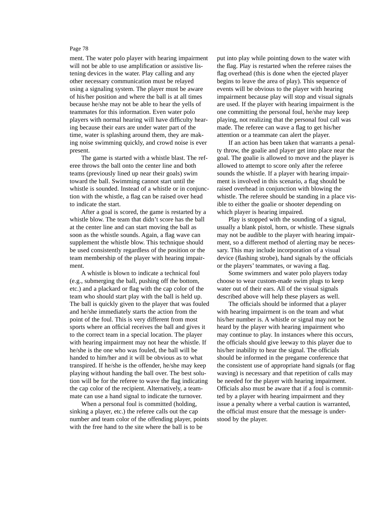ment. The water polo player with hearing impairment will not be able to use ampliÞcation or assistive listening devices in the water. Play calling and any other necessary communication must be relayed using a signaling system. The player must be aware of his/her position and where the ball is at all times because he/she may not be able to hear the yells of teammates for this information. Even water polo players with normal hearing will have dif pculty hearing because their ears are under water part of the time, water is splashing around them, they are making noise swimming quickly, and crowd noise is ever present.

The game is started with a whistle blast. The referee throws the ball onto the center line and both teams (previously lined up near their goals) swim toward the ball. Swimming cannot start until the whistle is sounded. Instead of a whistle or in conjunction with the whistle, a ßag can be raised over head to indicate the start.

After a goal is scored, the game is restarted by a whistle blow. The team that didnÕt score has the ball at the center line and can start moving the ball as soon as the whistle sounds. Again, a ßag wave can supplement the whistle blow. This technique should be used consistently regardless of the position or the team membership of the player with hearing impairment.

A whistle is blown to indicate a technical foul (e.g., submerging the ball, pushing off the bottom, etc.) and a plackard or ßag with the cap color of the team who should start play with the ball is held up. The ball is quickly given to the player that was fouled and he/she immediately starts the action from the point of the foul. This is very different from most sports where an of pcial receives the ball and gives it to the correct team in a special location. The player with hearing impairment may not hear the whistle. If he/she is the one who was fouled, the ball will be handed to him/her and it will be obvious as to what transpired. If he/she is the offender, he/she may keep playing without handing the ball over. The best solution will be for the referee to wave the ßag indicating the cap color of the recipient. Alternatively, a teammate can use a hand signal to indicate the turnover.

When a personal foul is committed (holding, sinking a player, etc.) the referee calls out the cap number and team color of the offending player, points with the free hand to the site where the ball is to be

put into play while pointing down to the water with the ßag. Play is restarted when the referee raises the ag overhead (this is done when the ejected player begins to leave the area of play). This sequence of events will be obvious to the player with hearing impairment because play will stop and visual signals are used. If the player with hearing impairment is the one committing the personal foul, he/she may keep playing, not realizing that the personal foul call was made. The referee can wave a ßag to get his/her attention or a teammate can alert the player.

If an action has been taken that warrants a penalty throw, the goalie and player get into place near the goal. The goalie is allowed to move and the player is allowed to attempt to score only after the referee sounds the whistle. If a player with hearing impairment is involved in this scenario, a ßag should be raised overhead in conjunction with blowing the whistle. The referee should be standing in a place visible to either the goalie or shooter depending on which player is hearing impaired.

Play is stopped with the sounding of a signal, usually a blank pistol, horn, or whistle. These signals may not be audible to the player with hearing impairment, so a different method of alerting may be necessary. This may include incorporation of a visual device (ßashing strobe), hand signals by the of Pcials or the playersÕ teammates, or waving a ßag.

Some swimmers and water polo players today choose to wear custom-made swim plugs to keep water out of their ears. All of the visual signals described above will help these players as well.

The of pials should be informed that a player with hearing impairment is on the team and what his/her number is. A whistle or signal may not be heard by the player with hearing impairment who may continue to play. In instances where this occurs, the of picials should give leeway to this player due to his/her inability to hear the signal. The of Pcials should be informed in the pregame conference that the consistent use of appropriate hand signals (or ßag waving) is necessary and that repetition of calls may be needed for the player with hearing impairment. Of pcials also must be aware that if a foul is committed by a player with hearing impairment and they issue a penalty where a verbal caution is warranted, the of Pcial must ensure that the message is understood by the player.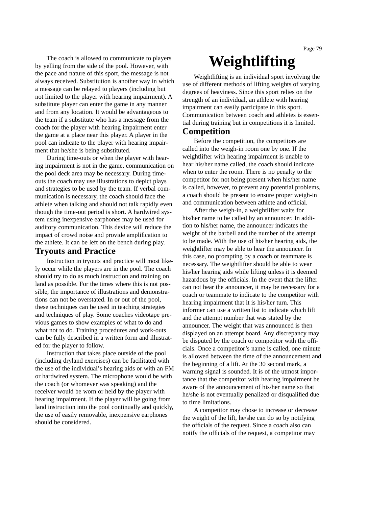The coach is allowed to communicate to players by yelling from the side of the pool. However, with the pace and nature of this sport, the message is not always received. Substitution is another way in which a message can be relayed to players (including but not limited to the player with hearing impairment). A substitute player can enter the game in any manner and from any location. It would be advantageous to the team if a substitute who has a message from the coach for the player with hearing impairment enter the game at a place near this player. A player in the pool can indicate to the player with hearing impairment that he/she is being substituted.

During time-outs or when the player with hearing impairment is not in the game, communication on the pool deck area may be necessary. During timeouts the coach may use illustrations to depict plays and strategies to be used by the team. If verbal communication is necessary, the coach should face the athlete when talking and should not talk rapidly even though the time-out period is short. A hardwired system using inexpensive earphones may be used for auditory communication. This device will reduce the impact of crowd noise and provide ampliÞcation to the athlete. It can be left on the bench during play.

## **Tryouts and Practice**

Instruction in tryouts and practice will most likely occur while the players are in the pool. The coach should try to do as much instruction and training on land as possible. For the times where this is not possible, the importance of illustrations and demonstrations can not be overstated. In or out of the pool, these techniques can be used in teaching strategies and techniques of play. Some coaches videotape previous games to show examples of what to do and what not to do. Training procedures and work-outs can be fully described in a written form and illustrated for the player to follow.

Instruction that takes place outside of the pool (including dryland exercises) can be facilitated with the use of the individualÕs hearing aids or with an FM or hardwired system. The microphone would be with the coach (or whomever was speaking) and the receiver would be worn or held by the player with hearing impairment. If the player will be going from land instruction into the pool continually and quickly, the use of easily removable, inexpensive earphones should be considered.

# **Weightlifting**

Weightlifting is an individual sport involving the use of different methods of lifting weights of varying degrees of heaviness. Since this sport relies on the strength of an individual, an athlete with hearing impairment can easily participate in this sport. Communication between coach and athletes is essential during training but in competitions it is limited.

## **Competition**

Before the competition, the competitors are called into the weigh-in room one by one. If the weightlifter with hearing impairment is unable to hear his/her name called, the coach should indicate when to enter the room. There is no penalty to the competitor for not being present when his/her name is called, however, to prevent any potential problems, a coach should be present to ensure proper weigh-in and communication between athlete and of Pcial.

After the weigh-in, a weightlifter waits for his/her name to be called by an announcer. In addition to his/her name, the announcer indicates the weight of the barbell and the number of the attempt to be made. With the use of his/her hearing aids, the weightlifter may be able to hear the announcer. In this case, no prompting by a coach or teammate is necessary. The weightlifter should be able to wear his/her hearing aids while lifting unless it is deemed hazardous by the of pcials. In the event that the lifter can not hear the announcer, it may be necessary for a coach or teammate to indicate to the competitor with hearing impairment that it is his/her turn. This informer can use a written list to indicate which lift and the attempt number that was stated by the announcer. The weight that was announced is then displayed on an attempt board. Any discrepancy may be disputed by the coach or competitor with the of  $\rho$ cials. Once a competitor is name is called, one minute is allowed between the time of the announcement and the beginning of a lift. At the 30 second mark, a warning signal is sounded. It is of the utmost importance that the competitor with hearing impairment be aware of the announcement of his/her name so that he/she is not eventually penalized or disqualiÞed due to time limitations.

A competitor may chose to increase or decrease the weight of the lift, he/she can do so by notifying the of pcials of the request. Since a coach also can notify the of picials of the request, a competitor may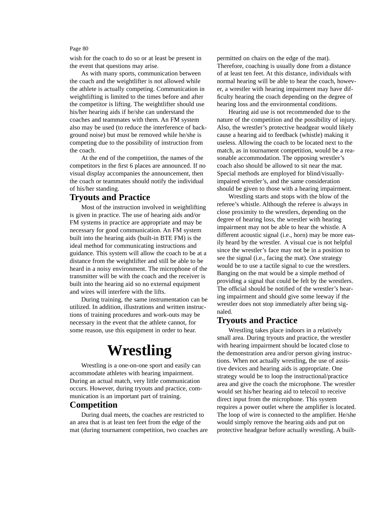wish for the coach to do so or at least be present in the event that questions may arise.

As with many sports, communication between the coach and the weightlifter is not allowed while the athlete is actually competing. Communication in weightlifting is limited to the times before and after the competitor is lifting. The weightlifter should use his/her hearing aids if he/she can understand the coaches and teammates with them. An FM system also may be used (to reduce the interference of background noise) but must be removed while he/she is competing due to the possibility of instruction from the coach.

At the end of the competition, the names of the competitors in the Þrst 6 places are announced. If no visual display accompanies the announcement, then the coach or teammates should notify the individual of his/her standing.

## **Tryouts and Practice**

Most of the instruction involved in weightlifting is given in practice. The use of hearing aids and/or FM systems in practice are appropriate and may be necessary for good communication. An FM system built into the hearing aids (built-in BTE FM) is the ideal method for communicating instructions and guidance. This system will allow the coach to be at a distance from the weightlifter and still be able to be heard in a noisy environment. The microphone of the transmitter will be with the coach and the receiver is built into the hearing aid so no external equipment and wires will interfere with the lifts.

During training, the same instrumentation can be utilized. In addition, illustrations and written instructions of training procedures and work-outs may be necessary in the event that the athlete cannot, for some reason, use this equipment in order to hear.

# **Wrestling**

Wrestling is a one-on-one sport and easily can accommodate athletes with hearing impairment. During an actual match, very little communication occurs. However, during tryouts and practice, communication is an important part of training.

## **Competition**

During dual meets, the coaches are restricted to an area that is at least ten feet from the edge of the mat (during tournament competition, two coaches are permitted on chairs on the edge of the mat). Therefore, coaching is usually done from a distance of at least ten feet. At this distance, individuals with normal hearing will be able to hear the coach, however, a wrestler with hearing impairment may have difculty hearing the coach depending on the degree of hearing loss and the environmental conditions.

Hearing aid use is not recommended due to the nature of the competition and the possibility of injury. Also, the wrestler  $\&$  protective headgear would likely cause a hearing aid to feedback (whistle) making it useless. Allowing the coach to be located next to the match, as in tournament competition, would be a reasonable accommodation. The opposing wrestler $\&$ coach also should be allowed to sit near the mat. Special methods are employed for blind/visuallyimpaired wrestler<sup>®</sup>s, and the same consideration should be given to those with a hearing impairment.

Wrestling starts and stops with the blow of the refereeÕs whistle. Although the referee is always in close proximity to the wrestlers, depending on the degree of hearing loss, the wrestler with hearing impairment may not be able to hear the whistle. A different acoustic signal (i.e., horn) may be more easily heard by the wrestler. A visual cue is not helpful since the wrestler  $\&$  face may not be in a position to see the signal (i.e., facing the mat). One strategy would be to use a tactile signal to cue the wrestlers. Banging on the mat would be a simple method of providing a signal that could be felt by the wrestlers. The of pcial should be notiped of the wrestler & hearing impairment and should give some leeway if the wrestler does not stop immediately after being signaled.

## **Tryouts and Practice**

Wrestling takes place indoors in a relatively small area. During tryouts and practice, the wrestler with hearing impairment should be located close to the demonstration area and/or person giving instructions. When not actually wrestling, the use of assistive devices and hearing aids is appropriate. One strategy would be to loop the instructional/practice area and give the coach the microphone. The wrestler would set his/her hearing aid to telecoil to receive direct input from the microphone. This system requires a power outlet where the ampliÞer is located. The loop of wire is connected to the ampliÞer. He/she would simply remove the hearing aids and put on protective headgear before actually wrestling. A built-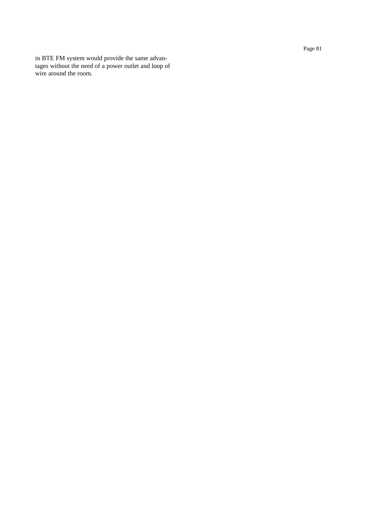in BTE FM system would provide the same advantages without the need of a power outlet and loop of wire around the room.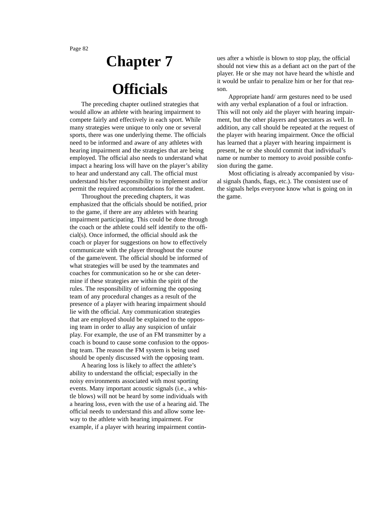# **Chapter 7**

# **Officials**

The preceding chapter outlined strategies that would allow an athlete with hearing impairment to compete fairly and effectively in each sport. While many strategies were unique to only one or several sports, there was one underlying theme. The of  $P_{\text{cials}}$ need to be informed and aware of any athletes with hearing impairment and the strategies that are being employed. The ofÞcial also needs to understand what impact a hearing loss will have on the playerÕs ability to hear and understand any call. The ofÞcial must understand his/her responsibility to implement and/or permit the required accommodations for the student.

Throughout the preceding chapters, it was emphasized that the ofÞcials should be notiÞed, prior to the game, if there are any athletes with hearing impairment participating. This could be done through the coach or the athlete could self identify to the ofÞcial(s). Once informed, the ofÞcial should ask the coach or player for suggestions on how to effectively communicate with the player throughout the course of the game/event. The ofÞcial should be informed of what strategies will be used by the teammates and coaches for communication so he or she can determine if these strategies are within the spirit of the rules. The responsibility of informing the opposing team of any procedural changes as a result of the presence of a player with hearing impairment should lie with the ofÞcial. Any communication strategies that are employed should be explained to the opposing team in order to allay any suspicion of unfair play. For example, the use of an FM transmitter by a coach is bound to cause some confusion to the opposing team. The reason the FM system is being used should be openly discussed with the opposing team.

A hearing loss is likely to affect the athleteÕs ability to understand the ofÞcial; especially in the noisy environments associated with most sporting events. Many important acoustic signals (i.e., a whistle blows) will not be heard by some individuals with a hearing loss, even with the use of a hearing aid. The ofÞcial needs to understand this and allow some leeway to the athlete with hearing impairment. For example, if a player with hearing impairment continues after a whistle is blown to stop play, the ofÞcial should not view this as a deÞant act on the part of the player. He or she may not have heard the whistle and it would be unfair to penalize him or her for that reason.

Appropriate hand/ arm gestures need to be used with any verbal explanation of a foul or infraction. This will not only aid the player with hearing impairment, but the other players and spectators as well. In addition, any call should be repeated at the request of the player with hearing impairment. Once the ofÞcial has learned that a player with hearing impairment is present, he or she should commit that individualÕs name or number to memory to avoid possible confusion during the game.

Most ofÞciating is already accompanied by visual signals (hands, ßags, etc.). The consistent use of the signals helps everyone know what is going on in the game.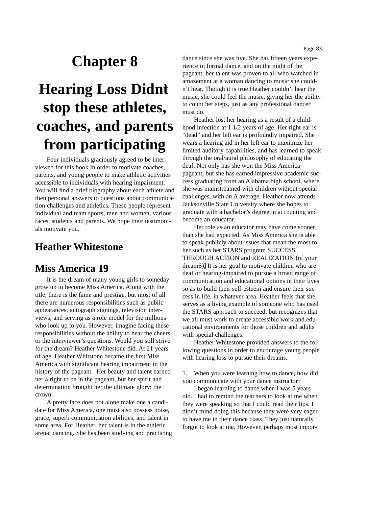# **Chapter 8**

# **Hearing Loss Didn't stop these athletes, coaches, and parents from participating**

Four individuals graciously agreed to be interviewed for this book in order to motivate coaches, parents, and young people to make athletic activities accessible to individuals with hearing impairment. You will Þnd a brief biography about each athlete and then personal answers to questions about communication challenges and athletics. These people represent individual and team sports, men and women, various races, students and parents. We hope their testimonials motivate you.

# **Heather Whitestone**

## Miss America 1**9**

It is the dream of many young girls to someday grow up to become Miss America. Along with the title, there is the fame and prestige, but most of all there are numerous responsibilities such as public appearances, autograph signings, television interviews, and serving as a role model for the millions who look up to you. However, imagine facing these responsibilities without the ability to hear the cheers or the interviewerÕs questions. Would you still strive for the dream? Heather Whitestone did. At 21 years of age, Heather Whitstone became the Þrst Miss America with signiÞcant hearing impairment in the history of the pageant. Her beauty and talent earned her a right to be in the pageant, but her spirit and determination brought her the ultimate glory; the crown.

A pretty face does not alone make one a candidate for Miss America, one must also possess poise, grace, superb communication abilities, and talent in some area. For Heather, her talent is in the athletic arena: dancing. She has been studying and practicing dance since she was Þve. She has Þfteen years experience in formal dance, and on the night of the pageant, her talent was proven to all who watched in amazement at a woman dancing to music she couldnÕt hear. Though it is true Heather couldnÕt hear the music, she could feel the music, giving her the ability to count her steps, just as any professional dancer must do.

Heather lost her hearing as a result of a childhood infection at 1 1/2 years of age. Her right ear is ÒdeadÓ and her left ear is profoundly impaired. She wears a hearing aid in her left ear to maximize her limited auditory capabilities, and has learned to speak through the oral/aural philosophy of educating the deaf. Not only has she won the Miss America pageant, but she has earned impressive academic success graduating from an Alabama high school, where she was mainstreamed with children without special challenges, with an A average. Heather now attends Jacksonville State University where she hopes to graduate with a bachelorÕs degree in accounting and become an educator.

Her role as an educator may have come sooner than she had expected. As Miss America she is able to speak publicly about issues that mean the most to her such as her STARS program SUCCESS THROUGH ACTION and REALIZATION (of your dreamS)] It is her goal to motivate children who are deaf or hearing-impaired to pursue a broad range of communication and educational options in their lives so as to build their self-esteem and ensure their success in life, in whatever area. Heather feels that she serves as a living example of someone who has used the STARS approach to succeed, but recognizes that we all must work to create accessible work and educational environments for those children and adults with special challenges.

Heather Whitestone provided answers to the following questions in order to encourage young people with hearing loss to pursue their dreams.

1. When you were learning how to dance, how did you communicate with your dance instructor?

I began learning to dance when I was 5 years old. I had to remind the teachers to look at me when they were speaking so that I could read their lips. I didnÕt mind doing this because they were very eager to have me in their dance class. They just naturally forgot to look at me. However, perhaps most impor-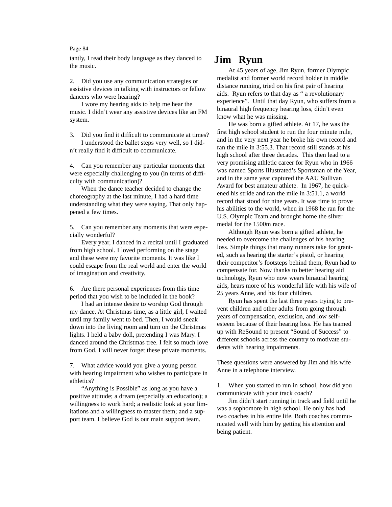tantly, I read their body language as they danced to the music.

2. Did you use any communication strategies or assistive devices in talking with instructors or fellow dancers who were hearing?

I wore my hearing aids to help me hear the music. I didnÕt wear any assistive devices like an FM system.

3. Did you Þnd it difÞcult to communicate at times?

I understood the ballet steps very well, so I didnÕt really Þnd it difÞcult to communicate.

4. Can you remember any particular moments that were especially challenging to you (in terms of difÞculty with communication)?

When the dance teacher decided to change the choreography at the last minute, I had a hard time understanding what they were saying. That only happened a few times.

5. Can you remember any moments that were especially wonderful?

Every year, I danced in a recital until I graduated from high school. I loved performing on the stage and these were my favorite moments. It was like I could escape from the real world and enter the world of imagination and creativity.

6. Are there personal experiences from this time period that you wish to be included in the book?

I had an intense desire to worship God through my dance. At Christmas time, as a little girl, I waited until my family went to bed. Then, I would sneak down into the living room and turn on the Christmas lights. I held a baby doll, pretending I was Mary. I danced around the Christmas tree. I felt so much love from God. I will never forget these private moments.

7. What advice would you give a young person with hearing impairment who wishes to participate in athletics?

ÒAnything is PossibleÓ as long as you have a positive attitude; a dream (especially an education); a willingness to work hard; a realistic look at your limitations and a willingness to master them; and a support team. I believe God is our main support team.

## **Jim Ryun**

At 45 years of age, Jim Ryun, former Olympic medalist and former world record holder in middle distance running, tried on his Þrst pair of hearing aids. Ryun refers to that day as  $\dot{O}$  a revolutionary experienceÓ. Until that day Ryun, who suffers from a binaural high frequency hearing loss, didnÕt even know what he was missing.

He was born a gifted athlete. At 17, he was the Þrst high school student to run the four minute mile, and in the very next year he broke his own record and ran the mile in 3:55.3. That record still stands at his high school after three decades. This then lead to a very promising athletic career for Ryun who in 1966 was named Sports IllustratedÕs Sportsman of the Year, and in the same year captured the AAU Sullivan Award for best amateur athlete. In 1967, he quickened his stride and ran the mile in 3:51.1, a world record that stood for nine years. It was time to prove his abilities to the world, when in 1968 he ran for the U.S. Olympic Team and brought home the silver medal for the 1500m race.

Although Ryun was born a gifted athlete, he needed to overcome the challenges of his hearing loss. Simple things that many runners take for granted, such as hearing the starterÕs pistol, or hearing their competitorÕs footsteps behind them, Ryun had to compensate for. Now thanks to better hearing aid technology, Ryun who now wears binaural hearing aids, hears more of his wonderful life with his wife of 25 years Anne, and his four children.

Ryun has spent the last three years trying to prevent children and other adults from going through years of compensation, exclusion, and low selfesteem because of their hearing loss. He has teamed up with ReSound to present ÒSound of SuccessÓ to different schools across the country to motivate students with hearing impairments.

These questions were answered by Jim and his wife Anne in a telephone interview.

1. When you started to run in school, how did you communicate with your track coach?

Jim didnÕt start running in track and Þeld until he was a sophomore in high school. He only has had two coaches in his entire life. Both coaches communicated well with him by getting his attention and being patient.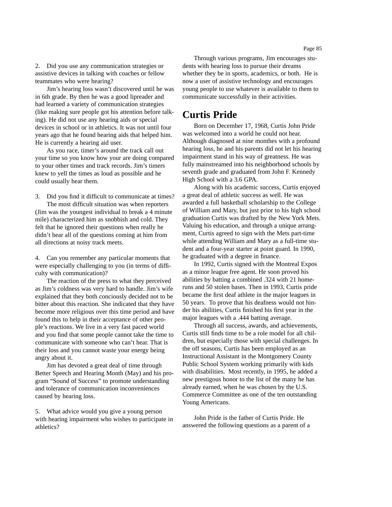2. Did you use any communication strategies or assistive devices in talking with coaches or fellow teammates who were hearing?

JimÕs hearing loss wasnÕt discovered until he was in 6th grade. By then he was a good lipreader and had learned a variety of communication strategies (like making sure people got his attention before talking). He did not use any hearing aids or special devices in school or in athletics. It was not until four years ago that he found hearing aids that helped him. He is currently a hearing aid user.

As you race, timer<sup>o</sup>s around the track call out your time so you know how your are doing compared to your other times and track records. JimÕs timers knew to yell the times as loud as possible and he could usually hear them.

3. Did you Þnd it difÞcult to communicate at times? The most difÞcult situation was when reporters (Jim was the youngest individual to break a 4 minute mile) characterized him as snobbish and cold. They felt that he ignored their questions when really he didnÕt hear all of the questions coming at him from all directions at noisy track meets.

4. Can you remember any particular moments that were especially challenging to you (in terms of difbculty with communication)?

The reaction of the press to what they perceived as JimÕs coldness was very hard to handle. JimÕs wife explained that they both conciously decided not to be bitter about this reaction. She indicated that they have become more religious over this time period and have found this to help in their acceptance of other peopleÕs reactions. We live in a very fast paced world and you Þnd that some people cannot take the time to communicate with someone who canÕt hear. That is their loss and you cannot waste your energy being angry about it.

Jim has devoted a great deal of time through Better Speech and Hearing Month (May) and his program ÒSound of SuccessÓ to promote understanding and tolerance of communication inconveniences caused by hearing loss.

5. What advice would you give a young person with hearing impairment who wishes to participate in athletics?

Through various programs, Jim encourages students with hearing loss to pursue their dreams whether they be in sports, academics, or both. He is now a user of assistive technology and encourages young people to use whatever is available to them to communicate successfully in their activities.

## **Curtis Pride**

Born on December 17, 1968, Curtis John Pride was welcomed into a world he could not hear. Although diagnosed at nine monthes with a profound hearing loss, he and his parents did not let his hearing impairment stand in his way of greatness. He was fully mainstreamed into his neighborhood schools by seventh grade and graduated from John F. Kennedy High School with a 3.6 GPA.

Along with his academic success, Curtis enjoyed a great deal of athletic success as well. He was awarded a full basketball scholarship to the College of William and Mary, but just prior to his high school graduation Curtis was drafted by the New York Mets. Valuing his education, and through a unique arrangment, Curtis agreed to sign with the Mets part-time while attending William and Mary as a full-time student and a four-year starter at point guard. In 1990, he graduated with a degree in Þnance.

In 1992, Curtis signed with the Montreal Expos as a minor league free agent. He soon proved his abilities by batting a combined .324 with 21 homeruns and 50 stolen bases. Then in 1993, Curtis pride became the Þrst deaf athlete in the major leagues in 50 years. To prove that his deafness would not hinder his abilities, Curtis Þnished his Þrst year in the major leagues with a .444 batting average.

Through all success, awards, and achievements, Curtis still Þnds time to be a role model for all children, but especially those with special challenges. In the off seasons, Curtis has been employed as an Instructional Assistant in the Montgomery County Public School System working primarily with kids with disabilities. Most recently, in 1995, he added a new prestigous honor to the list of the many he has already earned, when he was chosen by the U.S. Commerce Committee as one of the ten outstanding Young Americans.

John Pride is the father of Curtis Pride. He answered the following questions as a parent of a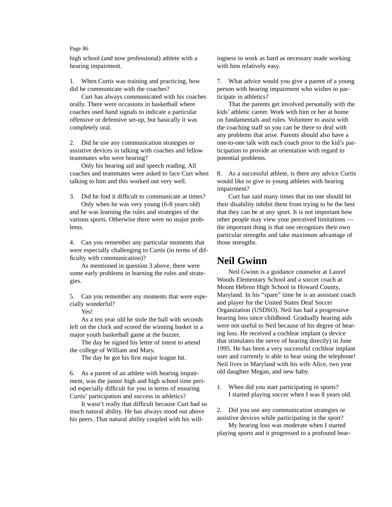high school (and now professional) athlete with a hearing impairment.

1. When Curtis was training and practicing, how did he communicate with the coaches?

Curt has always communicated with his coaches orally. There were occasions in basketball where coaches used hand signals to indicate a particular offensive or defensive set-up, but basically it was completely oral.

2. Did he use any communication strategies or assistive devices in talking with coaches and fellow teammates who were hearing?

Only his hearing aid and speech reading. All coaches and teammates were asked to face Curt when talking to him and this worked out very well.

3. Did he Þnd it difÞcult to communicate at times? Only when he was very young (6-8 years old) and he was learning the rules and strategies of the various sports. Otherwise there were no major problems.

4. Can you remember any particular moments that were especially challenging to Curtis (in terms of difbculty with communication)?

As mentioned in question 3 above, there were some early problems in learning the rules and strategies.

5. Can you remember any moments that were especially wonderful?

Yes!

As a ten year old he stole the ball with seconds left on the clock and scored the winning basket in a major youth basketball game at the buzzer.

The day he signed his letter of intent to attend the college of William and Mary.

The day he got his Þrst major league hit.

6. As a parent of an athlete with hearing impairment, was the junior high and high school time period especially difÞcult for you in terms of ensuring CurtisÕ participation and success in athletics?

It wasnot really that difficult because Curt had so much natural ability. He has always stood out above his peers. That natural ability coupled with his willingness to work as hard as necessary made working with him relatively easy.

7. What advice would you give a parent of a young person with hearing impairment who wishes to participate in athletics?

That the parents get involved personally with the kidsÕ athletic career. Work with him or her at home on fundamentals and rules. Volunteer to assist with the coaching staff so you can be there to deal with any problems that arise. Parents should also have a one-to-one talk with each coach prior to the kidÕs participation to provide an orientation with regard to potential problems.

8. As a successful athlete, is there any advice Curtis would like to give to young athletes with hearing impairment?

Curt has said many times that no one should let their disability inhibit them from trying to be the best that they can be at any sport. It is not important how other people may view your perceived limitations Ñ the important thing is that one recognizes their own particular strengths and take maximum advantage of those strengths.

# **Neil Gwinn**

Neil Gwinn is a guidance counselor at Laurel Woods Elementary School and a soccer coach at Mount Hebron High School in Howard County, Maryland. In his ÒspareÓ time he is an assistant coach and player for the United States Deaf Soccer Organization (USDSO). Neil has had a progressive hearing loss since childhood. Gradually hearing aids were not useful to Neil because of his degree of hearing loss. He received a cochlear implant (a device that stimulates the nerve of hearing directly) in June 1995. He has been a very successful cochlear implant user and currently is able to hear using the telephone! Neil lives in Maryland with his wife Alice, two year old daughter Megan, and new baby.

1. When did you start participating in sports? I started playing soccer when I was 8 years old.

2. Did you use any communication strategies or assistive devices while participating in the sport?

My hearing loss was moderate when I started playing sports and it progressed to a profound hear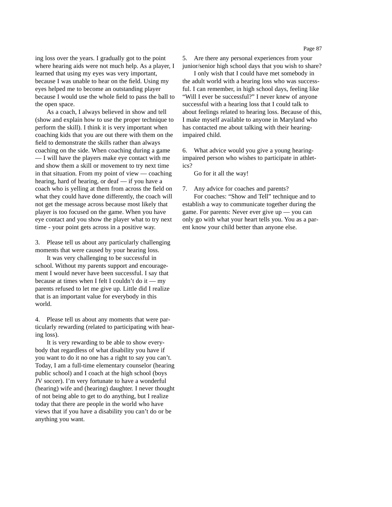ing loss over the years. I gradually got to the point where hearing aids were not much help. As a player, I learned that using my eyes was very important, because I was unable to hear on the Þeld. Using my eyes helped me to become an outstanding player because I would use the whole Þeld to pass the ball to the open space.

As a coach, I always believed in show and tell (show and explain how to use the proper technique to perform the skill). I think it is very important when coaching kids that you are out there with them on the eld to demonstrate the skills rather than always coaching on the side. When coaching during a game  $\hat{N}$  I will have the players make eye contact with me and show them a skill or movement to try next time in that situation. From my point of view N coaching hearing, hard of hearing, or deaf Ñ if you have a coach who is yelling at them from across the Þeld on what they could have done differently, the coach will not get the message across because most likely that player is too focused on the game. When you have eye contact and you show the player what to try next time - your point gets across in a positive way.

3. Please tell us about any particularly challenging moments that were caused by your hearing loss.

It was very challenging to be successful in school. Without my parents support and encouragement I would never have been successful. I say that because at times when I felt I couldn $\hat{d}$ t do it  $\hat{N}$  my parents refused to let me give up. Little did I realize that is an important value for everybody in this world.

4. Please tell us about any moments that were particularly rewarding (related to participating with hearing loss).

It is very rewarding to be able to show everybody that regardless of what disability you have if you want to do it no one has a right to say you canÕt. Today, I am a full-time elementary counselor (hearing public school) and I coach at the high school (boys JV soccer). IÕm very fortunate to have a wonderful (hearing) wife and (hearing) daughter. I never thought of not being able to get to do anything, but I realize today that there are people in the world who have views that if you have a disability you canÕt do or be anything you want.

5. Are there any personal experiences from your junior/senior high school days that you wish to share?

I only wish that I could have met somebody in the adult world with a hearing loss who was successful. I can remember, in high school days, feeling like ÒWill I ever be successful?Ó I never knew of anyone successful with a hearing loss that I could talk to about feelings related to hearing loss. Because of this, I make myself available to anyone in Maryland who has contacted me about talking with their hearingimpaired child.

6. What advice would you give a young hearingimpaired person who wishes to participate in athletics?

Go for it all the way!

7. Any advice for coaches and parents?

For coaches: ÒShow and TellÓ technique and to establish a way to communicate together during the game. For parents: Never ever give up Ñ you can only go with what your heart tells you. You as a parent know your child better than anyone else.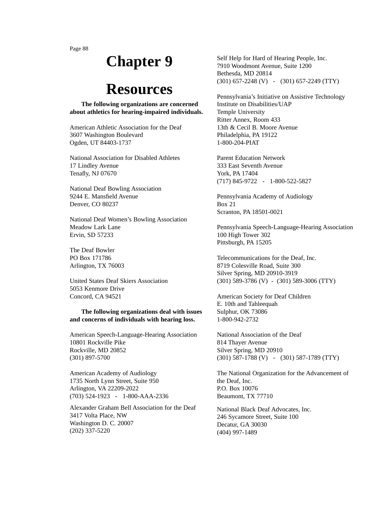# **Chapter 9**

# **Resources**

**The following organizations are concerned about athletics for hearing-impaired individuals.**

American Athletic Association for the Deaf 3607 Washington Boulevard Ogden, UT 84403-1737

National Association for Disabled Athletes 17 Lindley Avenue Tenaßy, NJ 07670

National Deaf Bowling Association 9244 E. MansÞeld Avenue Denver, CO 80237

National Deaf WomenÕs Bowling Association Meadow Lark Lane Ervin, SD 57233

The Deaf Bowler PO Box 171786 Arlington, TX 76003

United States Deaf Skiers Association 5053 Kenmore Drive Concord, CA 94521

## **The following organizations deal with issues and concerns of individuals with hearing loss.**

American Speech-Language-Hearing Association 10801 Rockville Pike Rockville, MD 20852 (301) 897-5700

American Academy of Audiology 1735 North Lynn Street, Suite 950 Arlington, VA 22209-2022 (703) 524-1923 - 1-800-AAA-2336

Alexander Graham Bell Association for the Deaf 3417 Volta Place, NW Washington D. C. 20007 (202) 337-5220

Self Help for Hard of Hearing People, Inc. 7910 Woodmont Avenue, Suite 1200 Bethesda, MD 20814 (301) 657-2248 (V) - (301) 657-2249 (TTY)

PennsylvaniaÕs Initiative on Assistive Technology Institute on Disabilities/UAP Temple University Ritter Annex, Room 433 13th & Cecil B. Moore Avenue Philadelphia, PA 19122 1-800-204-PIAT

Parent Education Network 333 East Seventh Avenue York, PA 17404 (717) 845-9722 - 1-800-522-5827

Pennsylvania Academy of Audiology Box 21 Scranton, PA 18501-0021

Pennsylvania Speech-Language-Hearing Association 100 High Tower 302 Pittsburgh, PA 15205

Telecommunications for the Deaf, Inc. 8719 Colesville Road, Suite 300 Silver Spring, MD 20910-3919 (301) 589-3786 (V) - (301) 589-3006 (TTY)

American Society for Deaf Children E. 10th and Tahleequah Sulphur, OK 73086 1-800-942-2732

National Association of the Deaf 814 Thayer Avenue Silver Spring, MD 20910 (301) 587-1788 (V) - (301) 587-1789 (TTY)

The National Organization for the Advancement of the Deaf, Inc. P.O. Box 10076 Beaumont, TX 77710

National Black Deaf Advocates, Inc. 246 Sycamore Street, Suite 100 Decatur, GA 30030 (404) 997-1489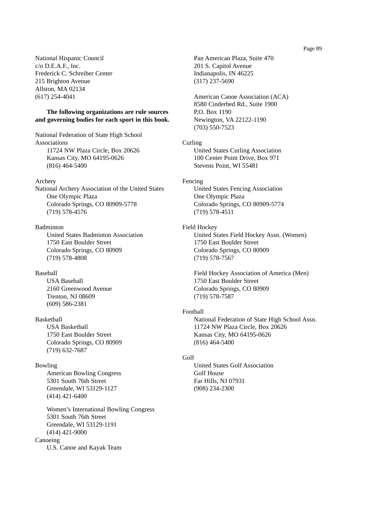National Hispanic Council  $c$ / $o$  D.E.A.F., Inc. Frederick C. Schreiber Center 215 Brighton Avenue Allston, MA 02134 (617) 254-4041

## **The following organizations are rule sources and governing bodies for each sport in this book.**

National Federation of State High School **Associations** 11724 NW Plaza Circle, Box 20626 Kansas City, MO 64195-0626 (816) 464-5400

### Archery

National Archery Association of the United States One Olympic Plaza Colorado Springs, CO 80909-5778 (719) 578-4576

### Badminton

United States Badminton Association 1750 East Boulder Street Colorado Springs, CO 80909 (719) 578-4808

## Baseball

USA Baseball 2160 Greenwood Avenue Trenton, NJ 08609 (609) 586-2381

### Basketball

USA Basketball 1750 East Boulder Street Colorado Springs, CO 80909 (719) 632-7687

## Bowling

American Bowling Congress 5301 South 76th Street Greendale, WI 53129-1127 (414) 421-6400

WomenÕs International Bowling Congress 5301 South 76th Street Greendale, WI 53129-1191 (414) 421-9000 **Canoeing** U.S. Canoe and Kayak Team

Pan American Plaza, Suite 470 201 S. Capitol Avenue Indianapolis, IN 46225 (317) 237-5690

American Canoe Association (ACA) 8580 Cinderbed Rd., Suite 1900 P.O. Box 1190 Newington, VA 22122-1190 (703) 550-7523

### Curling

United States Curling Association 100 Center Point Drive, Box 971 Stevens Point, WI 55481

### Fencing

United States Fencing Association One Olympic Plaza Colorado Springs, CO 80909-5774 (719) 578-4511

### Field Hockey

United States Field Hockey Assn. (Women) 1750 East Boulder Street Colorado Springs, CO 80909 (719) 578-7567

Field Hockey Association of America (Men) 1750 East Boulder Street Colorado Springs, CO 80909 (719) 578-7587

#### Football

National Federation of State High School Assn. 11724 NW Plaza Circle, Box 20626 Kansas City, MO 64195-0626 (816) 464-5400

### Golf

United States Golf Association Golf House Far Hills, NJ 07931 (908) 234-2300